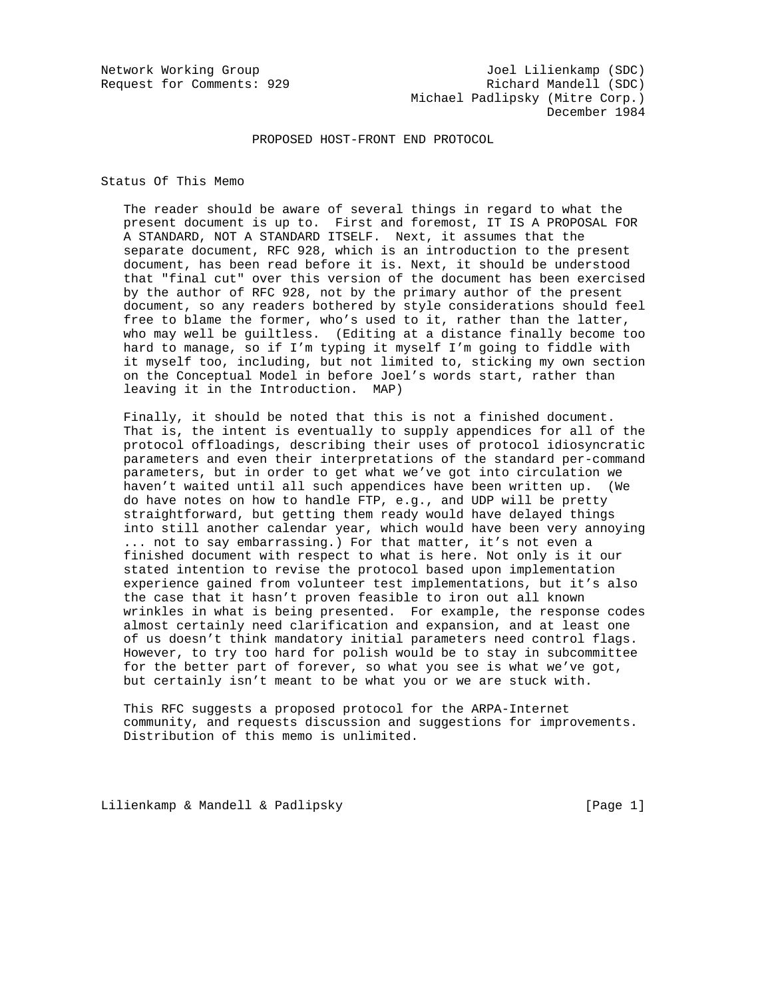# PROPOSED HOST-FRONT END PROTOCOL

Status Of This Memo

 The reader should be aware of several things in regard to what the present document is up to. First and foremost, IT IS A PROPOSAL FOR A STANDARD, NOT A STANDARD ITSELF. Next, it assumes that the separate document, RFC 928, which is an introduction to the present document, has been read before it is. Next, it should be understood that "final cut" over this version of the document has been exercised by the author of RFC 928, not by the primary author of the present document, so any readers bothered by style considerations should feel free to blame the former, who's used to it, rather than the latter, who may well be guiltless. (Editing at a distance finally become too hard to manage, so if I'm typing it myself I'm going to fiddle with it myself too, including, but not limited to, sticking my own section on the Conceptual Model in before Joel's words start, rather than leaving it in the Introduction. MAP)

 Finally, it should be noted that this is not a finished document. That is, the intent is eventually to supply appendices for all of the protocol offloadings, describing their uses of protocol idiosyncratic parameters and even their interpretations of the standard per-command parameters, but in order to get what we've got into circulation we haven't waited until all such appendices have been written up. (We do have notes on how to handle FTP, e.g., and UDP will be pretty straightforward, but getting them ready would have delayed things into still another calendar year, which would have been very annoying ... not to say embarrassing.) For that matter, it's not even a finished document with respect to what is here. Not only is it our stated intention to revise the protocol based upon implementation experience gained from volunteer test implementations, but it's also the case that it hasn't proven feasible to iron out all known wrinkles in what is being presented. For example, the response codes almost certainly need clarification and expansion, and at least one of us doesn't think mandatory initial parameters need control flags. However, to try too hard for polish would be to stay in subcommittee for the better part of forever, so what you see is what we've got, but certainly isn't meant to be what you or we are stuck with.

 This RFC suggests a proposed protocol for the ARPA-Internet community, and requests discussion and suggestions for improvements. Distribution of this memo is unlimited.

Lilienkamp & Mandell & Padlipsky and the control of the control of the control of the control of the control o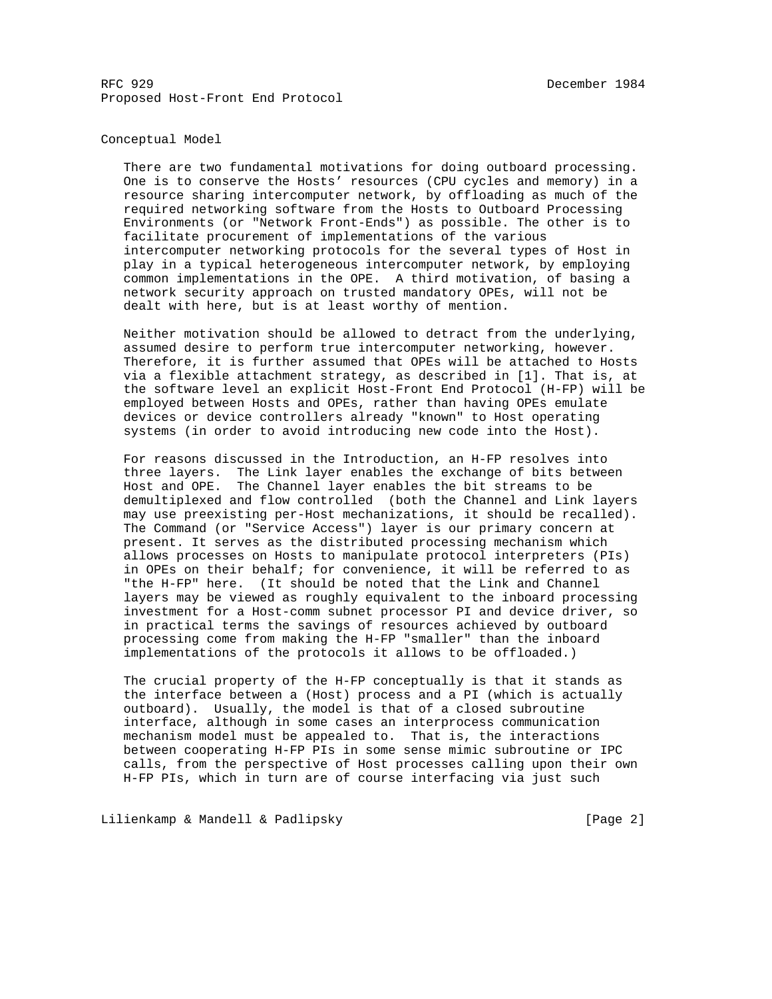## Conceptual Model

 There are two fundamental motivations for doing outboard processing. One is to conserve the Hosts' resources (CPU cycles and memory) in a resource sharing intercomputer network, by offloading as much of the required networking software from the Hosts to Outboard Processing Environments (or "Network Front-Ends") as possible. The other is to facilitate procurement of implementations of the various intercomputer networking protocols for the several types of Host in play in a typical heterogeneous intercomputer network, by employing common implementations in the OPE. A third motivation, of basing a network security approach on trusted mandatory OPEs, will not be dealt with here, but is at least worthy of mention.

 Neither motivation should be allowed to detract from the underlying, assumed desire to perform true intercomputer networking, however. Therefore, it is further assumed that OPEs will be attached to Hosts via a flexible attachment strategy, as described in [1]. That is, at the software level an explicit Host-Front End Protocol (H-FP) will be employed between Hosts and OPEs, rather than having OPEs emulate devices or device controllers already "known" to Host operating systems (in order to avoid introducing new code into the Host).

 For reasons discussed in the Introduction, an H-FP resolves into three layers. The Link layer enables the exchange of bits between Host and OPE. The Channel layer enables the bit streams to be demultiplexed and flow controlled (both the Channel and Link layers may use preexisting per-Host mechanizations, it should be recalled). The Command (or "Service Access") layer is our primary concern at present. It serves as the distributed processing mechanism which allows processes on Hosts to manipulate protocol interpreters (PIs) in OPEs on their behalf; for convenience, it will be referred to as "the H-FP" here. (It should be noted that the Link and Channel layers may be viewed as roughly equivalent to the inboard processing investment for a Host-comm subnet processor PI and device driver, so in practical terms the savings of resources achieved by outboard processing come from making the H-FP "smaller" than the inboard implementations of the protocols it allows to be offloaded.)

 The crucial property of the H-FP conceptually is that it stands as the interface between a (Host) process and a PI (which is actually outboard). Usually, the model is that of a closed subroutine interface, although in some cases an interprocess communication mechanism model must be appealed to. That is, the interactions between cooperating H-FP PIs in some sense mimic subroutine or IPC calls, from the perspective of Host processes calling upon their own H-FP PIs, which in turn are of course interfacing via just such

Lilienkamp & Mandell & Padlipsky and the control of the control of the control of the control of the control o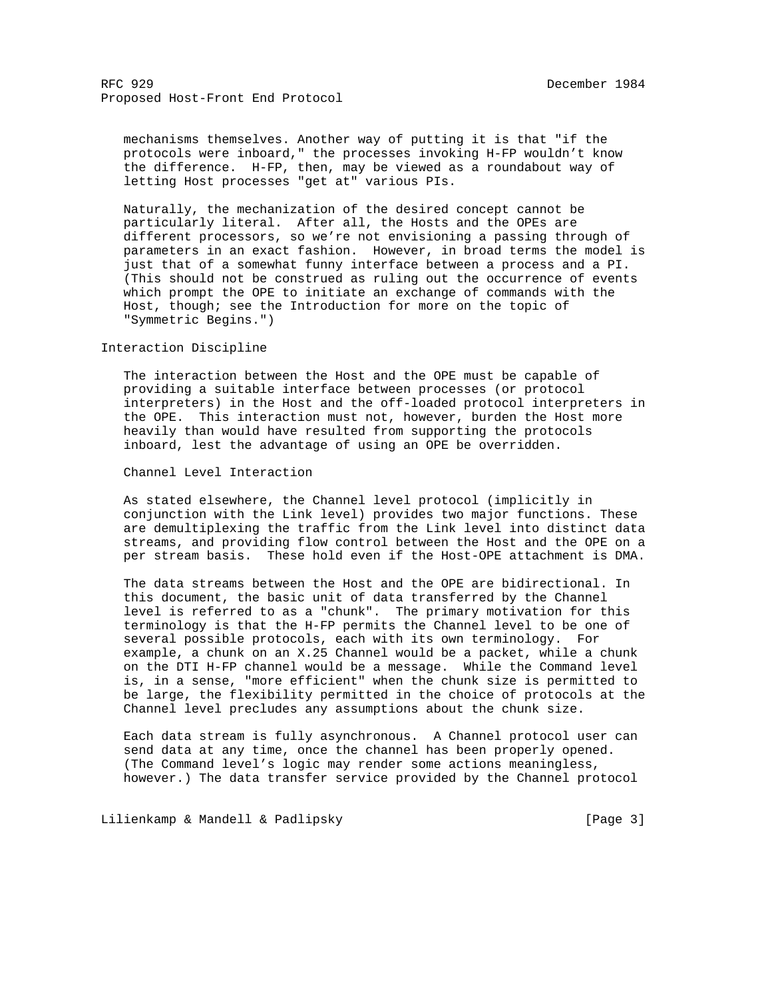mechanisms themselves. Another way of putting it is that "if the protocols were inboard," the processes invoking H-FP wouldn't know the difference. H-FP, then, may be viewed as a roundabout way of letting Host processes "get at" various PIs.

 Naturally, the mechanization of the desired concept cannot be particularly literal. After all, the Hosts and the OPEs are different processors, so we're not envisioning a passing through of parameters in an exact fashion. However, in broad terms the model is just that of a somewhat funny interface between a process and a PI. (This should not be construed as ruling out the occurrence of events which prompt the OPE to initiate an exchange of commands with the Host, though; see the Introduction for more on the topic of "Symmetric Begins.")

#### Interaction Discipline

 The interaction between the Host and the OPE must be capable of providing a suitable interface between processes (or protocol interpreters) in the Host and the off-loaded protocol interpreters in the OPE. This interaction must not, however, burden the Host more heavily than would have resulted from supporting the protocols inboard, lest the advantage of using an OPE be overridden.

#### Channel Level Interaction

 As stated elsewhere, the Channel level protocol (implicitly in conjunction with the Link level) provides two major functions. These are demultiplexing the traffic from the Link level into distinct data streams, and providing flow control between the Host and the OPE on a per stream basis. These hold even if the Host-OPE attachment is DMA.

 The data streams between the Host and the OPE are bidirectional. In this document, the basic unit of data transferred by the Channel level is referred to as a "chunk". The primary motivation for this terminology is that the H-FP permits the Channel level to be one of several possible protocols, each with its own terminology. For example, a chunk on an X.25 Channel would be a packet, while a chunk on the DTI H-FP channel would be a message. While the Command level is, in a sense, "more efficient" when the chunk size is permitted to be large, the flexibility permitted in the choice of protocols at the Channel level precludes any assumptions about the chunk size.

 Each data stream is fully asynchronous. A Channel protocol user can send data at any time, once the channel has been properly opened. (The Command level's logic may render some actions meaningless, however.) The data transfer service provided by the Channel protocol

Lilienkamp & Mandell & Padlipsky (Page 3)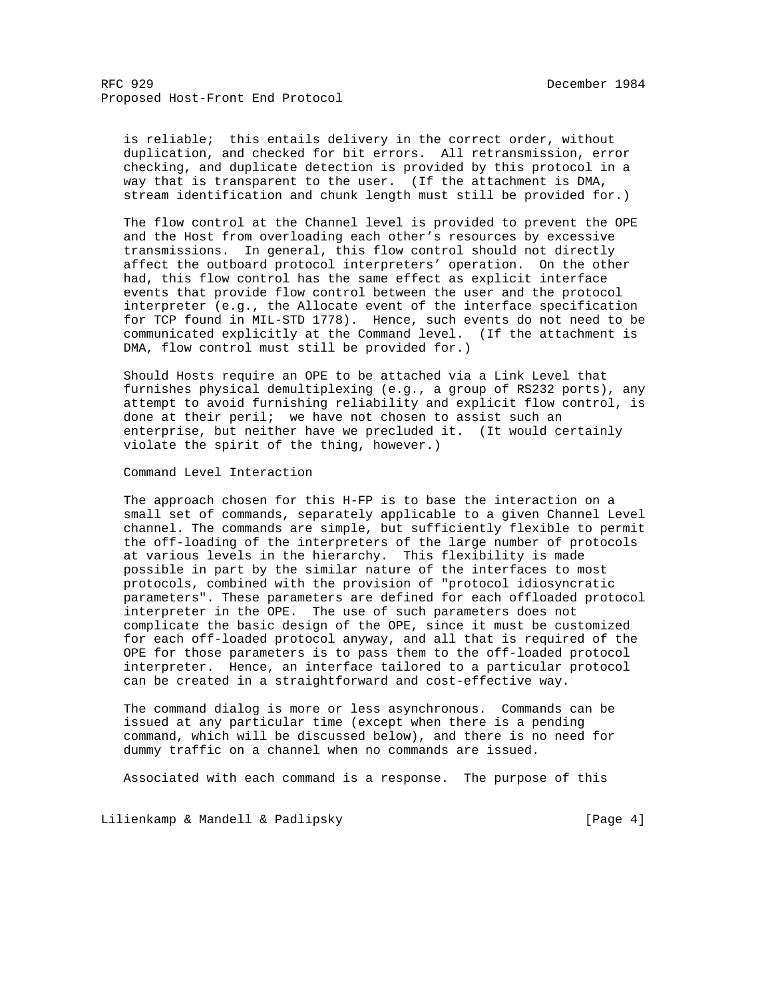is reliable; this entails delivery in the correct order, without duplication, and checked for bit errors. All retransmission, error checking, and duplicate detection is provided by this protocol in a way that is transparent to the user. (If the attachment is DMA, stream identification and chunk length must still be provided for.)

 The flow control at the Channel level is provided to prevent the OPE and the Host from overloading each other's resources by excessive transmissions. In general, this flow control should not directly affect the outboard protocol interpreters' operation. On the other had, this flow control has the same effect as explicit interface events that provide flow control between the user and the protocol interpreter (e.g., the Allocate event of the interface specification for TCP found in MIL-STD 1778). Hence, such events do not need to be communicated explicitly at the Command level. (If the attachment is DMA, flow control must still be provided for.)

 Should Hosts require an OPE to be attached via a Link Level that furnishes physical demultiplexing (e.g., a group of RS232 ports), any attempt to avoid furnishing reliability and explicit flow control, is done at their peril; we have not chosen to assist such an enterprise, but neither have we precluded it. (It would certainly violate the spirit of the thing, however.)

## Command Level Interaction

 The approach chosen for this H-FP is to base the interaction on a small set of commands, separately applicable to a given Channel Level channel. The commands are simple, but sufficiently flexible to permit the off-loading of the interpreters of the large number of protocols at various levels in the hierarchy. This flexibility is made possible in part by the similar nature of the interfaces to most protocols, combined with the provision of "protocol idiosyncratic parameters". These parameters are defined for each offloaded protocol interpreter in the OPE. The use of such parameters does not complicate the basic design of the OPE, since it must be customized for each off-loaded protocol anyway, and all that is required of the OPE for those parameters is to pass them to the off-loaded protocol interpreter. Hence, an interface tailored to a particular protocol can be created in a straightforward and cost-effective way.

 The command dialog is more or less asynchronous. Commands can be issued at any particular time (except when there is a pending command, which will be discussed below), and there is no need for dummy traffic on a channel when no commands are issued.

Associated with each command is a response. The purpose of this

Lilienkamp & Mandell & Padlipsky and the control of the same states of the page 4]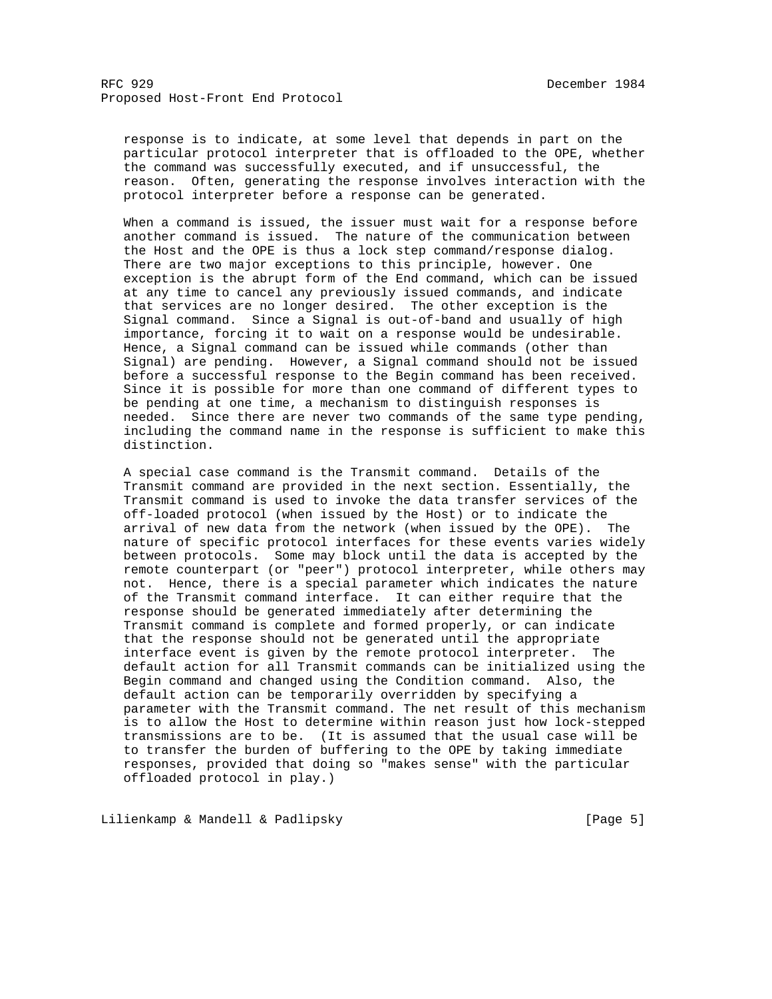response is to indicate, at some level that depends in part on the particular protocol interpreter that is offloaded to the OPE, whether the command was successfully executed, and if unsuccessful, the reason. Often, generating the response involves interaction with the protocol interpreter before a response can be generated.

 When a command is issued, the issuer must wait for a response before another command is issued. The nature of the communication between the Host and the OPE is thus a lock step command/response dialog. There are two major exceptions to this principle, however. One exception is the abrupt form of the End command, which can be issued at any time to cancel any previously issued commands, and indicate that services are no longer desired. The other exception is the Signal command. Since a Signal is out-of-band and usually of high importance, forcing it to wait on a response would be undesirable. Hence, a Signal command can be issued while commands (other than Signal) are pending. However, a Signal command should not be issued before a successful response to the Begin command has been received. Since it is possible for more than one command of different types to be pending at one time, a mechanism to distinguish responses is needed. Since there are never two commands of the same type pending, including the command name in the response is sufficient to make this distinction.

 A special case command is the Transmit command. Details of the Transmit command are provided in the next section. Essentially, the Transmit command is used to invoke the data transfer services of the off-loaded protocol (when issued by the Host) or to indicate the arrival of new data from the network (when issued by the OPE). The nature of specific protocol interfaces for these events varies widely between protocols. Some may block until the data is accepted by the remote counterpart (or "peer") protocol interpreter, while others may not. Hence, there is a special parameter which indicates the nature of the Transmit command interface. It can either require that the response should be generated immediately after determining the Transmit command is complete and formed properly, or can indicate that the response should not be generated until the appropriate interface event is given by the remote protocol interpreter. The default action for all Transmit commands can be initialized using the Begin command and changed using the Condition command. Also, the default action can be temporarily overridden by specifying a parameter with the Transmit command. The net result of this mechanism is to allow the Host to determine within reason just how lock-stepped transmissions are to be. (It is assumed that the usual case will be to transfer the burden of buffering to the OPE by taking immediate responses, provided that doing so "makes sense" with the particular offloaded protocol in play.)

Lilienkamp & Mandell & Padlipsky (Page 5)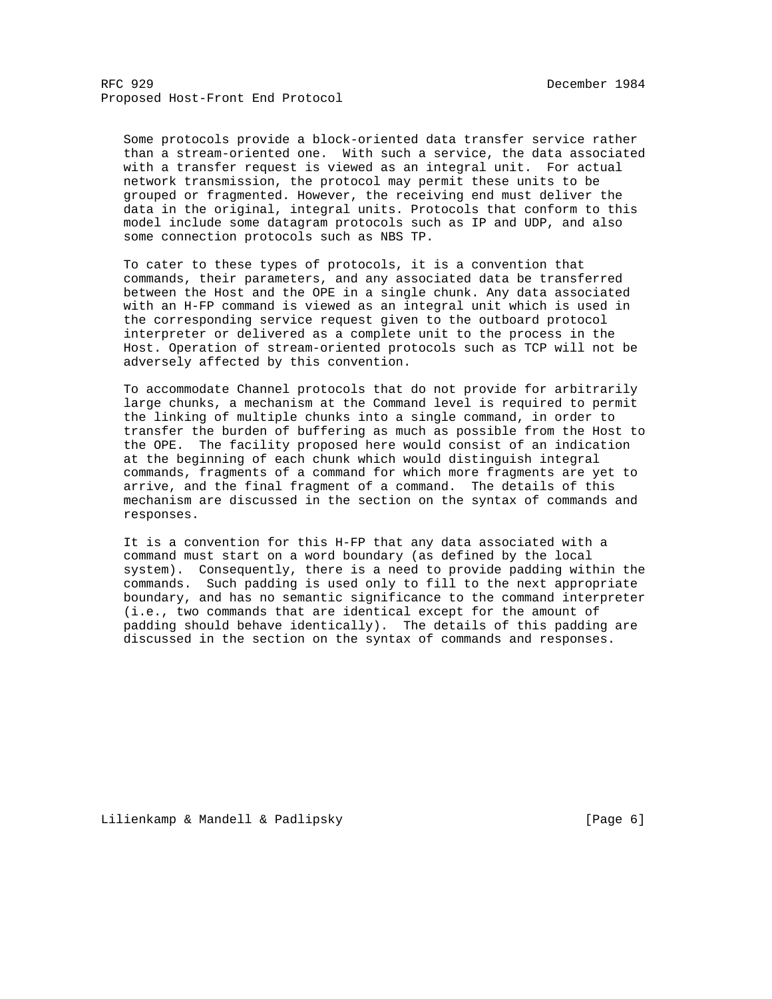Some protocols provide a block-oriented data transfer service rather than a stream-oriented one. With such a service, the data associated with a transfer request is viewed as an integral unit. For actual network transmission, the protocol may permit these units to be grouped or fragmented. However, the receiving end must deliver the data in the original, integral units. Protocols that conform to this model include some datagram protocols such as IP and UDP, and also some connection protocols such as NBS TP.

 To cater to these types of protocols, it is a convention that commands, their parameters, and any associated data be transferred between the Host and the OPE in a single chunk. Any data associated with an H-FP command is viewed as an integral unit which is used in the corresponding service request given to the outboard protocol interpreter or delivered as a complete unit to the process in the Host. Operation of stream-oriented protocols such as TCP will not be adversely affected by this convention.

 To accommodate Channel protocols that do not provide for arbitrarily large chunks, a mechanism at the Command level is required to permit the linking of multiple chunks into a single command, in order to transfer the burden of buffering as much as possible from the Host to the OPE. The facility proposed here would consist of an indication at the beginning of each chunk which would distinguish integral commands, fragments of a command for which more fragments are yet to arrive, and the final fragment of a command. The details of this mechanism are discussed in the section on the syntax of commands and responses.

 It is a convention for this H-FP that any data associated with a command must start on a word boundary (as defined by the local system). Consequently, there is a need to provide padding within the commands. Such padding is used only to fill to the next appropriate boundary, and has no semantic significance to the command interpreter (i.e., two commands that are identical except for the amount of padding should behave identically). The details of this padding are discussed in the section on the syntax of commands and responses.

Lilienkamp & Mandell & Padlipsky (Page 6)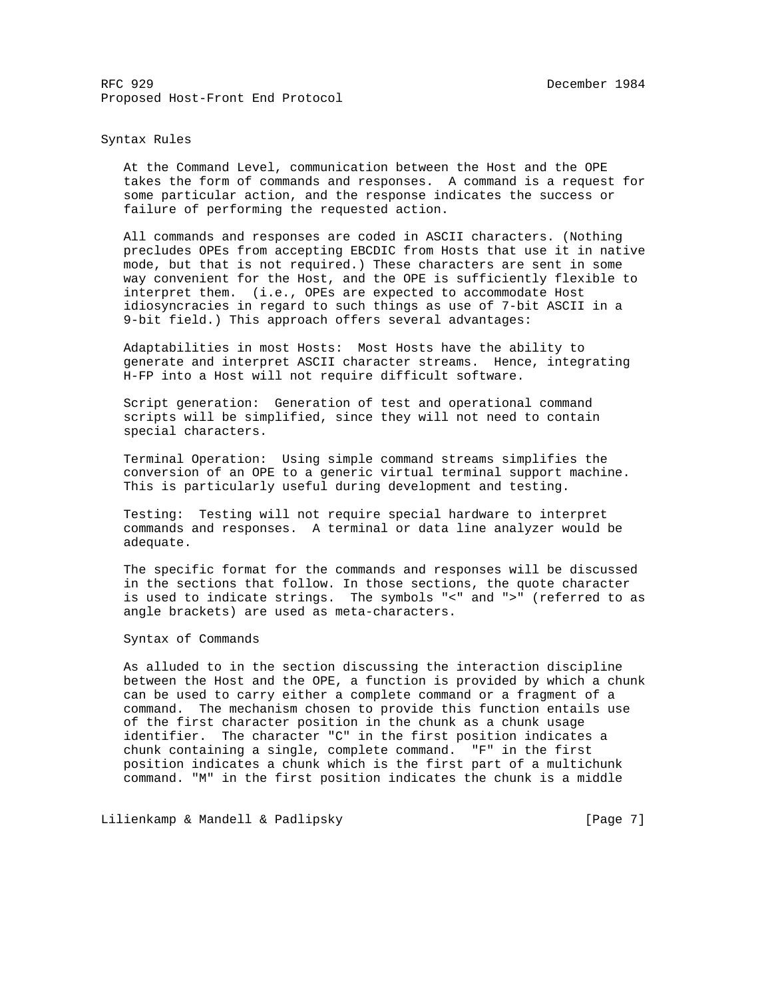## Syntax Rules

 At the Command Level, communication between the Host and the OPE takes the form of commands and responses. A command is a request for some particular action, and the response indicates the success or failure of performing the requested action.

 All commands and responses are coded in ASCII characters. (Nothing precludes OPEs from accepting EBCDIC from Hosts that use it in native mode, but that is not required.) These characters are sent in some way convenient for the Host, and the OPE is sufficiently flexible to interpret them. (i.e., OPEs are expected to accommodate Host idiosyncracies in regard to such things as use of 7-bit ASCII in a 9-bit field.) This approach offers several advantages:

 Adaptabilities in most Hosts: Most Hosts have the ability to generate and interpret ASCII character streams. Hence, integrating H-FP into a Host will not require difficult software.

 Script generation: Generation of test and operational command scripts will be simplified, since they will not need to contain special characters.

 Terminal Operation: Using simple command streams simplifies the conversion of an OPE to a generic virtual terminal support machine. This is particularly useful during development and testing.

 Testing: Testing will not require special hardware to interpret commands and responses. A terminal or data line analyzer would be adequate.

 The specific format for the commands and responses will be discussed in the sections that follow. In those sections, the quote character is used to indicate strings. The symbols "<" and ">" (referred to as angle brackets) are used as meta-characters.

# Syntax of Commands

 As alluded to in the section discussing the interaction discipline between the Host and the OPE, a function is provided by which a chunk can be used to carry either a complete command or a fragment of a command. The mechanism chosen to provide this function entails use of the first character position in the chunk as a chunk usage identifier. The character "C" in the first position indicates a chunk containing a single, complete command. "F" in the first position indicates a chunk which is the first part of a multichunk command. "M" in the first position indicates the chunk is a middle

Lilienkamp & Mandell & Padlipsky (Page 7)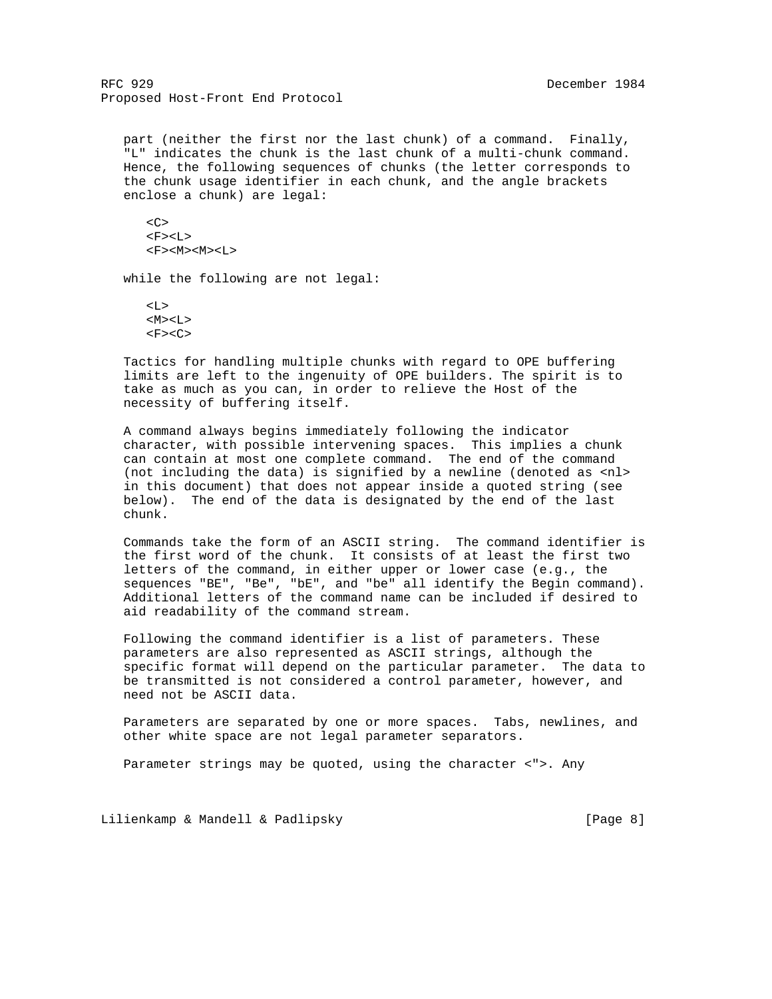part (neither the first nor the last chunk) of a command. Finally, "L" indicates the chunk is the last chunk of a multi-chunk command. Hence, the following sequences of chunks (the letter corresponds to the chunk usage identifier in each chunk, and the angle brackets enclose a chunk) are legal:

 $<\infty$  $<$ F> $<$ L>  $<$ F> $<$ M> $<$ M> $<$ L>

while the following are not legal:

 $< L >$  $|M><|>$  $<$ F> $<$ C>

 Tactics for handling multiple chunks with regard to OPE buffering limits are left to the ingenuity of OPE builders. The spirit is to take as much as you can, in order to relieve the Host of the necessity of buffering itself.

 A command always begins immediately following the indicator character, with possible intervening spaces. This implies a chunk can contain at most one complete command. The end of the command (not including the data) is signified by a newline (denoted as <nl> in this document) that does not appear inside a quoted string (see below). The end of the data is designated by the end of the last chunk.

 Commands take the form of an ASCII string. The command identifier is the first word of the chunk. It consists of at least the first two letters of the command, in either upper or lower case (e.g., the sequences "BE", "Be", "bE", and "be" all identify the Begin command). Additional letters of the command name can be included if desired to aid readability of the command stream.

 Following the command identifier is a list of parameters. These parameters are also represented as ASCII strings, although the specific format will depend on the particular parameter. The data to be transmitted is not considered a control parameter, however, and need not be ASCII data.

 Parameters are separated by one or more spaces. Tabs, newlines, and other white space are not legal parameter separators.

Parameter strings may be quoted, using the character <">. Any

Lilienkamp & Mandell & Padlipsky (Page 8)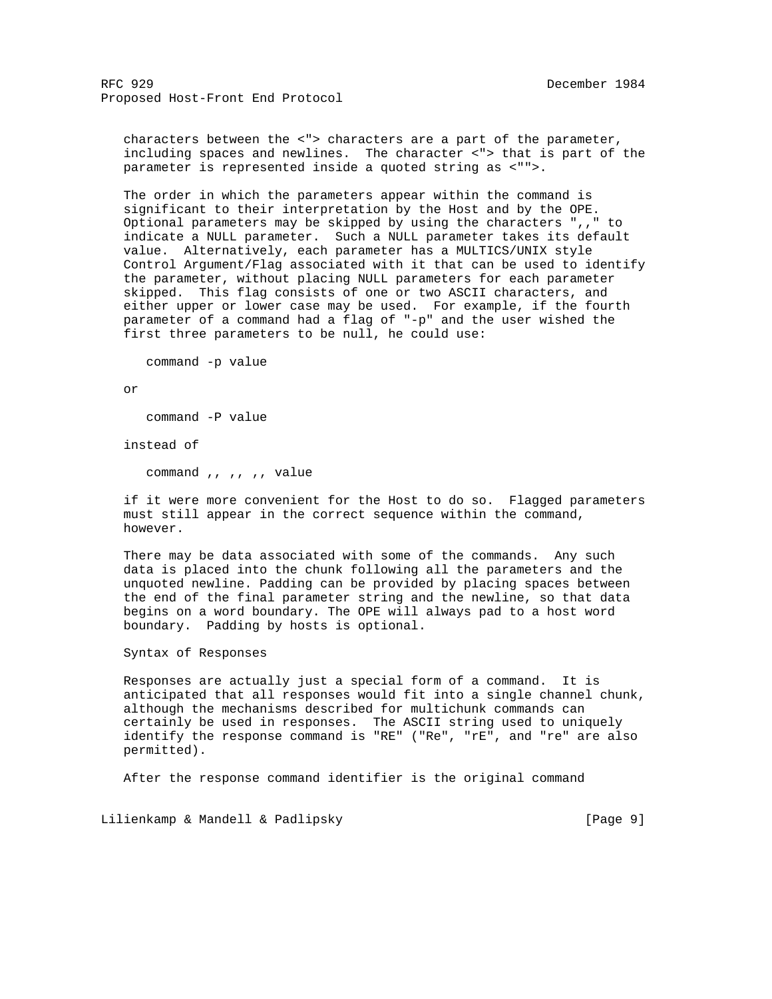characters between the <"> characters are a part of the parameter, including spaces and newlines. The character <"> that is part of the parameter is represented inside a quoted string as <"">.

 The order in which the parameters appear within the command is significant to their interpretation by the Host and by the OPE. Optional parameters may be skipped by using the characters ",," to indicate a NULL parameter. Such a NULL parameter takes its default value. Alternatively, each parameter has a MULTICS/UNIX style Control Argument/Flag associated with it that can be used to identify the parameter, without placing NULL parameters for each parameter skipped. This flag consists of one or two ASCII characters, and either upper or lower case may be used. For example, if the fourth parameter of a command had a flag of "-p" and the user wished the first three parameters to be null, he could use:

command -p value

or

command -P value

instead of

command ,, ,, ,, value

 if it were more convenient for the Host to do so. Flagged parameters must still appear in the correct sequence within the command, however.

 There may be data associated with some of the commands. Any such data is placed into the chunk following all the parameters and the unquoted newline. Padding can be provided by placing spaces between the end of the final parameter string and the newline, so that data begins on a word boundary. The OPE will always pad to a host word boundary. Padding by hosts is optional.

Syntax of Responses

 Responses are actually just a special form of a command. It is anticipated that all responses would fit into a single channel chunk, although the mechanisms described for multichunk commands can certainly be used in responses. The ASCII string used to uniquely identify the response command is "RE" ("Re", "rE", and "re" are also permitted).

After the response command identifier is the original command

Lilienkamp & Mandell & Padlipsky (Page 9)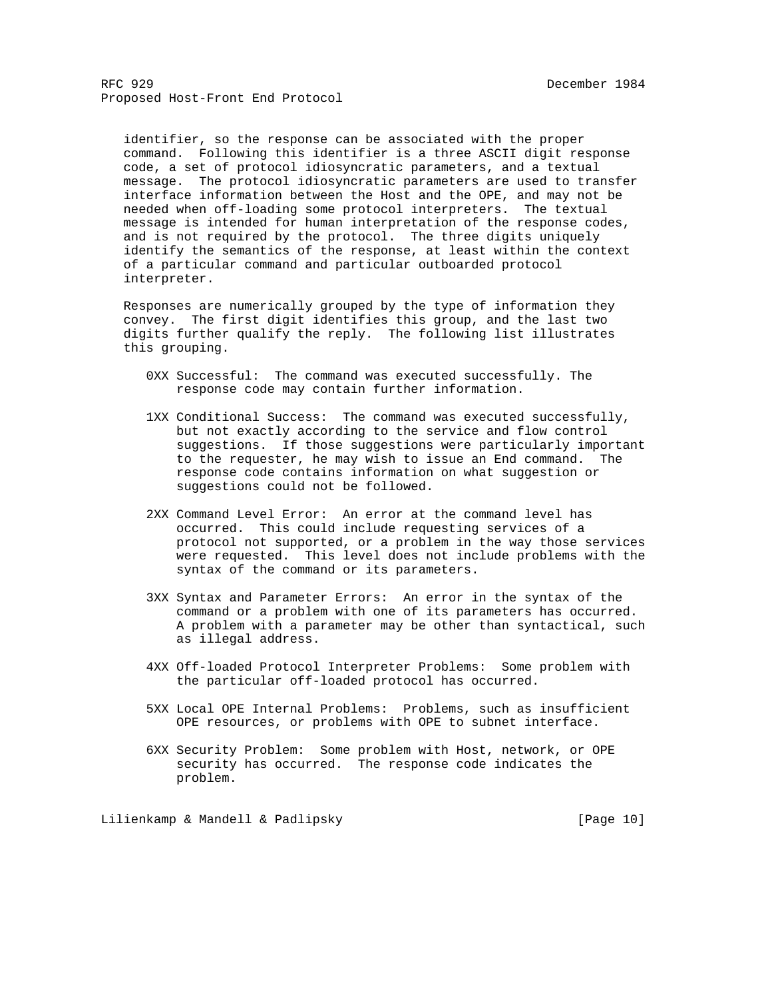identifier, so the response can be associated with the proper command. Following this identifier is a three ASCII digit response code, a set of protocol idiosyncratic parameters, and a textual message. The protocol idiosyncratic parameters are used to transfer interface information between the Host and the OPE, and may not be needed when off-loading some protocol interpreters. The textual message is intended for human interpretation of the response codes, and is not required by the protocol. The three digits uniquely identify the semantics of the response, at least within the context of a particular command and particular outboarded protocol interpreter.

 Responses are numerically grouped by the type of information they convey. The first digit identifies this group, and the last two digits further qualify the reply. The following list illustrates this grouping.

- 0XX Successful: The command was executed successfully. The response code may contain further information.
- 1XX Conditional Success: The command was executed successfully, but not exactly according to the service and flow control suggestions. If those suggestions were particularly important to the requester, he may wish to issue an End command. The response code contains information on what suggestion or suggestions could not be followed.
- 2XX Command Level Error: An error at the command level has occurred. This could include requesting services of a protocol not supported, or a problem in the way those services were requested. This level does not include problems with the syntax of the command or its parameters.
- 3XX Syntax and Parameter Errors: An error in the syntax of the command or a problem with one of its parameters has occurred. A problem with a parameter may be other than syntactical, such as illegal address.
- 4XX Off-loaded Protocol Interpreter Problems: Some problem with the particular off-loaded protocol has occurred.
- 5XX Local OPE Internal Problems: Problems, such as insufficient OPE resources, or problems with OPE to subnet interface.
- 6XX Security Problem: Some problem with Host, network, or OPE security has occurred. The response code indicates the problem.

Lilienkamp & Mandell & Padlipsky [Page 10]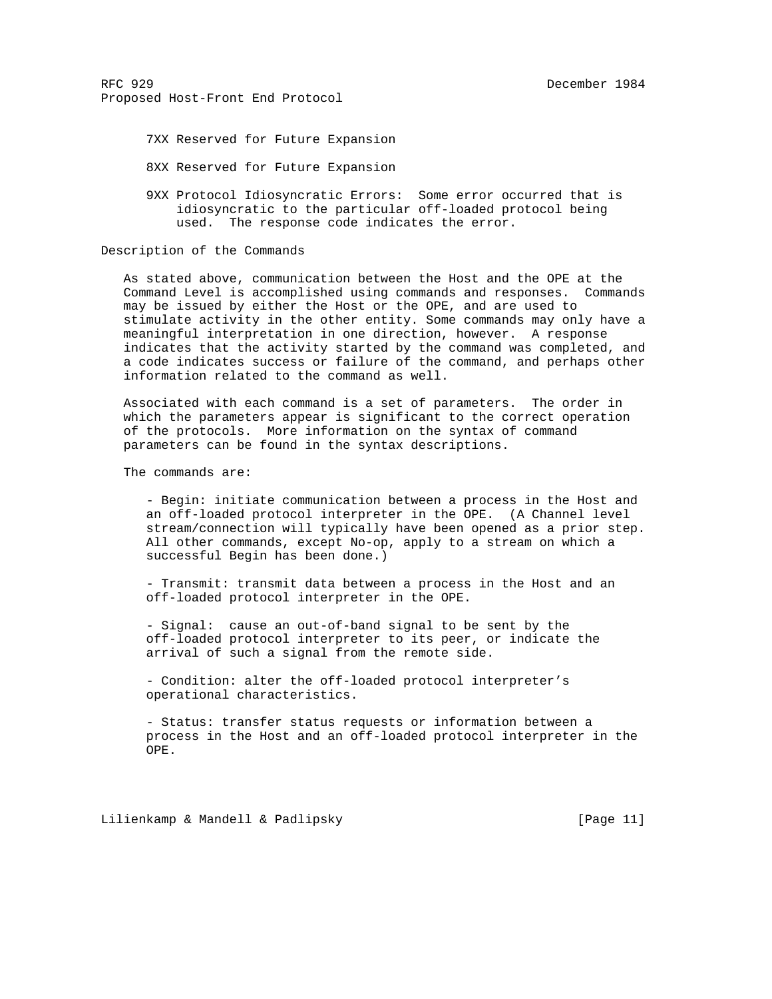7XX Reserved for Future Expansion

8XX Reserved for Future Expansion

 9XX Protocol Idiosyncratic Errors: Some error occurred that is idiosyncratic to the particular off-loaded protocol being used. The response code indicates the error.

Description of the Commands

 As stated above, communication between the Host and the OPE at the Command Level is accomplished using commands and responses. Commands may be issued by either the Host or the OPE, and are used to stimulate activity in the other entity. Some commands may only have a meaningful interpretation in one direction, however. A response indicates that the activity started by the command was completed, and a code indicates success or failure of the command, and perhaps other information related to the command as well.

 Associated with each command is a set of parameters. The order in which the parameters appear is significant to the correct operation of the protocols. More information on the syntax of command parameters can be found in the syntax descriptions.

The commands are:

 - Begin: initiate communication between a process in the Host and an off-loaded protocol interpreter in the OPE. (A Channel level stream/connection will typically have been opened as a prior step. All other commands, except No-op, apply to a stream on which a successful Begin has been done.)

 - Transmit: transmit data between a process in the Host and an off-loaded protocol interpreter in the OPE.

 - Signal: cause an out-of-band signal to be sent by the off-loaded protocol interpreter to its peer, or indicate the arrival of such a signal from the remote side.

 - Condition: alter the off-loaded protocol interpreter's operational characteristics.

 - Status: transfer status requests or information between a process in the Host and an off-loaded protocol interpreter in the OPE.

Lilienkamp & Mandell & Padlipsky [Page 11]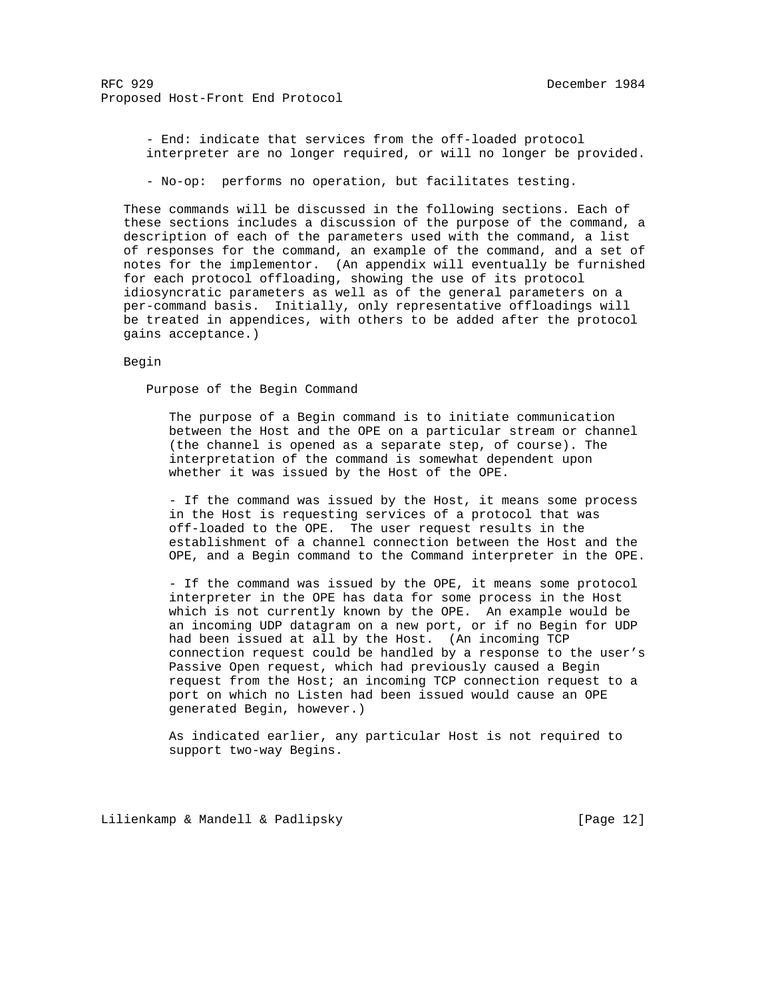- End: indicate that services from the off-loaded protocol interpreter are no longer required, or will no longer be provided.

- No-op: performs no operation, but facilitates testing.

 These commands will be discussed in the following sections. Each of these sections includes a discussion of the purpose of the command, a description of each of the parameters used with the command, a list of responses for the command, an example of the command, and a set of notes for the implementor. (An appendix will eventually be furnished for each protocol offloading, showing the use of its protocol idiosyncratic parameters as well as of the general parameters on a per-command basis. Initially, only representative offloadings will be treated in appendices, with others to be added after the protocol gains acceptance.)

Begin

Purpose of the Begin Command

 The purpose of a Begin command is to initiate communication between the Host and the OPE on a particular stream or channel (the channel is opened as a separate step, of course). The interpretation of the command is somewhat dependent upon whether it was issued by the Host of the OPE.

 - If the command was issued by the Host, it means some process in the Host is requesting services of a protocol that was off-loaded to the OPE. The user request results in the establishment of a channel connection between the Host and the OPE, and a Begin command to the Command interpreter in the OPE.

 - If the command was issued by the OPE, it means some protocol interpreter in the OPE has data for some process in the Host which is not currently known by the OPE. An example would be an incoming UDP datagram on a new port, or if no Begin for UDP had been issued at all by the Host. (An incoming TCP connection request could be handled by a response to the user's Passive Open request, which had previously caused a Begin request from the Host; an incoming TCP connection request to a port on which no Listen had been issued would cause an OPE generated Begin, however.)

 As indicated earlier, any particular Host is not required to support two-way Begins.

Lilienkamp & Mandell & Padlipsky [Page 12]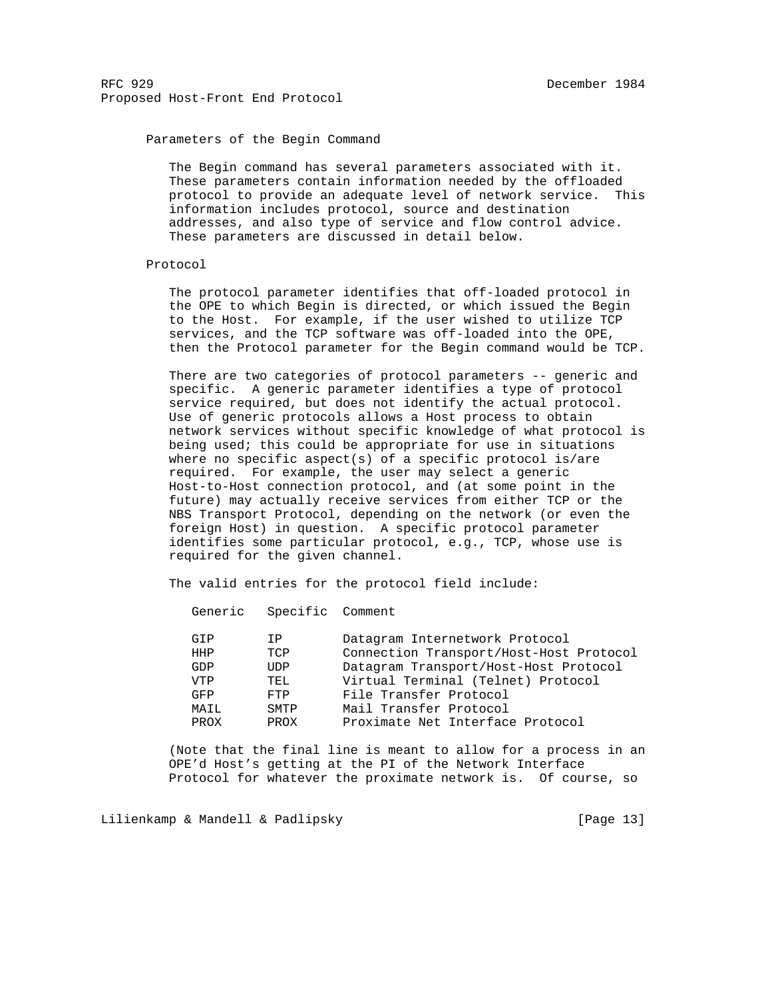# Parameters of the Begin Command

 The Begin command has several parameters associated with it. These parameters contain information needed by the offloaded protocol to provide an adequate level of network service. This information includes protocol, source and destination addresses, and also type of service and flow control advice. These parameters are discussed in detail below.

#### Protocol

 The protocol parameter identifies that off-loaded protocol in the OPE to which Begin is directed, or which issued the Begin to the Host. For example, if the user wished to utilize TCP services, and the TCP software was off-loaded into the OPE, then the Protocol parameter for the Begin command would be TCP.

 There are two categories of protocol parameters -- generic and specific. A generic parameter identifies a type of protocol service required, but does not identify the actual protocol. Use of generic protocols allows a Host process to obtain network services without specific knowledge of what protocol is being used; this could be appropriate for use in situations where no specific aspect(s) of a specific protocol is/are required. For example, the user may select a generic Host-to-Host connection protocol, and (at some point in the future) may actually receive services from either TCP or the NBS Transport Protocol, depending on the network (or even the foreign Host) in question. A specific protocol parameter identifies some particular protocol, e.g., TCP, whose use is required for the given channel.

The valid entries for the protocol field include:

Generic Specific Comment

| Connection Transport/Host-Host Protocol<br>TCP<br>HHP<br>Datagram Transport/Host-Host Protocol<br>GDP<br>UDP<br>Virtual Terminal (Telnet) Protocol<br><b>VTP</b><br>TEL<br>File Transfer Protocol<br>GFP<br>FTP<br>Mail Transfer Protocol<br>SMTP<br>MAIL<br>Proximate Net Interface Protocol<br>PROX<br>PROX | GTP | T P | Datagram Internetwork Protocol |
|---------------------------------------------------------------------------------------------------------------------------------------------------------------------------------------------------------------------------------------------------------------------------------------------------------------|-----|-----|--------------------------------|
|                                                                                                                                                                                                                                                                                                               |     |     |                                |
|                                                                                                                                                                                                                                                                                                               |     |     |                                |
|                                                                                                                                                                                                                                                                                                               |     |     |                                |
|                                                                                                                                                                                                                                                                                                               |     |     |                                |
|                                                                                                                                                                                                                                                                                                               |     |     |                                |
|                                                                                                                                                                                                                                                                                                               |     |     |                                |

 (Note that the final line is meant to allow for a process in an OPE'd Host's getting at the PI of the Network Interface Protocol for whatever the proximate network is. Of course, so

Lilienkamp & Mandell & Padlipsky [Page 13]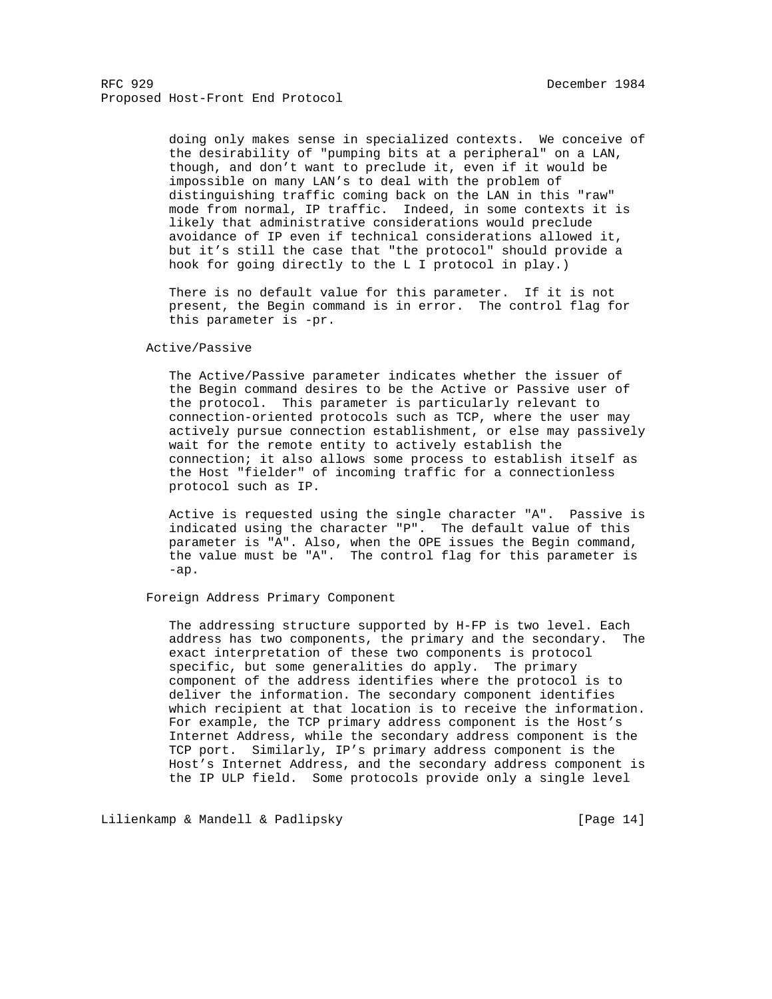> doing only makes sense in specialized contexts. We conceive of the desirability of "pumping bits at a peripheral" on a LAN, though, and don't want to preclude it, even if it would be impossible on many LAN's to deal with the problem of distinguishing traffic coming back on the LAN in this "raw" mode from normal, IP traffic. Indeed, in some contexts it is likely that administrative considerations would preclude avoidance of IP even if technical considerations allowed it, but it's still the case that "the protocol" should provide a hook for going directly to the L I protocol in play.)

 There is no default value for this parameter. If it is not present, the Begin command is in error. The control flag for this parameter is -pr.

#### Active/Passive

 The Active/Passive parameter indicates whether the issuer of the Begin command desires to be the Active or Passive user of the protocol. This parameter is particularly relevant to connection-oriented protocols such as TCP, where the user may actively pursue connection establishment, or else may passively wait for the remote entity to actively establish the connection; it also allows some process to establish itself as the Host "fielder" of incoming traffic for a connectionless protocol such as IP.

 Active is requested using the single character "A". Passive is indicated using the character "P". The default value of this parameter is "A". Also, when the OPE issues the Begin command, the value must be "A". The control flag for this parameter is -ap.

# Foreign Address Primary Component

 The addressing structure supported by H-FP is two level. Each address has two components, the primary and the secondary. The exact interpretation of these two components is protocol specific, but some generalities do apply. The primary component of the address identifies where the protocol is to deliver the information. The secondary component identifies which recipient at that location is to receive the information. For example, the TCP primary address component is the Host's Internet Address, while the secondary address component is the TCP port. Similarly, IP's primary address component is the Host's Internet Address, and the secondary address component is the IP ULP field. Some protocols provide only a single level

Lilienkamp & Mandell & Padlipsky [Page 14]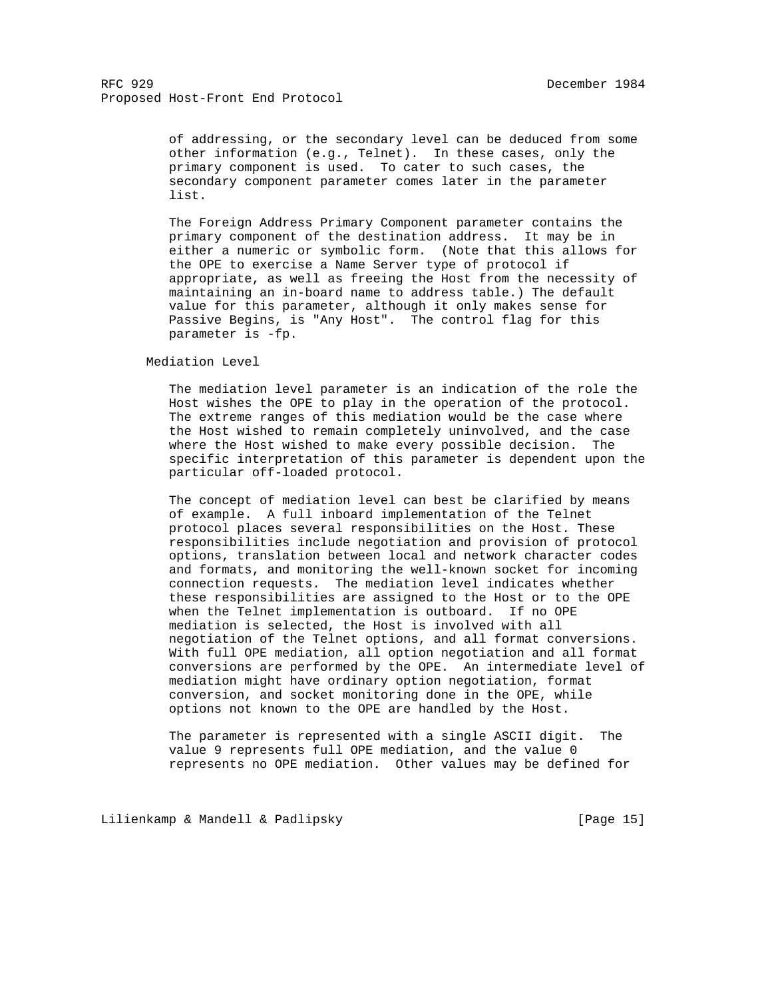of addressing, or the secondary level can be deduced from some other information (e.g., Telnet). In these cases, only the primary component is used. To cater to such cases, the secondary component parameter comes later in the parameter list.

 The Foreign Address Primary Component parameter contains the primary component of the destination address. It may be in either a numeric or symbolic form. (Note that this allows for the OPE to exercise a Name Server type of protocol if appropriate, as well as freeing the Host from the necessity of maintaining an in-board name to address table.) The default value for this parameter, although it only makes sense for Passive Begins, is "Any Host". The control flag for this parameter is -fp.

Mediation Level

 The mediation level parameter is an indication of the role the Host wishes the OPE to play in the operation of the protocol. The extreme ranges of this mediation would be the case where the Host wished to remain completely uninvolved, and the case where the Host wished to make every possible decision. The specific interpretation of this parameter is dependent upon the particular off-loaded protocol.

 The concept of mediation level can best be clarified by means of example. A full inboard implementation of the Telnet protocol places several responsibilities on the Host. These responsibilities include negotiation and provision of protocol options, translation between local and network character codes and formats, and monitoring the well-known socket for incoming connection requests. The mediation level indicates whether these responsibilities are assigned to the Host or to the OPE when the Telnet implementation is outboard. If no OPE mediation is selected, the Host is involved with all negotiation of the Telnet options, and all format conversions. With full OPE mediation, all option negotiation and all format conversions are performed by the OPE. An intermediate level of mediation might have ordinary option negotiation, format conversion, and socket monitoring done in the OPE, while options not known to the OPE are handled by the Host.

 The parameter is represented with a single ASCII digit. The value 9 represents full OPE mediation, and the value 0 represents no OPE mediation. Other values may be defined for

Lilienkamp & Mandell & Padlipsky [Page 15]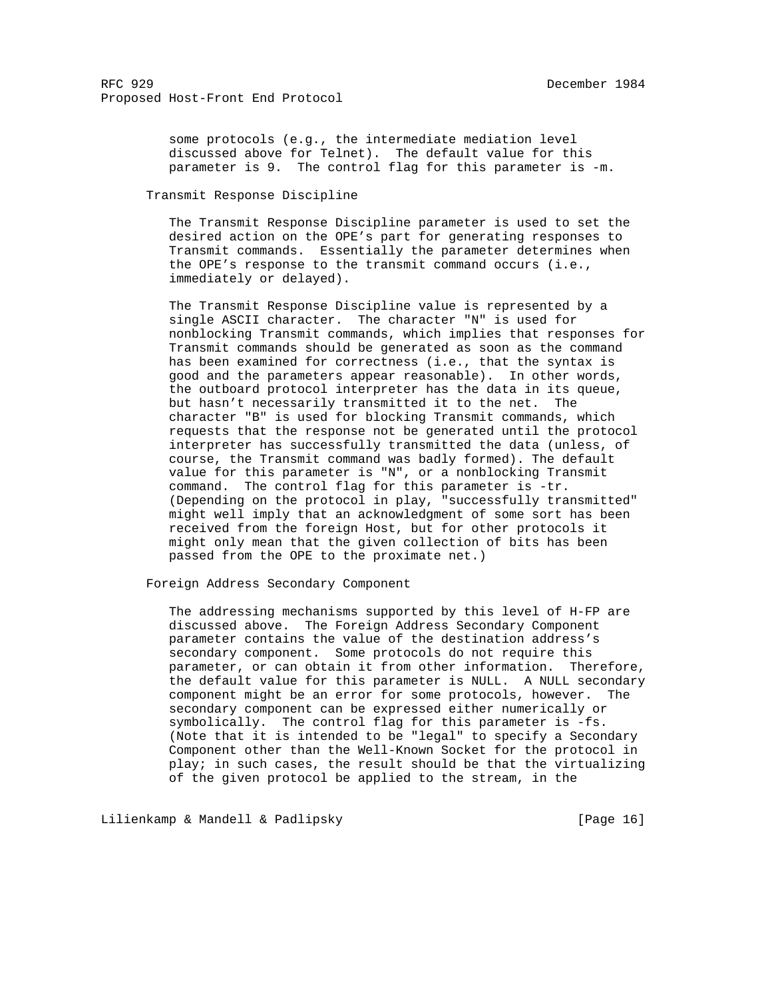some protocols (e.g., the intermediate mediation level discussed above for Telnet). The default value for this parameter is 9. The control flag for this parameter is -m.

Transmit Response Discipline

 The Transmit Response Discipline parameter is used to set the desired action on the OPE's part for generating responses to Transmit commands. Essentially the parameter determines when the OPE's response to the transmit command occurs (i.e., immediately or delayed).

 The Transmit Response Discipline value is represented by a single ASCII character. The character "N" is used for nonblocking Transmit commands, which implies that responses for Transmit commands should be generated as soon as the command has been examined for correctness (i.e., that the syntax is good and the parameters appear reasonable). In other words, the outboard protocol interpreter has the data in its queue, but hasn't necessarily transmitted it to the net. The character "B" is used for blocking Transmit commands, which requests that the response not be generated until the protocol interpreter has successfully transmitted the data (unless, of course, the Transmit command was badly formed). The default value for this parameter is "N", or a nonblocking Transmit command. The control flag for this parameter is -tr. (Depending on the protocol in play, "successfully transmitted" might well imply that an acknowledgment of some sort has been received from the foreign Host, but for other protocols it might only mean that the given collection of bits has been passed from the OPE to the proximate net.)

Foreign Address Secondary Component

 The addressing mechanisms supported by this level of H-FP are discussed above. The Foreign Address Secondary Component parameter contains the value of the destination address's secondary component. Some protocols do not require this parameter, or can obtain it from other information. Therefore, the default value for this parameter is NULL. A NULL secondary component might be an error for some protocols, however. The secondary component can be expressed either numerically or symbolically. The control flag for this parameter is -fs. (Note that it is intended to be "legal" to specify a Secondary Component other than the Well-Known Socket for the protocol in play; in such cases, the result should be that the virtualizing of the given protocol be applied to the stream, in the

Lilienkamp & Mandell & Padlipsky [Page 16]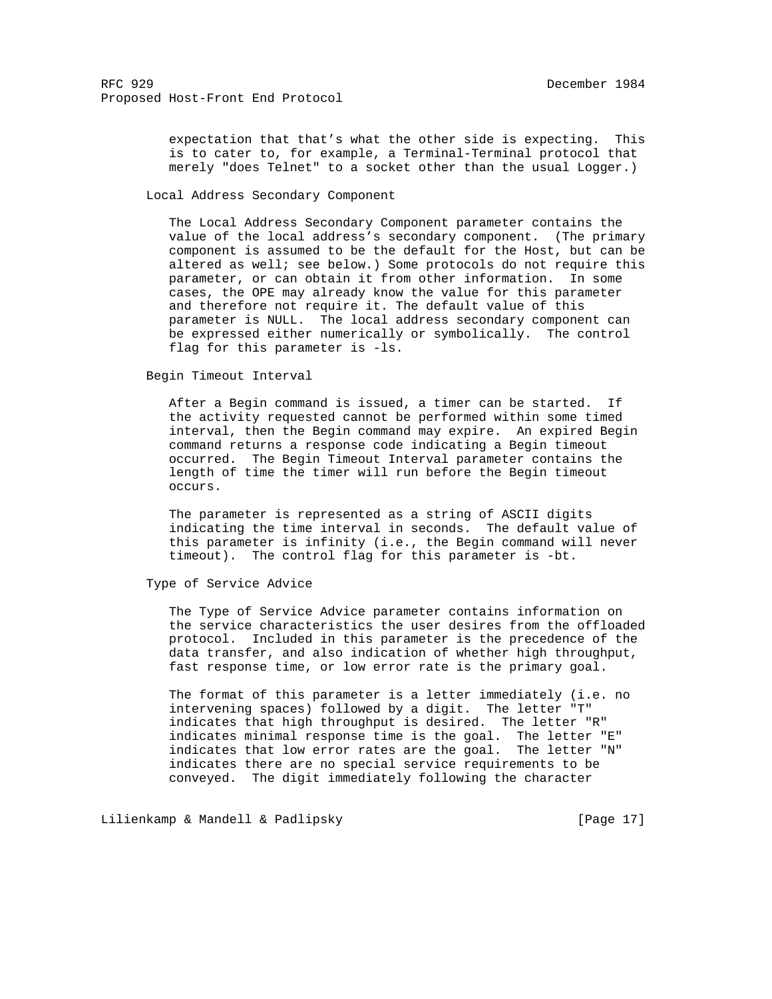expectation that that's what the other side is expecting. This is to cater to, for example, a Terminal-Terminal protocol that merely "does Telnet" to a socket other than the usual Logger.)

Local Address Secondary Component

 The Local Address Secondary Component parameter contains the value of the local address's secondary component. (The primary component is assumed to be the default for the Host, but can be altered as well; see below.) Some protocols do not require this parameter, or can obtain it from other information. In some cases, the OPE may already know the value for this parameter and therefore not require it. The default value of this parameter is NULL. The local address secondary component can be expressed either numerically or symbolically. The control flag for this parameter is -ls.

Begin Timeout Interval

 After a Begin command is issued, a timer can be started. If the activity requested cannot be performed within some timed interval, then the Begin command may expire. An expired Begin command returns a response code indicating a Begin timeout occurred. The Begin Timeout Interval parameter contains the length of time the timer will run before the Begin timeout occurs.

 The parameter is represented as a string of ASCII digits indicating the time interval in seconds. The default value of this parameter is infinity (i.e., the Begin command will never timeout). The control flag for this parameter is -bt.

Type of Service Advice

 The Type of Service Advice parameter contains information on the service characteristics the user desires from the offloaded protocol. Included in this parameter is the precedence of the data transfer, and also indication of whether high throughput, fast response time, or low error rate is the primary goal.

 The format of this parameter is a letter immediately (i.e. no intervening spaces) followed by a digit. The letter "T" indicates that high throughput is desired. The letter "R" indicates minimal response time is the goal. The letter "E" indicates that low error rates are the goal. The letter "N" indicates there are no special service requirements to be conveyed. The digit immediately following the character

Lilienkamp & Mandell & Padlipsky [Page 17]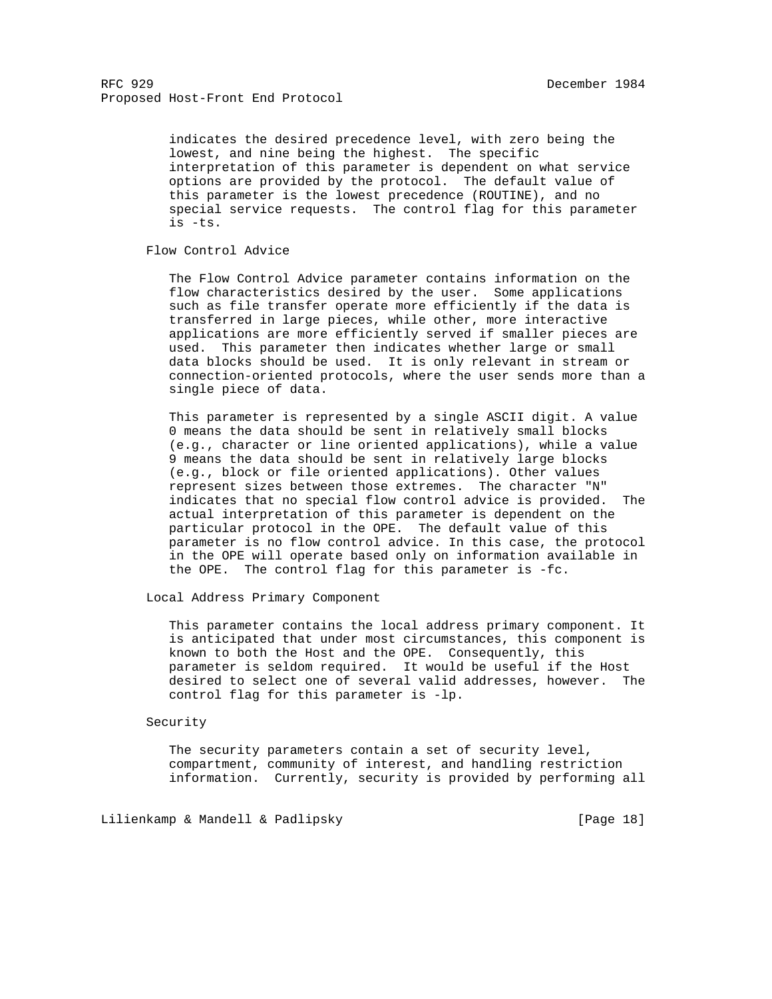indicates the desired precedence level, with zero being the lowest, and nine being the highest. The specific interpretation of this parameter is dependent on what service options are provided by the protocol. The default value of this parameter is the lowest precedence (ROUTINE), and no special service requests. The control flag for this parameter is -ts.

# Flow Control Advice

 The Flow Control Advice parameter contains information on the flow characteristics desired by the user. Some applications such as file transfer operate more efficiently if the data is transferred in large pieces, while other, more interactive applications are more efficiently served if smaller pieces are used. This parameter then indicates whether large or small data blocks should be used. It is only relevant in stream or connection-oriented protocols, where the user sends more than a single piece of data.

 This parameter is represented by a single ASCII digit. A value 0 means the data should be sent in relatively small blocks (e.g., character or line oriented applications), while a value 9 means the data should be sent in relatively large blocks (e.g., block or file oriented applications). Other values represent sizes between those extremes. The character "N" indicates that no special flow control advice is provided. The actual interpretation of this parameter is dependent on the particular protocol in the OPE. The default value of this parameter is no flow control advice. In this case, the protocol in the OPE will operate based only on information available in the OPE. The control flag for this parameter is -fc.

Local Address Primary Component

 This parameter contains the local address primary component. It is anticipated that under most circumstances, this component is known to both the Host and the OPE. Consequently, this parameter is seldom required. It would be useful if the Host desired to select one of several valid addresses, however. The control flag for this parameter is -lp.

## Security

 The security parameters contain a set of security level, compartment, community of interest, and handling restriction information. Currently, security is provided by performing all

Lilienkamp & Mandell & Padlipsky [Page 18]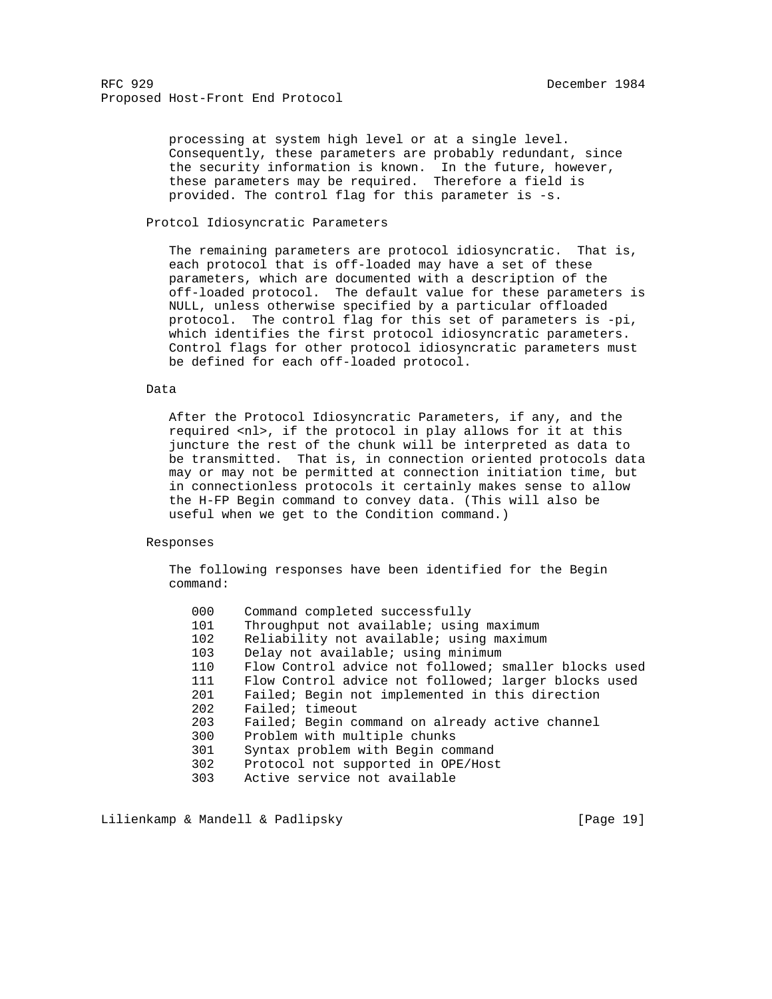processing at system high level or at a single level. Consequently, these parameters are probably redundant, since the security information is known. In the future, however, these parameters may be required. Therefore a field is provided. The control flag for this parameter is -s.

# Protcol Idiosyncratic Parameters

 The remaining parameters are protocol idiosyncratic. That is, each protocol that is off-loaded may have a set of these parameters, which are documented with a description of the off-loaded protocol. The default value for these parameters is NULL, unless otherwise specified by a particular offloaded protocol. The control flag for this set of parameters is -pi, which identifies the first protocol idiosyncratic parameters. Control flags for other protocol idiosyncratic parameters must be defined for each off-loaded protocol.

## Data

 After the Protocol Idiosyncratic Parameters, if any, and the required <nl>, if the protocol in play allows for it at this juncture the rest of the chunk will be interpreted as data to be transmitted. That is, in connection oriented protocols data may or may not be permitted at connection initiation time, but in connectionless protocols it certainly makes sense to allow the H-FP Begin command to convey data. (This will also be useful when we get to the Condition command.)

#### Responses

 The following responses have been identified for the Begin command:

| 000 | Command completed successfully                        |
|-----|-------------------------------------------------------|
| 101 | Throughput not available; using maximum               |
| 102 | Reliability not available; using maximum              |
| 103 | Delay not available; using minimum                    |
| 110 | Flow Control advice not followed; smaller blocks used |
| 111 | Flow Control advice not followed; larger blocks used  |
| 201 | Failed; Begin not implemented in this direction       |
| 202 | Failed; timeout                                       |
| 203 | Failed; Begin command on already active channel       |
| 300 | Problem with multiple chunks                          |
| 301 | Syntax problem with Begin command                     |
| 302 | Protocol not supported in OPE/Host                    |
| 303 | Active service not available                          |
|     |                                                       |

Lilienkamp & Mandell & Padlipsky [Page 19]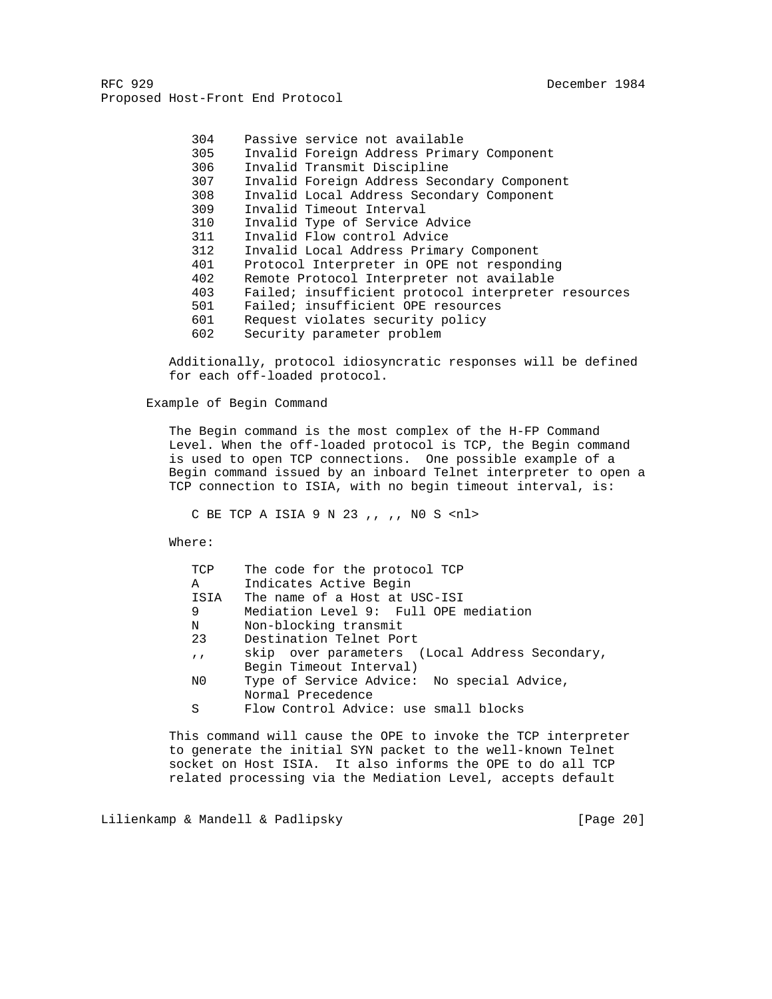> 304 Passive service not available 305 Invalid Foreign Address Primary Component 306 Invalid Transmit Discipline 307 Invalid Foreign Address Secondary Component 308 Invalid Local Address Secondary Component 309 Invalid Timeout Interval 310 Invalid Type of Service Advice 311 Invalid Flow control Advice 312 Invalid Local Address Primary Component 401 Protocol Interpreter in OPE not responding 402 Remote Protocol Interpreter not available 403 Failed; insufficient protocol interpreter resources 501 Failed; insufficient OPE resources 601 Request violates security policy 602 Security parameter problem

 Additionally, protocol idiosyncratic responses will be defined for each off-loaded protocol.

Example of Begin Command

 The Begin command is the most complex of the H-FP Command Level. When the off-loaded protocol is TCP, the Begin command is used to open TCP connections. One possible example of a Begin command issued by an inboard Telnet interpreter to open a TCP connection to ISIA, with no begin timeout interval, is:

C BE TCP A ISIA 9 N 23 ,, ,, N0 S <nl>

Where:

| TCP        | The code for the protocol TCP                  |
|------------|------------------------------------------------|
| A          | Indicates Active Begin                         |
| ISIA       | The name of a Host at USC-ISI                  |
| 9          | Mediation Level 9: Full OPE mediation          |
| N          | Non-blocking transmit                          |
| 23         | Destination Telnet Port                        |
| $\sqrt{ }$ | skip over parameters (Local Address Secondary, |
|            | Begin Timeout Interval)                        |
| N0         | Type of Service Advice: No special Advice,     |
|            | Normal Precedence                              |
| S          | Flow Control Advice: use small blocks          |

 This command will cause the OPE to invoke the TCP interpreter to generate the initial SYN packet to the well-known Telnet socket on Host ISIA. It also informs the OPE to do all TCP related processing via the Mediation Level, accepts default

Lilienkamp & Mandell & Padlipsky [Page 20]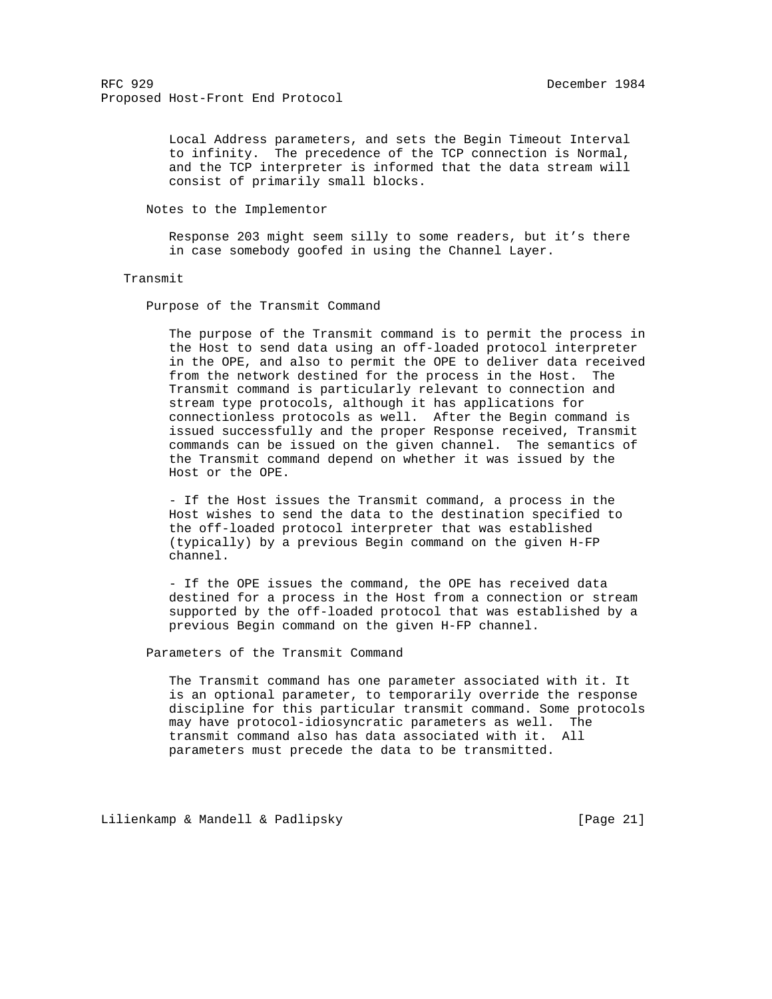Local Address parameters, and sets the Begin Timeout Interval to infinity. The precedence of the TCP connection is Normal, and the TCP interpreter is informed that the data stream will consist of primarily small blocks.

Notes to the Implementor

 Response 203 might seem silly to some readers, but it's there in case somebody goofed in using the Channel Layer.

#### Transmit

Purpose of the Transmit Command

 The purpose of the Transmit command is to permit the process in the Host to send data using an off-loaded protocol interpreter in the OPE, and also to permit the OPE to deliver data received from the network destined for the process in the Host. The Transmit command is particularly relevant to connection and stream type protocols, although it has applications for connectionless protocols as well. After the Begin command is issued successfully and the proper Response received, Transmit commands can be issued on the given channel. The semantics of the Transmit command depend on whether it was issued by the Host or the OPE.

 - If the Host issues the Transmit command, a process in the Host wishes to send the data to the destination specified to the off-loaded protocol interpreter that was established (typically) by a previous Begin command on the given H-FP channel.

 - If the OPE issues the command, the OPE has received data destined for a process in the Host from a connection or stream supported by the off-loaded protocol that was established by a previous Begin command on the given H-FP channel.

Parameters of the Transmit Command

 The Transmit command has one parameter associated with it. It is an optional parameter, to temporarily override the response discipline for this particular transmit command. Some protocols may have protocol-idiosyncratic parameters as well. The transmit command also has data associated with it. All parameters must precede the data to be transmitted.

Lilienkamp & Mandell & Padlipsky [Page 21]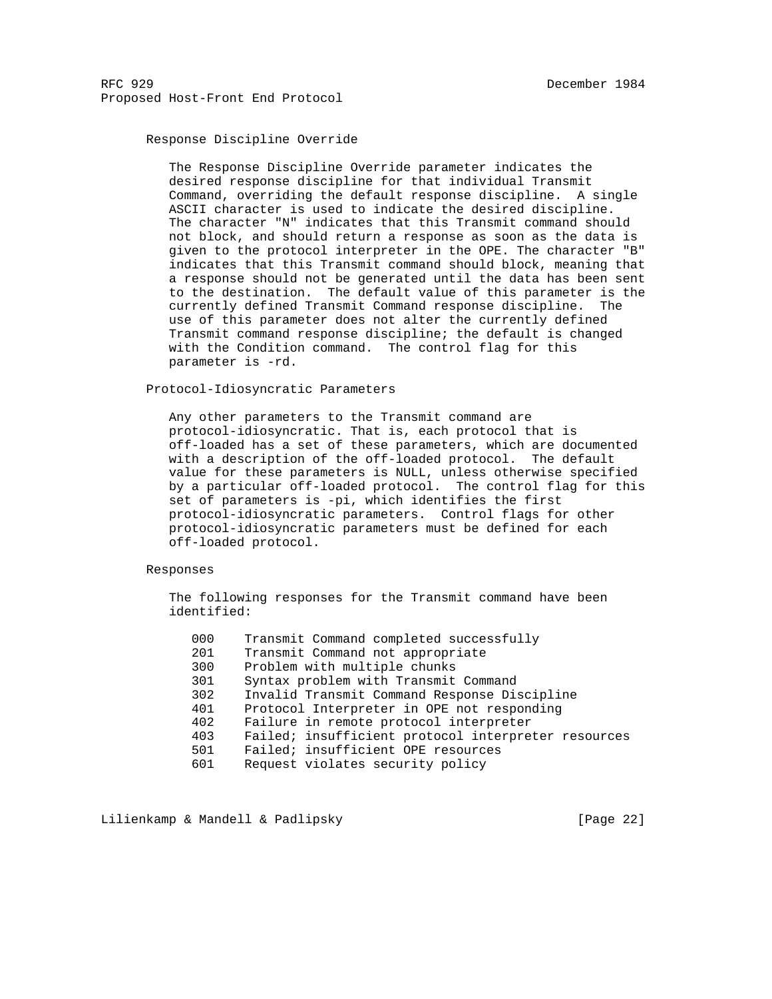# Response Discipline Override

 The Response Discipline Override parameter indicates the desired response discipline for that individual Transmit Command, overriding the default response discipline. A single ASCII character is used to indicate the desired discipline. The character "N" indicates that this Transmit command should not block, and should return a response as soon as the data is given to the protocol interpreter in the OPE. The character "B" indicates that this Transmit command should block, meaning that a response should not be generated until the data has been sent to the destination. The default value of this parameter is the currently defined Transmit Command response discipline. The use of this parameter does not alter the currently defined Transmit command response discipline; the default is changed with the Condition command. The control flag for this parameter is -rd.

Protocol-Idiosyncratic Parameters

 Any other parameters to the Transmit command are protocol-idiosyncratic. That is, each protocol that is off-loaded has a set of these parameters, which are documented with a description of the off-loaded protocol. The default value for these parameters is NULL, unless otherwise specified by a particular off-loaded protocol. The control flag for this set of parameters is -pi, which identifies the first protocol-idiosyncratic parameters. Control flags for other protocol-idiosyncratic parameters must be defined for each off-loaded protocol.

## Responses

 The following responses for the Transmit command have been identified:

| 000 | Transmit Command completed successfully             |
|-----|-----------------------------------------------------|
| 201 | Transmit Command not appropriate                    |
| 300 | Problem with multiple chunks                        |
| 301 | Syntax problem with Transmit Command                |
| 302 | Invalid Transmit Command Response Discipline        |
| 401 | Protocol Interpreter in OPE not responding          |
| 402 | Failure in remote protocol interpreter              |
| 403 | Failed; insufficient protocol interpreter resources |
| 501 | Failed; insufficient OPE resources                  |
| 601 | Request violates security policy                    |
|     |                                                     |

Lilienkamp & Mandell & Padlipsky [Page 22]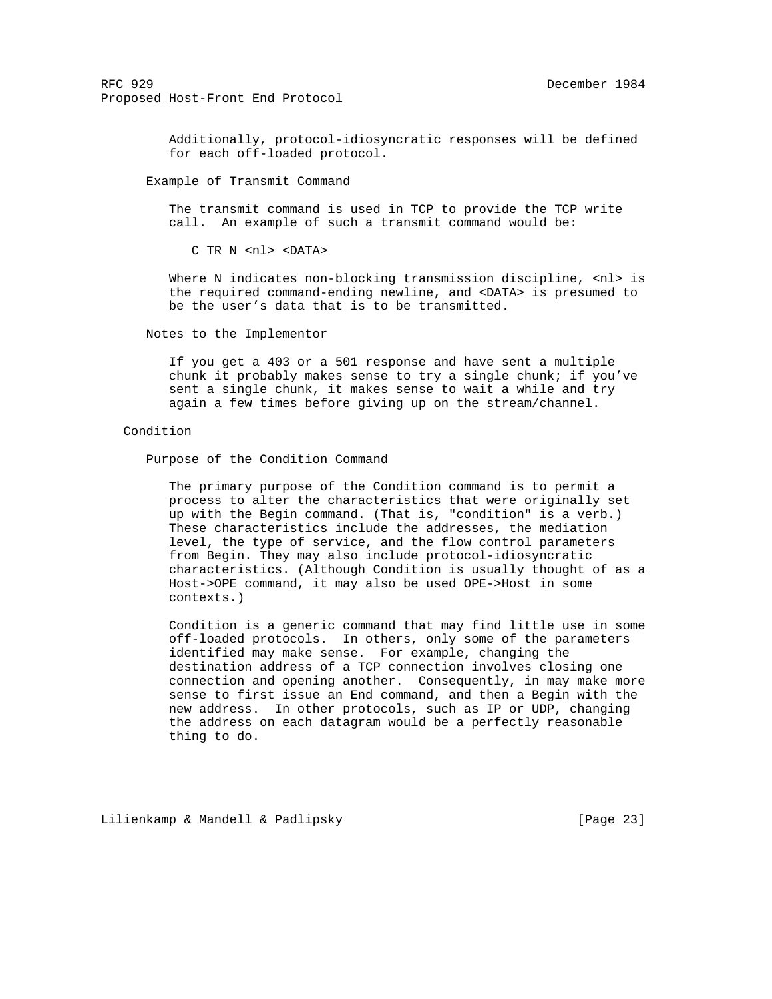> Additionally, protocol-idiosyncratic responses will be defined for each off-loaded protocol.

Example of Transmit Command

 The transmit command is used in TCP to provide the TCP write call. An example of such a transmit command would be:

C TR N <nl> <DATA>

Where N indicates non-blocking transmission discipline, <nl> is the required command-ending newline, and <DATA> is presumed to be the user's data that is to be transmitted.

Notes to the Implementor

 If you get a 403 or a 501 response and have sent a multiple chunk it probably makes sense to try a single chunk; if you've sent a single chunk, it makes sense to wait a while and try again a few times before giving up on the stream/channel.

# Condition

Purpose of the Condition Command

 The primary purpose of the Condition command is to permit a process to alter the characteristics that were originally set up with the Begin command. (That is, "condition" is a verb.) These characteristics include the addresses, the mediation level, the type of service, and the flow control parameters from Begin. They may also include protocol-idiosyncratic characteristics. (Although Condition is usually thought of as a Host->OPE command, it may also be used OPE->Host in some contexts.)

 Condition is a generic command that may find little use in some off-loaded protocols. In others, only some of the parameters identified may make sense. For example, changing the destination address of a TCP connection involves closing one connection and opening another. Consequently, in may make more sense to first issue an End command, and then a Begin with the new address. In other protocols, such as IP or UDP, changing the address on each datagram would be a perfectly reasonable thing to do.

Lilienkamp & Mandell & Padlipsky [Page 23]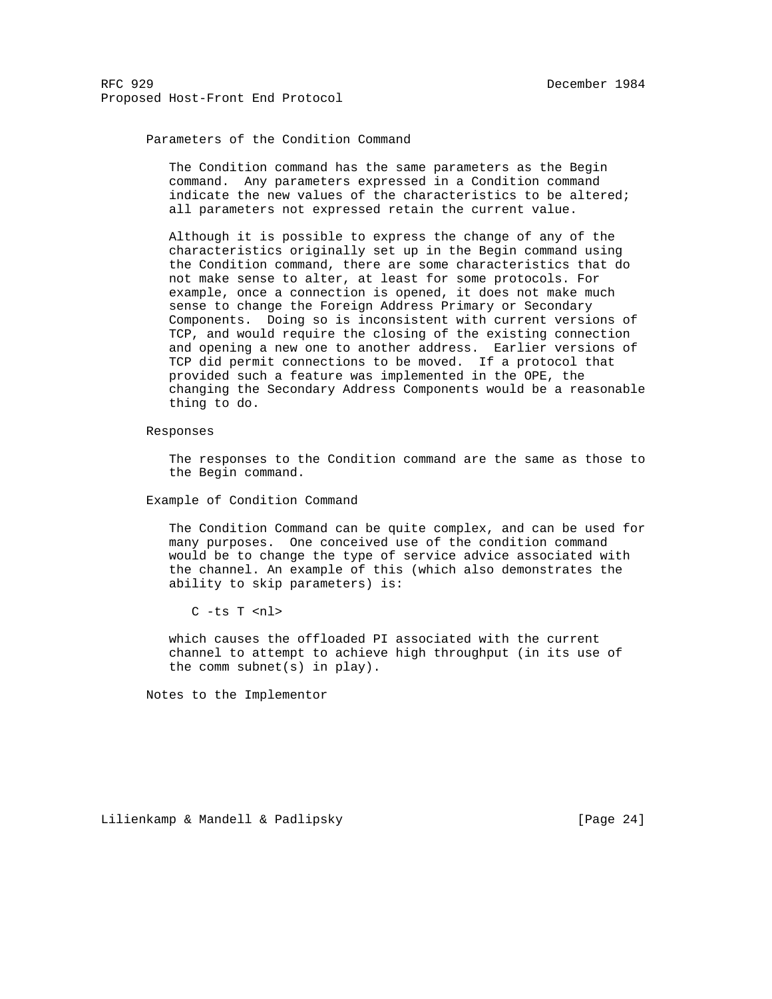# Parameters of the Condition Command

 The Condition command has the same parameters as the Begin command. Any parameters expressed in a Condition command indicate the new values of the characteristics to be altered; all parameters not expressed retain the current value.

 Although it is possible to express the change of any of the characteristics originally set up in the Begin command using the Condition command, there are some characteristics that do not make sense to alter, at least for some protocols. For example, once a connection is opened, it does not make much sense to change the Foreign Address Primary or Secondary Components. Doing so is inconsistent with current versions of TCP, and would require the closing of the existing connection and opening a new one to another address. Earlier versions of TCP did permit connections to be moved. If a protocol that provided such a feature was implemented in the OPE, the changing the Secondary Address Components would be a reasonable thing to do.

#### Responses

 The responses to the Condition command are the same as those to the Begin command.

Example of Condition Command

 The Condition Command can be quite complex, and can be used for many purposes. One conceived use of the condition command would be to change the type of service advice associated with the channel. An example of this (which also demonstrates the ability to skip parameters) is:

C -ts T <nl>

 which causes the offloaded PI associated with the current channel to attempt to achieve high throughput (in its use of the comm subnet(s) in play).

Notes to the Implementor

Lilienkamp & Mandell & Padlipsky [Page 24]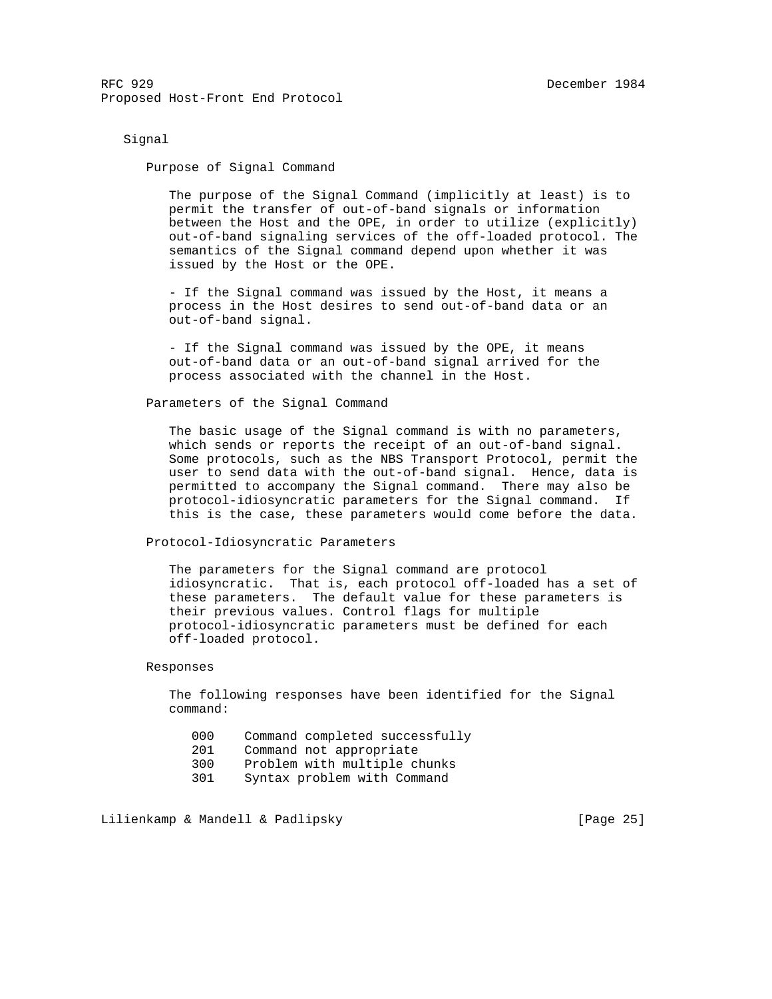Signal

Purpose of Signal Command

 The purpose of the Signal Command (implicitly at least) is to permit the transfer of out-of-band signals or information between the Host and the OPE, in order to utilize (explicitly) out-of-band signaling services of the off-loaded protocol. The semantics of the Signal command depend upon whether it was issued by the Host or the OPE.

 - If the Signal command was issued by the Host, it means a process in the Host desires to send out-of-band data or an out-of-band signal.

 - If the Signal command was issued by the OPE, it means out-of-band data or an out-of-band signal arrived for the process associated with the channel in the Host.

Parameters of the Signal Command

 The basic usage of the Signal command is with no parameters, which sends or reports the receipt of an out-of-band signal. Some protocols, such as the NBS Transport Protocol, permit the user to send data with the out-of-band signal. Hence, data is permitted to accompany the Signal command. There may also be protocol-idiosyncratic parameters for the Signal command. If this is the case, these parameters would come before the data.

Protocol-Idiosyncratic Parameters

 The parameters for the Signal command are protocol idiosyncratic. That is, each protocol off-loaded has a set of these parameters. The default value for these parameters is their previous values. Control flags for multiple protocol-idiosyncratic parameters must be defined for each off-loaded protocol.

Responses

 The following responses have been identified for the Signal command:

- 000 Command completed successfully
- 201 Command not appropriate
- 300 Problem with multiple chunks
- 301 Syntax problem with Command

Lilienkamp & Mandell & Padlipsky [Page 25]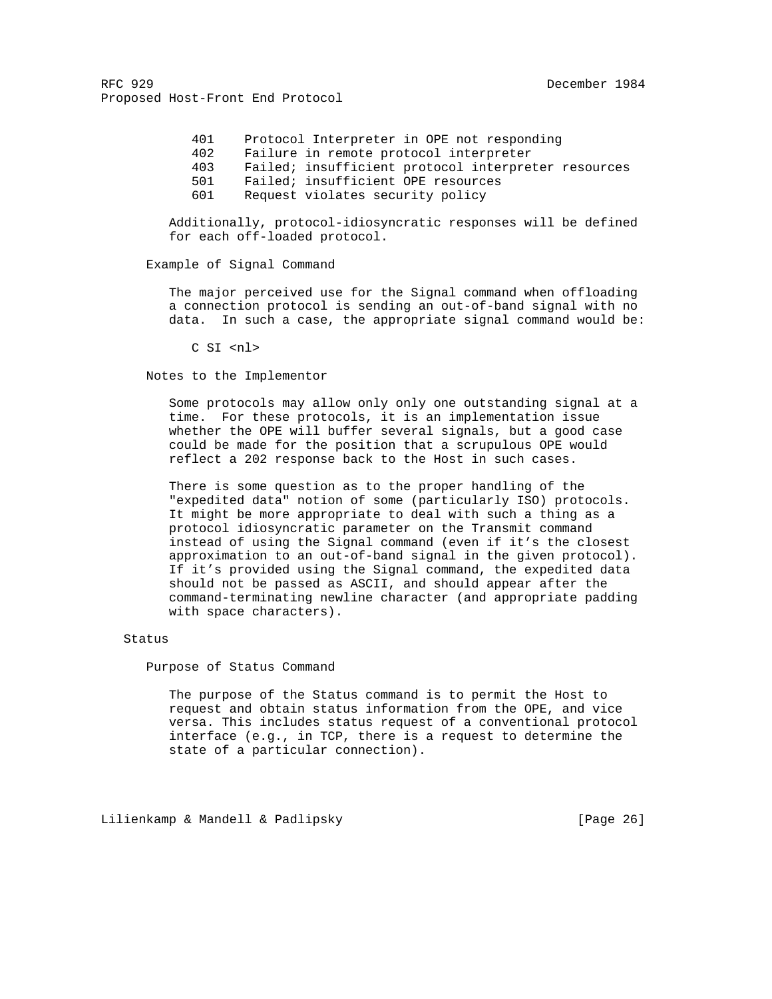> 401 Protocol Interpreter in OPE not responding 402 Failure in remote protocol interpreter 403 Failed; insufficient protocol interpreter resources 501 Failed; insufficient OPE resources 601 Request violates security policy

 Additionally, protocol-idiosyncratic responses will be defined for each off-loaded protocol.

## Example of Signal Command

 The major perceived use for the Signal command when offloading a connection protocol is sending an out-of-band signal with no data. In such a case, the appropriate signal command would be:

C SI <nl>

Notes to the Implementor

 Some protocols may allow only only one outstanding signal at a time. For these protocols, it is an implementation issue whether the OPE will buffer several signals, but a good case could be made for the position that a scrupulous OPE would reflect a 202 response back to the Host in such cases.

 There is some question as to the proper handling of the "expedited data" notion of some (particularly ISO) protocols. It might be more appropriate to deal with such a thing as a protocol idiosyncratic parameter on the Transmit command instead of using the Signal command (even if it's the closest approximation to an out-of-band signal in the given protocol). If it's provided using the Signal command, the expedited data should not be passed as ASCII, and should appear after the command-terminating newline character (and appropriate padding with space characters).

#### Status

Purpose of Status Command

 The purpose of the Status command is to permit the Host to request and obtain status information from the OPE, and vice versa. This includes status request of a conventional protocol interface (e.g., in TCP, there is a request to determine the state of a particular connection).

Lilienkamp & Mandell & Padlipsky [Page 26]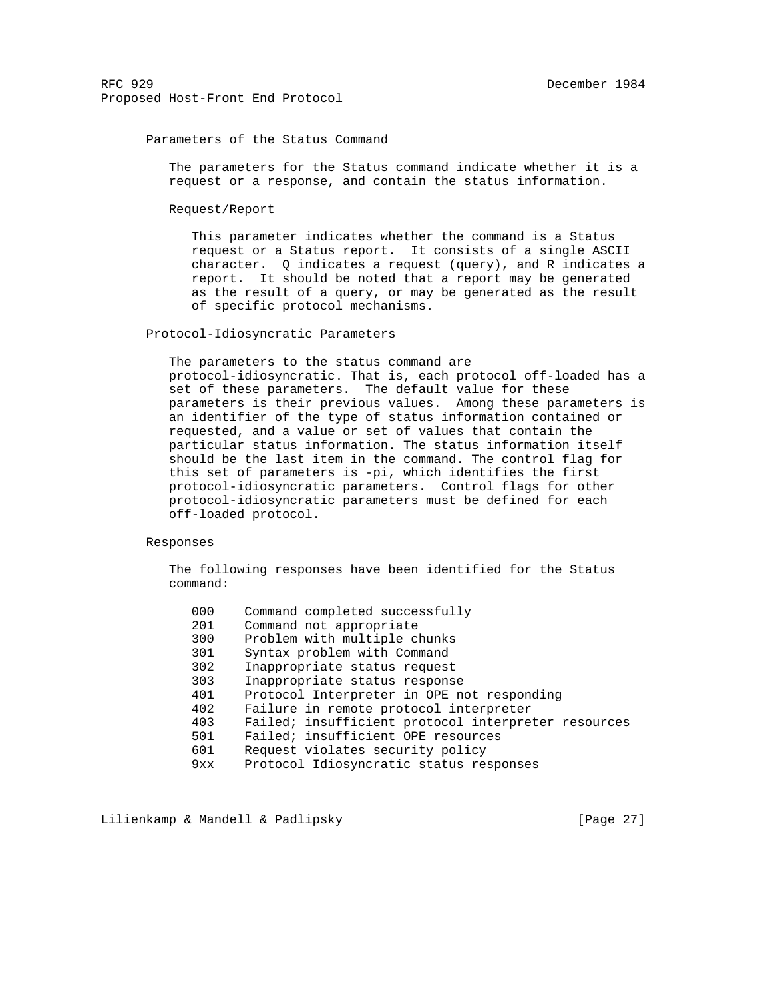## Parameters of the Status Command

 The parameters for the Status command indicate whether it is a request or a response, and contain the status information.

Request/Report

 This parameter indicates whether the command is a Status request or a Status report. It consists of a single ASCII character. Q indicates a request (query), and R indicates a report. It should be noted that a report may be generated as the result of a query, or may be generated as the result of specific protocol mechanisms.

## Protocol-Idiosyncratic Parameters

 The parameters to the status command are protocol-idiosyncratic. That is, each protocol off-loaded has a set of these parameters. The default value for these parameters is their previous values. Among these parameters is an identifier of the type of status information contained or requested, and a value or set of values that contain the particular status information. The status information itself should be the last item in the command. The control flag for this set of parameters is -pi, which identifies the first protocol-idiosyncratic parameters. Control flags for other protocol-idiosyncratic parameters must be defined for each off-loaded protocol.

## Responses

 The following responses have been identified for the Status command:

| 000 | Command completed successfully                      |
|-----|-----------------------------------------------------|
| 201 | Command not appropriate                             |
| 300 | Problem with multiple chunks                        |
| 301 | Syntax problem with Command                         |
| 302 | Inappropriate status request                        |
| 303 | Inappropriate status response                       |
| 401 | Protocol Interpreter in OPE not responding          |
| 402 | Failure in remote protocol interpreter              |
| 403 | Failed; insufficient protocol interpreter resources |
| 501 | Failed; insufficient OPE resources                  |
| 601 | Request violates security policy                    |
| 9xx | Protocol Idiosyncratic status responses             |

Lilienkamp & Mandell & Padlipsky [Page 27]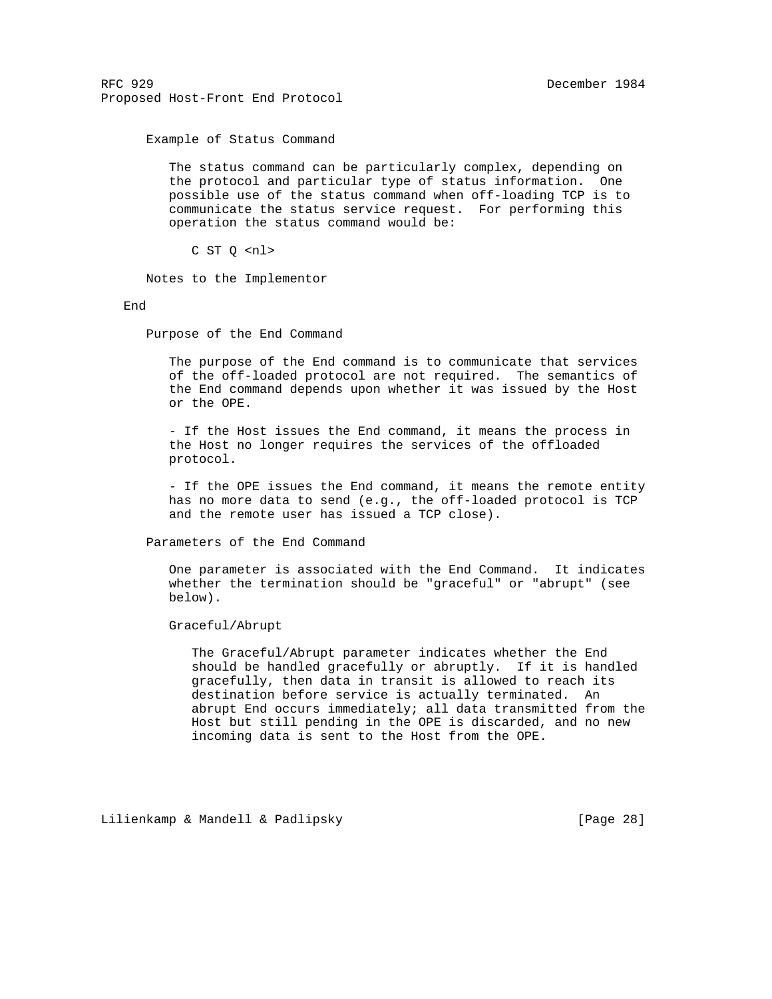Example of Status Command

 The status command can be particularly complex, depending on the protocol and particular type of status information. One possible use of the status command when off-loading TCP is to communicate the status service request. For performing this operation the status command would be:

C ST Q <nl>

Notes to the Implementor

End

Purpose of the End Command

 The purpose of the End command is to communicate that services of the off-loaded protocol are not required. The semantics of the End command depends upon whether it was issued by the Host or the OPE.

 - If the Host issues the End command, it means the process in the Host no longer requires the services of the offloaded protocol.

 - If the OPE issues the End command, it means the remote entity has no more data to send (e.g., the off-loaded protocol is TCP and the remote user has issued a TCP close).

Parameters of the End Command

 One parameter is associated with the End Command. It indicates whether the termination should be "graceful" or "abrupt" (see below).

Graceful/Abrupt

 The Graceful/Abrupt parameter indicates whether the End should be handled gracefully or abruptly. If it is handled gracefully, then data in transit is allowed to reach its destination before service is actually terminated. An abrupt End occurs immediately; all data transmitted from the Host but still pending in the OPE is discarded, and no new incoming data is sent to the Host from the OPE.

Lilienkamp & Mandell & Padlipsky [Page 28]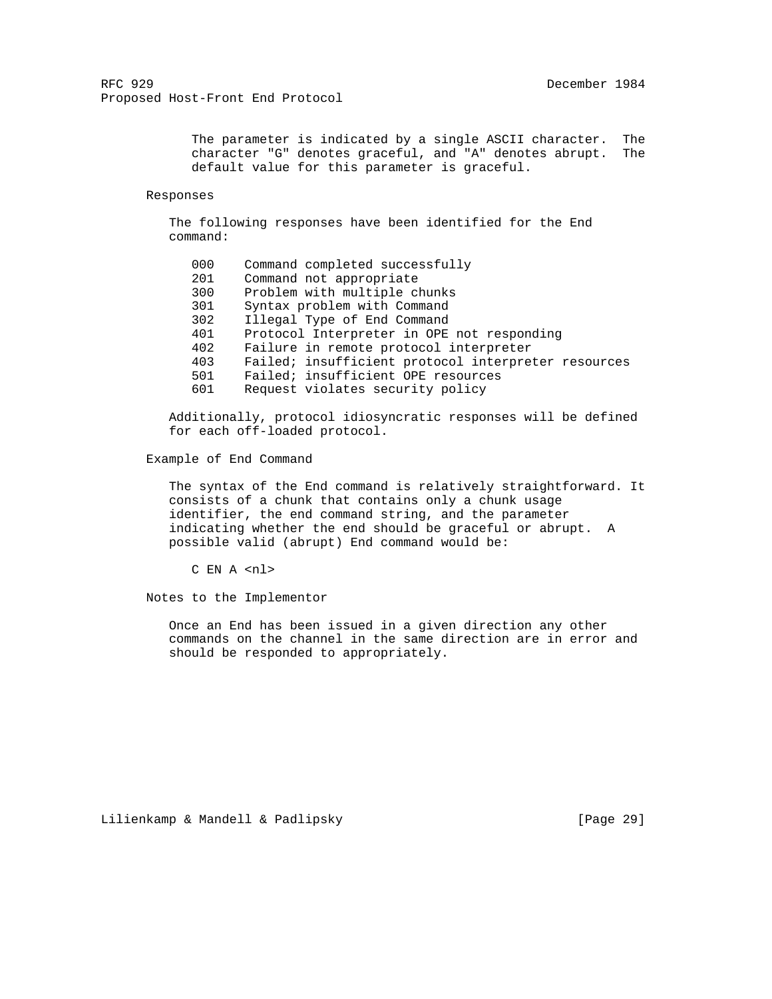The parameter is indicated by a single ASCII character. The character "G" denotes graceful, and "A" denotes abrupt. The default value for this parameter is graceful.

#### Responses

 The following responses have been identified for the End command:

| 000 | Command completed successfully                      |
|-----|-----------------------------------------------------|
| 201 | Command not appropriate                             |
| 300 | Problem with multiple chunks                        |
| 301 | Syntax problem with Command                         |
| 302 | Illegal Type of End Command                         |
| 401 | Protocol Interpreter in OPE not responding          |
| 402 | Failure in remote protocol interpreter              |
| 403 | Failed; insufficient protocol interpreter resources |
| 501 | Failed; insufficient OPE resources                  |
| 601 | Request violates security policy                    |

 Additionally, protocol idiosyncratic responses will be defined for each off-loaded protocol.

Example of End Command

 The syntax of the End command is relatively straightforward. It consists of a chunk that contains only a chunk usage identifier, the end command string, and the parameter indicating whether the end should be graceful or abrupt. A possible valid (abrupt) End command would be:

C EN A <nl>

Notes to the Implementor

 Once an End has been issued in a given direction any other commands on the channel in the same direction are in error and should be responded to appropriately.

Lilienkamp & Mandell & Padlipsky [Page 29]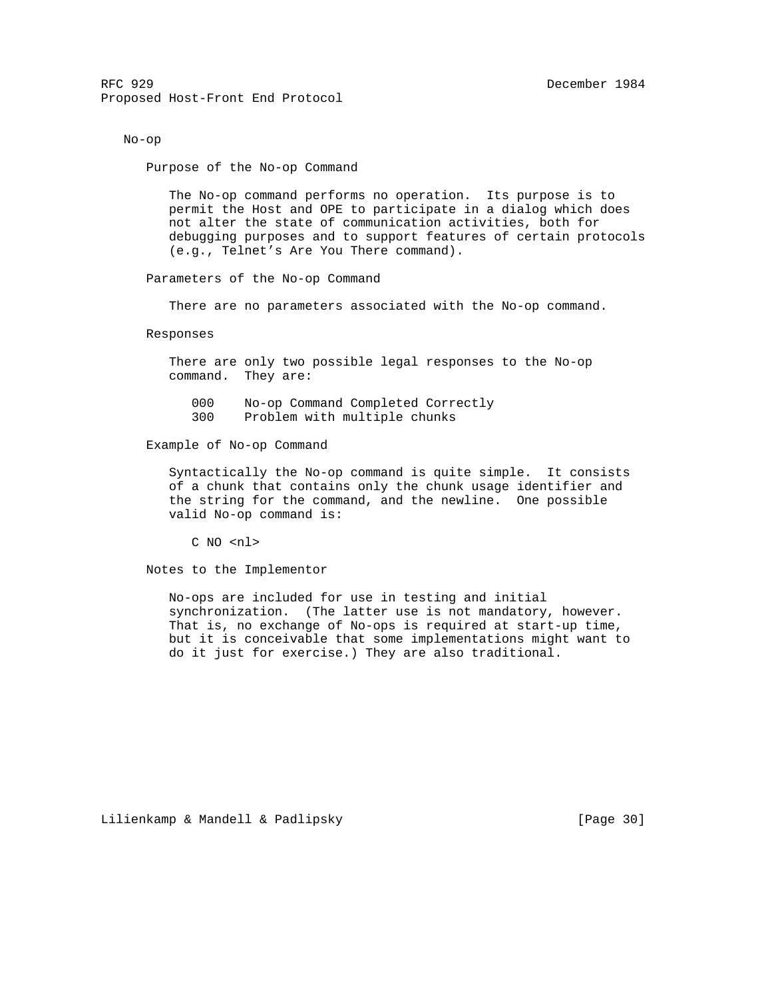No-op

Purpose of the No-op Command

 The No-op command performs no operation. Its purpose is to permit the Host and OPE to participate in a dialog which does not alter the state of communication activities, both for debugging purposes and to support features of certain protocols (e.g., Telnet's Are You There command).

Parameters of the No-op Command

There are no parameters associated with the No-op command.

Responses

 There are only two possible legal responses to the No-op command. They are:

000 No-op Command Completed Correctly

300 Problem with multiple chunks

Example of No-op Command

 Syntactically the No-op command is quite simple. It consists of a chunk that contains only the chunk usage identifier and the string for the command, and the newline. One possible valid No-op command is:

C NO <nl>

Notes to the Implementor

 No-ops are included for use in testing and initial synchronization. (The latter use is not mandatory, however. That is, no exchange of No-ops is required at start-up time, but it is conceivable that some implementations might want to do it just for exercise.) They are also traditional.

Lilienkamp & Mandell & Padlipsky [Page 30]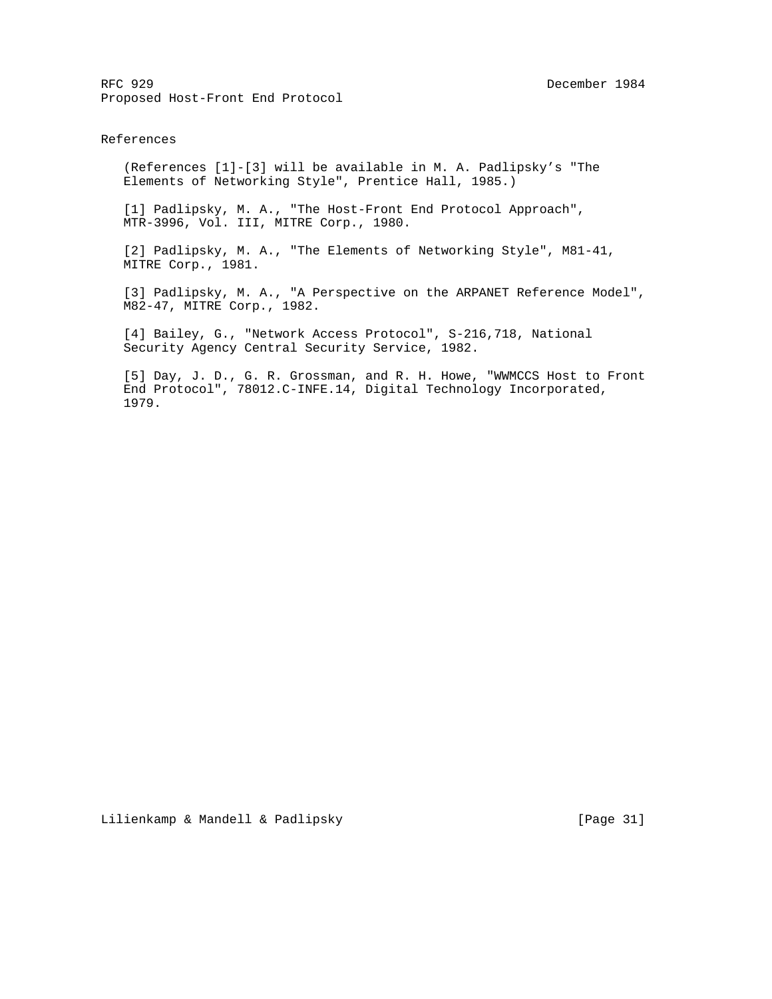## References

 (References [1]-[3] will be available in M. A. Padlipsky's "The Elements of Networking Style", Prentice Hall, 1985.)

 [1] Padlipsky, M. A., "The Host-Front End Protocol Approach", MTR-3996, Vol. III, MITRE Corp., 1980.

 [2] Padlipsky, M. A., "The Elements of Networking Style", M81-41, MITRE Corp., 1981.

 [3] Padlipsky, M. A., "A Perspective on the ARPANET Reference Model", M82-47, MITRE Corp., 1982.

 [4] Bailey, G., "Network Access Protocol", S-216,718, National Security Agency Central Security Service, 1982.

 [5] Day, J. D., G. R. Grossman, and R. H. Howe, "WWMCCS Host to Front End Protocol", 78012.C-INFE.14, Digital Technology Incorporated, 1979.

Lilienkamp & Mandell & Padlipsky [Page 31]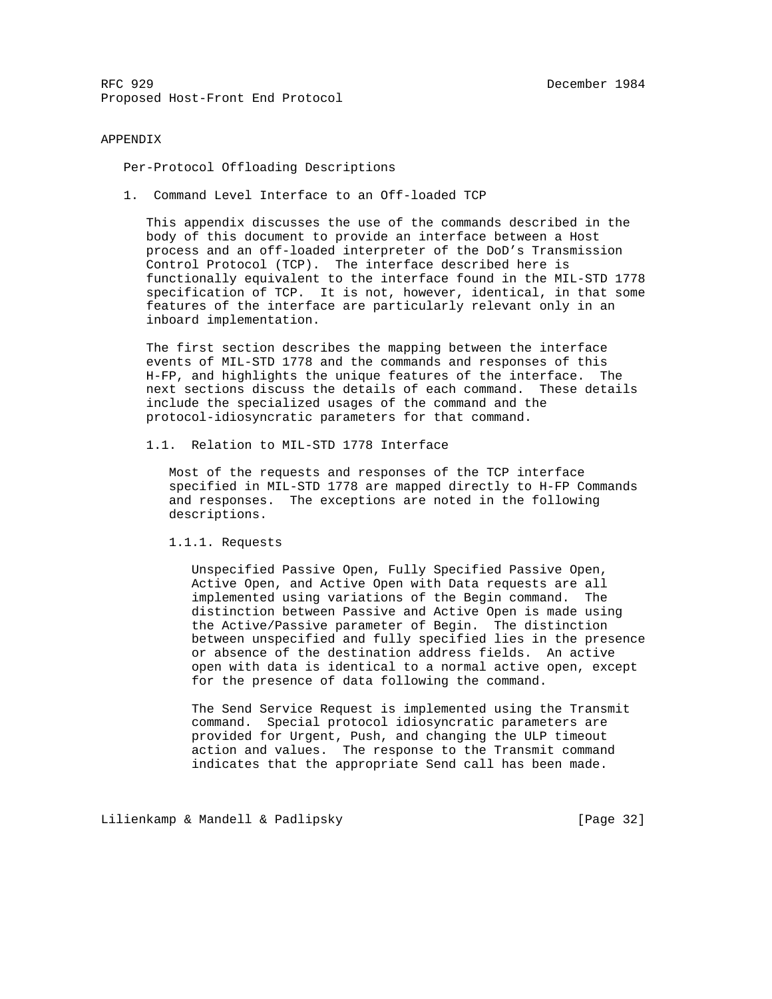#### APPENDIX

Per-Protocol Offloading Descriptions

1. Command Level Interface to an Off-loaded TCP

 This appendix discusses the use of the commands described in the body of this document to provide an interface between a Host process and an off-loaded interpreter of the DoD's Transmission Control Protocol (TCP). The interface described here is functionally equivalent to the interface found in the MIL-STD 1778 specification of TCP. It is not, however, identical, in that some features of the interface are particularly relevant only in an inboard implementation.

 The first section describes the mapping between the interface events of MIL-STD 1778 and the commands and responses of this H-FP, and highlights the unique features of the interface. The next sections discuss the details of each command. These details include the specialized usages of the command and the protocol-idiosyncratic parameters for that command.

1.1. Relation to MIL-STD 1778 Interface

 Most of the requests and responses of the TCP interface specified in MIL-STD 1778 are mapped directly to H-FP Commands and responses. The exceptions are noted in the following descriptions.

1.1.1. Requests

 Unspecified Passive Open, Fully Specified Passive Open, Active Open, and Active Open with Data requests are all implemented using variations of the Begin command. The distinction between Passive and Active Open is made using the Active/Passive parameter of Begin. The distinction between unspecified and fully specified lies in the presence or absence of the destination address fields. An active open with data is identical to a normal active open, except for the presence of data following the command.

 The Send Service Request is implemented using the Transmit command. Special protocol idiosyncratic parameters are provided for Urgent, Push, and changing the ULP timeout action and values. The response to the Transmit command indicates that the appropriate Send call has been made.

Lilienkamp & Mandell & Padlipsky [Page 32]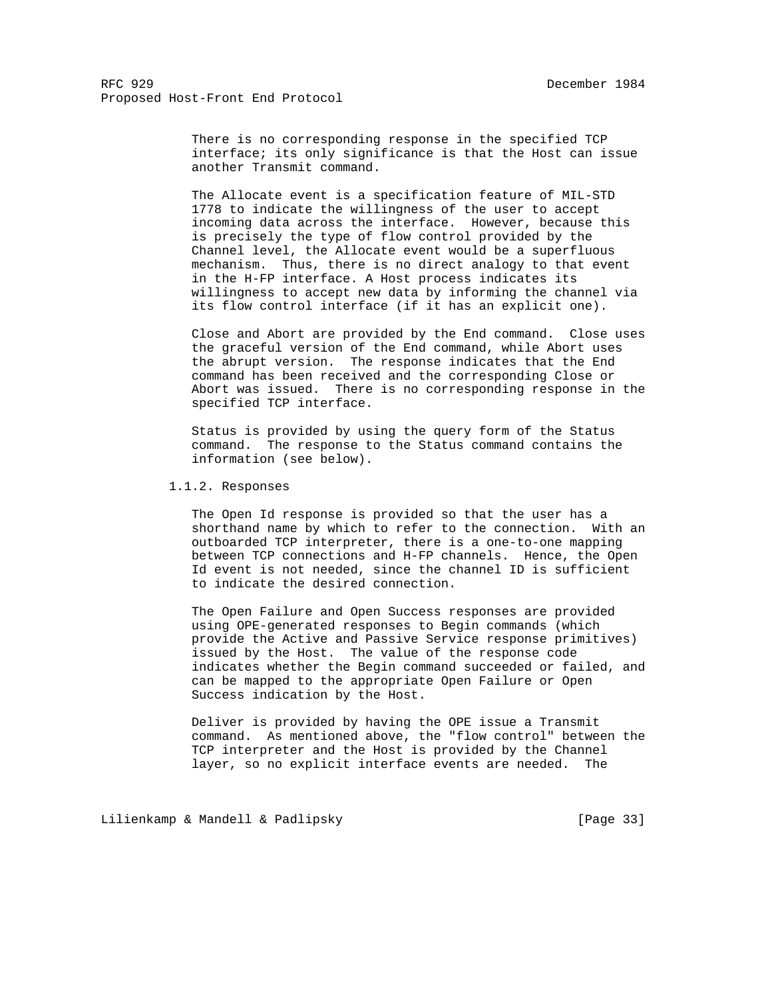There is no corresponding response in the specified TCP interface; its only significance is that the Host can issue another Transmit command.

 The Allocate event is a specification feature of MIL-STD 1778 to indicate the willingness of the user to accept incoming data across the interface. However, because this is precisely the type of flow control provided by the Channel level, the Allocate event would be a superfluous mechanism. Thus, there is no direct analogy to that event in the H-FP interface. A Host process indicates its willingness to accept new data by informing the channel via its flow control interface (if it has an explicit one).

 Close and Abort are provided by the End command. Close uses the graceful version of the End command, while Abort uses the abrupt version. The response indicates that the End command has been received and the corresponding Close or Abort was issued. There is no corresponding response in the specified TCP interface.

 Status is provided by using the query form of the Status command. The response to the Status command contains the information (see below).

1.1.2. Responses

 The Open Id response is provided so that the user has a shorthand name by which to refer to the connection. With an outboarded TCP interpreter, there is a one-to-one mapping between TCP connections and H-FP channels. Hence, the Open Id event is not needed, since the channel ID is sufficient to indicate the desired connection.

 The Open Failure and Open Success responses are provided using OPE-generated responses to Begin commands (which provide the Active and Passive Service response primitives) issued by the Host. The value of the response code indicates whether the Begin command succeeded or failed, and can be mapped to the appropriate Open Failure or Open Success indication by the Host.

 Deliver is provided by having the OPE issue a Transmit command. As mentioned above, the "flow control" between the TCP interpreter and the Host is provided by the Channel layer, so no explicit interface events are needed. The

Lilienkamp & Mandell & Padlipsky [Page 33]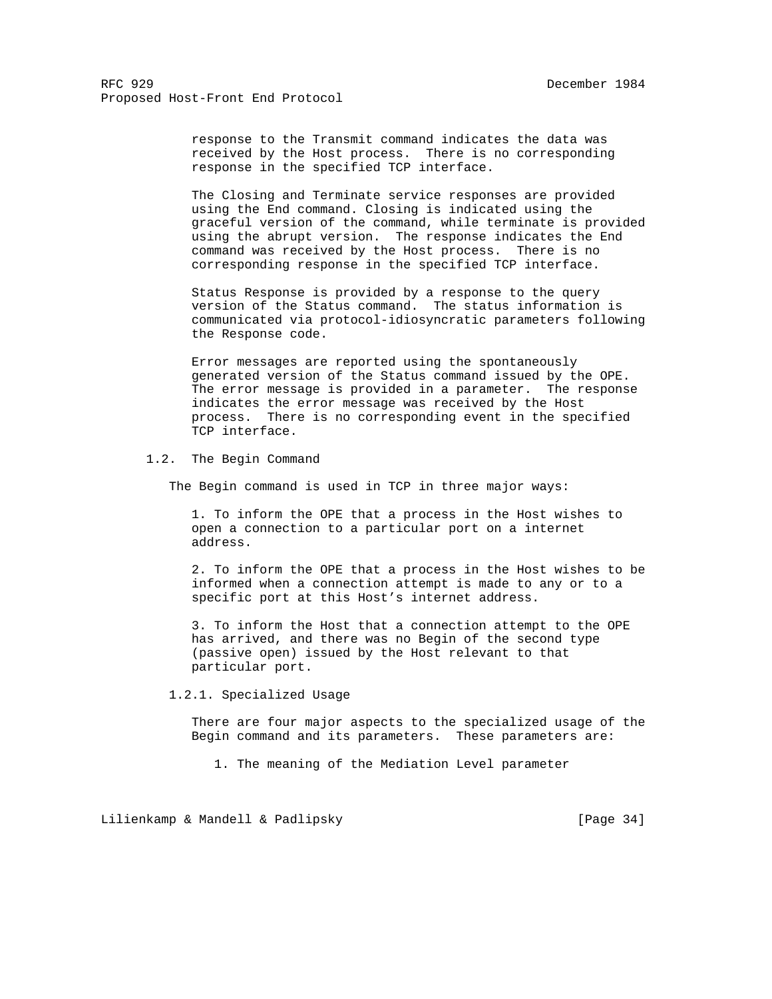response to the Transmit command indicates the data was received by the Host process. There is no corresponding response in the specified TCP interface.

 The Closing and Terminate service responses are provided using the End command. Closing is indicated using the graceful version of the command, while terminate is provided using the abrupt version. The response indicates the End command was received by the Host process. There is no corresponding response in the specified TCP interface.

 Status Response is provided by a response to the query version of the Status command. The status information is communicated via protocol-idiosyncratic parameters following the Response code.

 Error messages are reported using the spontaneously generated version of the Status command issued by the OPE. The error message is provided in a parameter. The response indicates the error message was received by the Host process. There is no corresponding event in the specified TCP interface.

## 1.2. The Begin Command

The Begin command is used in TCP in three major ways:

 1. To inform the OPE that a process in the Host wishes to open a connection to a particular port on a internet address.

 2. To inform the OPE that a process in the Host wishes to be informed when a connection attempt is made to any or to a specific port at this Host's internet address.

 3. To inform the Host that a connection attempt to the OPE has arrived, and there was no Begin of the second type (passive open) issued by the Host relevant to that particular port.

1.2.1. Specialized Usage

 There are four major aspects to the specialized usage of the Begin command and its parameters. These parameters are:

1. The meaning of the Mediation Level parameter

Lilienkamp & Mandell & Padlipsky [Page 34]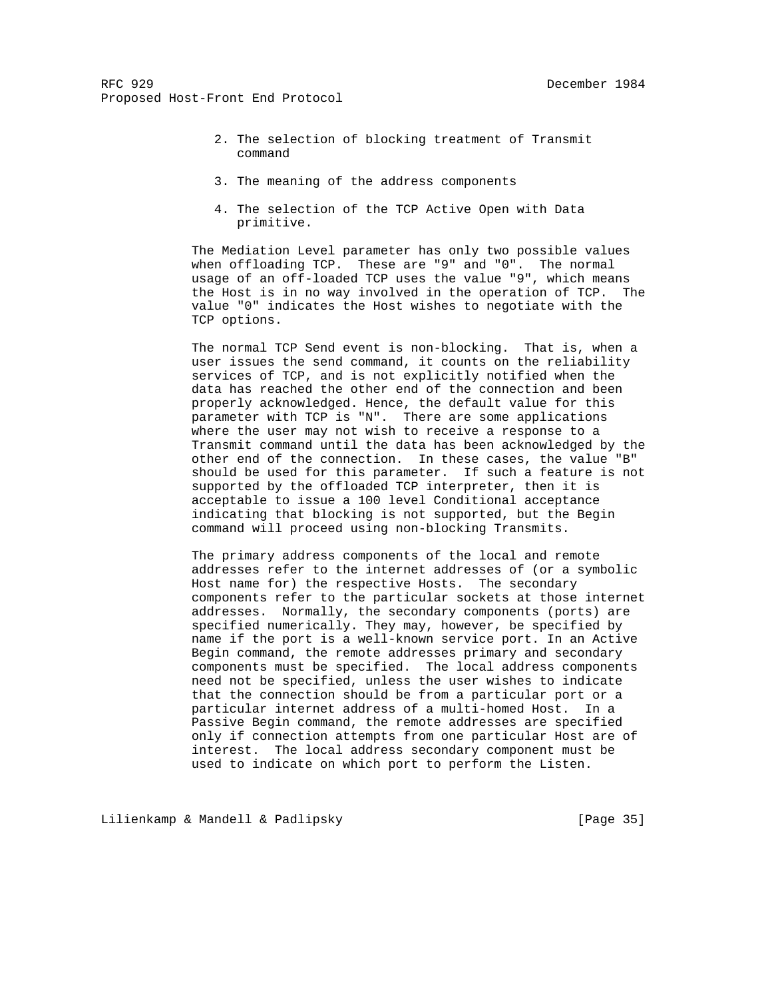- 2. The selection of blocking treatment of Transmit command
- 3. The meaning of the address components
- 4. The selection of the TCP Active Open with Data primitive.

 The Mediation Level parameter has only two possible values when offloading TCP. These are "9" and "0". The normal usage of an off-loaded TCP uses the value "9", which means the Host is in no way involved in the operation of TCP. The value "0" indicates the Host wishes to negotiate with the TCP options.

 The normal TCP Send event is non-blocking. That is, when a user issues the send command, it counts on the reliability services of TCP, and is not explicitly notified when the data has reached the other end of the connection and been properly acknowledged. Hence, the default value for this parameter with TCP is "N". There are some applications where the user may not wish to receive a response to a Transmit command until the data has been acknowledged by the other end of the connection. In these cases, the value "B" should be used for this parameter. If such a feature is not supported by the offloaded TCP interpreter, then it is acceptable to issue a 100 level Conditional acceptance indicating that blocking is not supported, but the Begin command will proceed using non-blocking Transmits.

 The primary address components of the local and remote addresses refer to the internet addresses of (or a symbolic Host name for) the respective Hosts. The secondary components refer to the particular sockets at those internet addresses. Normally, the secondary components (ports) are specified numerically. They may, however, be specified by name if the port is a well-known service port. In an Active Begin command, the remote addresses primary and secondary components must be specified. The local address components need not be specified, unless the user wishes to indicate that the connection should be from a particular port or a particular internet address of a multi-homed Host. In a Passive Begin command, the remote addresses are specified only if connection attempts from one particular Host are of interest. The local address secondary component must be used to indicate on which port to perform the Listen.

Lilienkamp & Mandell & Padlipsky [Page 35]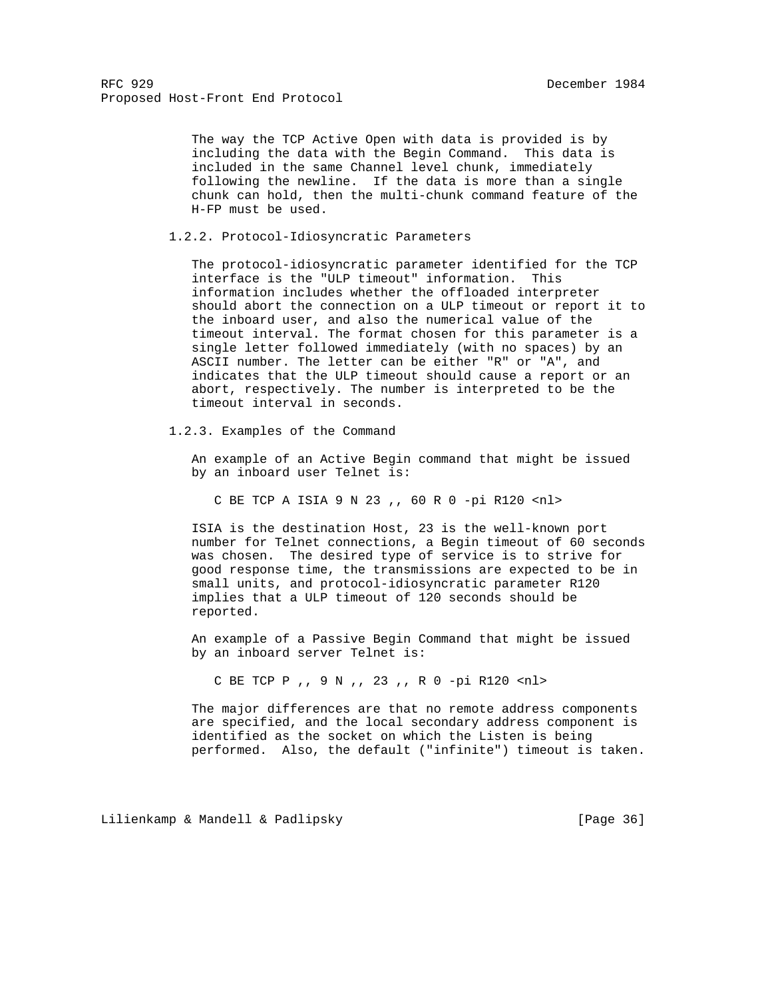The way the TCP Active Open with data is provided is by including the data with the Begin Command. This data is included in the same Channel level chunk, immediately following the newline. If the data is more than a single chunk can hold, then the multi-chunk command feature of the H-FP must be used.

1.2.2. Protocol-Idiosyncratic Parameters

 The protocol-idiosyncratic parameter identified for the TCP interface is the "ULP timeout" information. This information includes whether the offloaded interpreter should abort the connection on a ULP timeout or report it to the inboard user, and also the numerical value of the timeout interval. The format chosen for this parameter is a single letter followed immediately (with no spaces) by an ASCII number. The letter can be either "R" or "A", and indicates that the ULP timeout should cause a report or an abort, respectively. The number is interpreted to be the timeout interval in seconds.

1.2.3. Examples of the Command

 An example of an Active Begin command that might be issued by an inboard user Telnet is:

C BE TCP A ISIA 9 N 23 ,, 60 R 0 -pi R120 <nl>

 ISIA is the destination Host, 23 is the well-known port number for Telnet connections, a Begin timeout of 60 seconds was chosen. The desired type of service is to strive for good response time, the transmissions are expected to be in small units, and protocol-idiosyncratic parameter R120 implies that a ULP timeout of 120 seconds should be reported.

 An example of a Passive Begin Command that might be issued by an inboard server Telnet is:

C BE TCP P ,, 9 N ,, 23 ,, R 0 -pi R120 <nl>

 The major differences are that no remote address components are specified, and the local secondary address component is identified as the socket on which the Listen is being performed. Also, the default ("infinite") timeout is taken.

Lilienkamp & Mandell & Padlipsky [Page 36]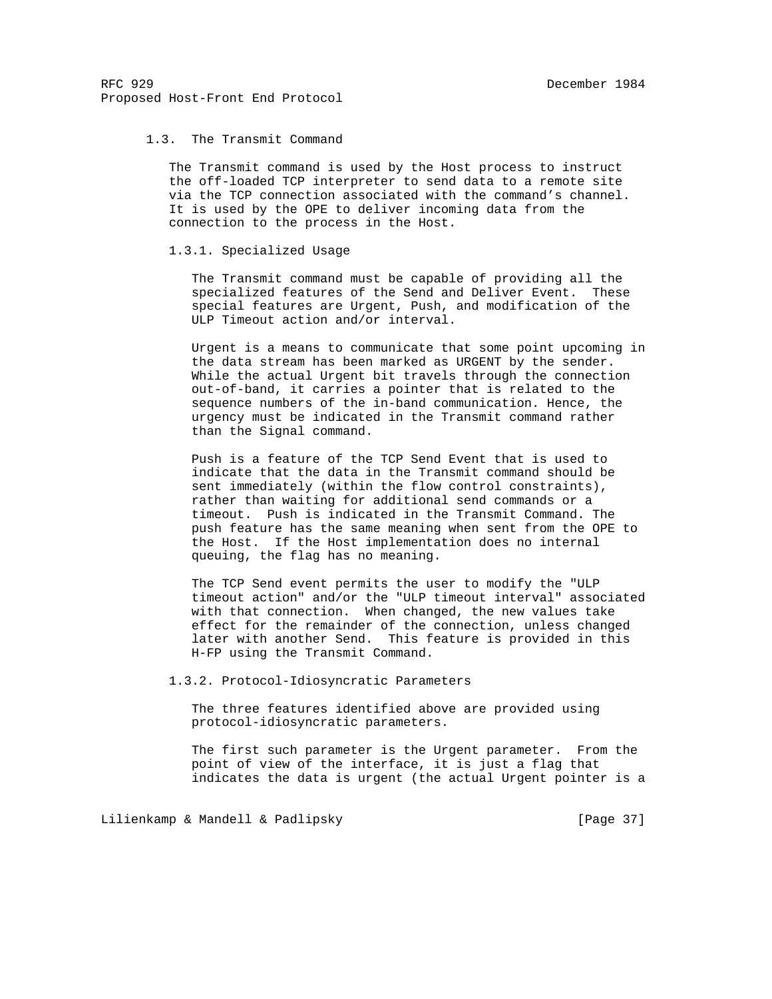## 1.3. The Transmit Command

 The Transmit command is used by the Host process to instruct the off-loaded TCP interpreter to send data to a remote site via the TCP connection associated with the command's channel. It is used by the OPE to deliver incoming data from the connection to the process in the Host.

## 1.3.1. Specialized Usage

 The Transmit command must be capable of providing all the specialized features of the Send and Deliver Event. These special features are Urgent, Push, and modification of the ULP Timeout action and/or interval.

 Urgent is a means to communicate that some point upcoming in the data stream has been marked as URGENT by the sender. While the actual Urgent bit travels through the connection out-of-band, it carries a pointer that is related to the sequence numbers of the in-band communication. Hence, the urgency must be indicated in the Transmit command rather than the Signal command.

 Push is a feature of the TCP Send Event that is used to indicate that the data in the Transmit command should be sent immediately (within the flow control constraints), rather than waiting for additional send commands or a timeout. Push is indicated in the Transmit Command. The push feature has the same meaning when sent from the OPE to the Host. If the Host implementation does no internal queuing, the flag has no meaning.

 The TCP Send event permits the user to modify the "ULP timeout action" and/or the "ULP timeout interval" associated with that connection. When changed, the new values take effect for the remainder of the connection, unless changed later with another Send. This feature is provided in this H-FP using the Transmit Command.

1.3.2. Protocol-Idiosyncratic Parameters

 The three features identified above are provided using protocol-idiosyncratic parameters.

 The first such parameter is the Urgent parameter. From the point of view of the interface, it is just a flag that indicates the data is urgent (the actual Urgent pointer is a

Lilienkamp & Mandell & Padlipsky [Page 37]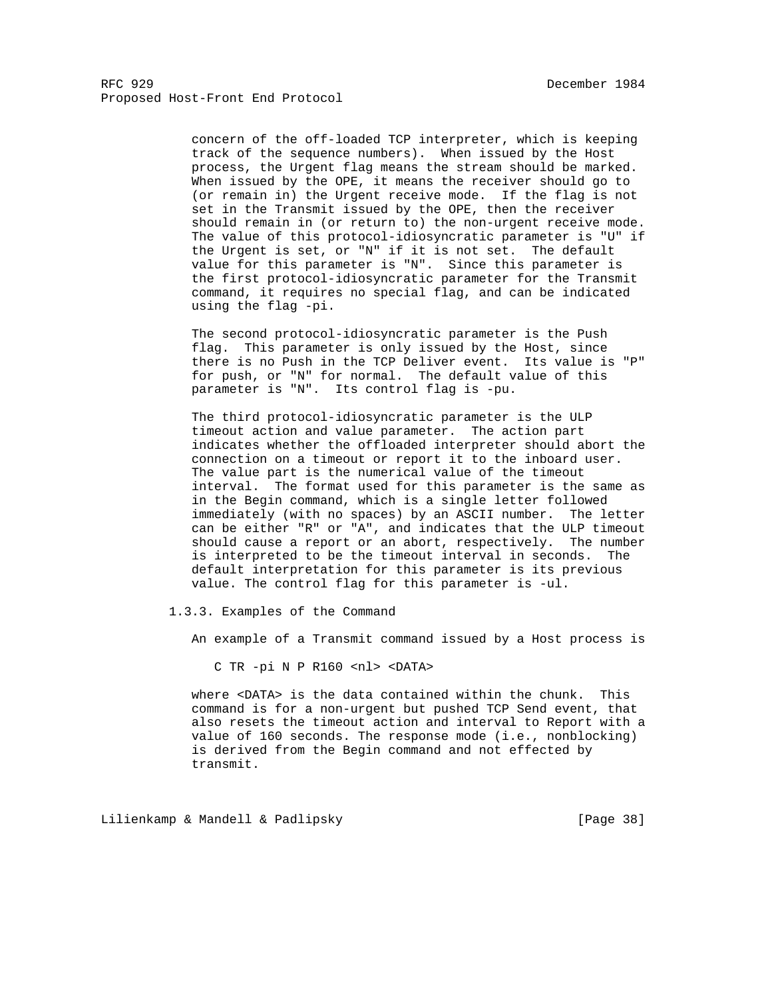> concern of the off-loaded TCP interpreter, which is keeping track of the sequence numbers). When issued by the Host process, the Urgent flag means the stream should be marked. When issued by the OPE, it means the receiver should go to (or remain in) the Urgent receive mode. If the flag is not set in the Transmit issued by the OPE, then the receiver should remain in (or return to) the non-urgent receive mode. The value of this protocol-idiosyncratic parameter is "U" if the Urgent is set, or "N" if it is not set. The default value for this parameter is "N". Since this parameter is the first protocol-idiosyncratic parameter for the Transmit command, it requires no special flag, and can be indicated using the flag -pi.

> The second protocol-idiosyncratic parameter is the Push flag. This parameter is only issued by the Host, since there is no Push in the TCP Deliver event. Its value is "P" for push, or "N" for normal. The default value of this parameter is "N". Its control flag is -pu.

> The third protocol-idiosyncratic parameter is the ULP timeout action and value parameter. The action part indicates whether the offloaded interpreter should abort the connection on a timeout or report it to the inboard user. The value part is the numerical value of the timeout interval. The format used for this parameter is the same as in the Begin command, which is a single letter followed immediately (with no spaces) by an ASCII number. The letter can be either "R" or "A", and indicates that the ULP timeout should cause a report or an abort, respectively. The number is interpreted to be the timeout interval in seconds. The default interpretation for this parameter is its previous value. The control flag for this parameter is -ul.

1.3.3. Examples of the Command

An example of a Transmit command issued by a Host process is

C TR -pi N P R160 <nl> <DATA>

 where <DATA> is the data contained within the chunk. This command is for a non-urgent but pushed TCP Send event, that also resets the timeout action and interval to Report with a value of 160 seconds. The response mode (i.e., nonblocking) is derived from the Begin command and not effected by transmit.

Lilienkamp & Mandell & Padlipsky [Page 38]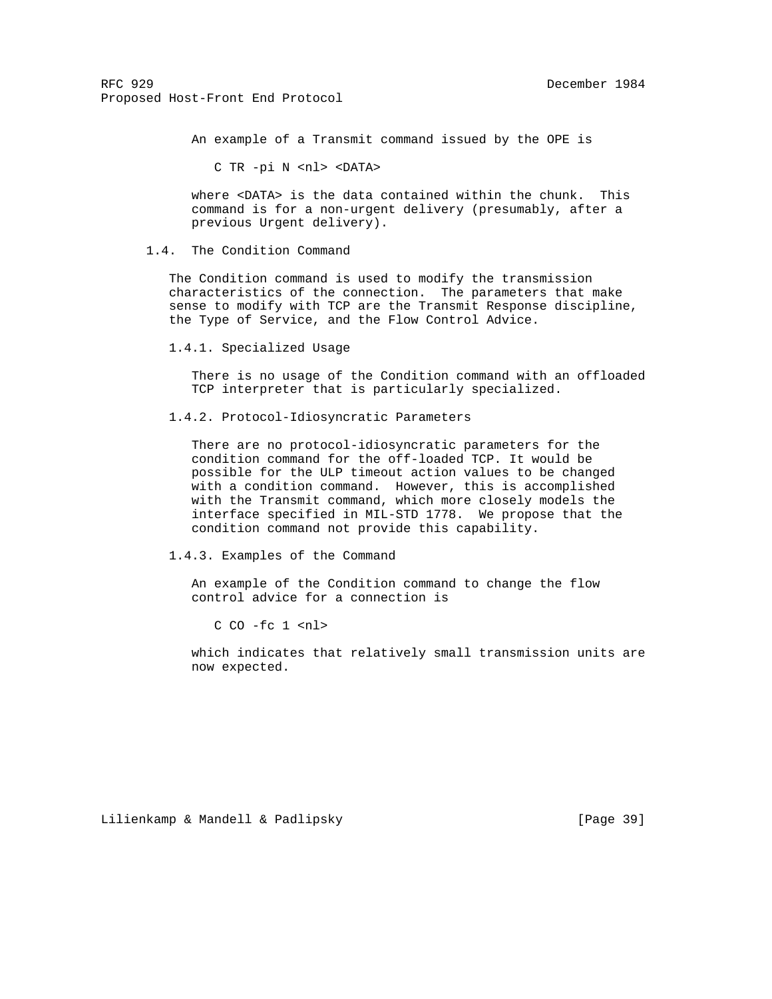An example of a Transmit command issued by the OPE is

C TR -pi N <nl> <DATA>

 where <DATA> is the data contained within the chunk. This command is for a non-urgent delivery (presumably, after a previous Urgent delivery).

#### 1.4. The Condition Command

 The Condition command is used to modify the transmission characteristics of the connection. The parameters that make sense to modify with TCP are the Transmit Response discipline, the Type of Service, and the Flow Control Advice.

1.4.1. Specialized Usage

 There is no usage of the Condition command with an offloaded TCP interpreter that is particularly specialized.

1.4.2. Protocol-Idiosyncratic Parameters

 There are no protocol-idiosyncratic parameters for the condition command for the off-loaded TCP. It would be possible for the ULP timeout action values to be changed with a condition command. However, this is accomplished with the Transmit command, which more closely models the interface specified in MIL-STD 1778. We propose that the condition command not provide this capability.

1.4.3. Examples of the Command

 An example of the Condition command to change the flow control advice for a connection is

 $C$   $C$ <sup>0</sup> -fc  $1$   $<$ n $1$ >

 which indicates that relatively small transmission units are now expected.

Lilienkamp & Mandell & Padlipsky [Page 39]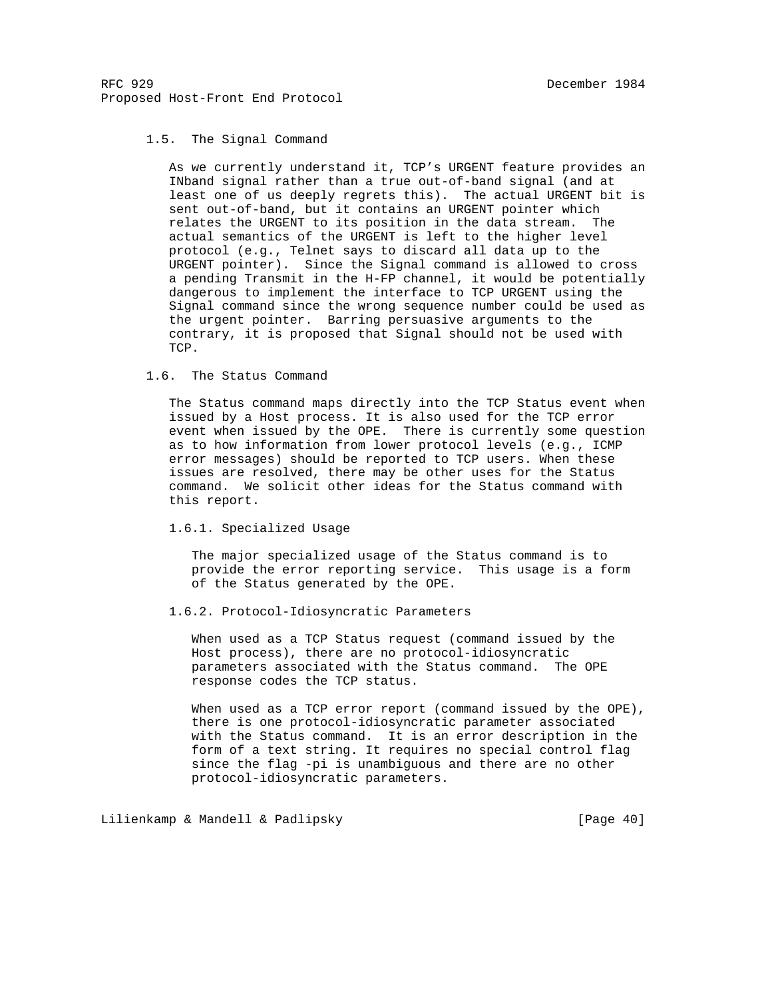# 1.5. The Signal Command

 As we currently understand it, TCP's URGENT feature provides an INband signal rather than a true out-of-band signal (and at least one of us deeply regrets this). The actual URGENT bit is sent out-of-band, but it contains an URGENT pointer which relates the URGENT to its position in the data stream. The actual semantics of the URGENT is left to the higher level protocol (e.g., Telnet says to discard all data up to the URGENT pointer). Since the Signal command is allowed to cross a pending Transmit in the H-FP channel, it would be potentially dangerous to implement the interface to TCP URGENT using the Signal command since the wrong sequence number could be used as the urgent pointer. Barring persuasive arguments to the contrary, it is proposed that Signal should not be used with TCP.

## 1.6. The Status Command

 The Status command maps directly into the TCP Status event when issued by a Host process. It is also used for the TCP error event when issued by the OPE. There is currently some question as to how information from lower protocol levels (e.g., ICMP error messages) should be reported to TCP users. When these issues are resolved, there may be other uses for the Status command. We solicit other ideas for the Status command with this report.

# 1.6.1. Specialized Usage

 The major specialized usage of the Status command is to provide the error reporting service. This usage is a form of the Status generated by the OPE.

#### 1.6.2. Protocol-Idiosyncratic Parameters

 When used as a TCP Status request (command issued by the Host process), there are no protocol-idiosyncratic parameters associated with the Status command. The OPE response codes the TCP status.

 When used as a TCP error report (command issued by the OPE), there is one protocol-idiosyncratic parameter associated with the Status command. It is an error description in the form of a text string. It requires no special control flag since the flag -pi is unambiguous and there are no other protocol-idiosyncratic parameters.

Lilienkamp & Mandell & Padlipsky [Page 40]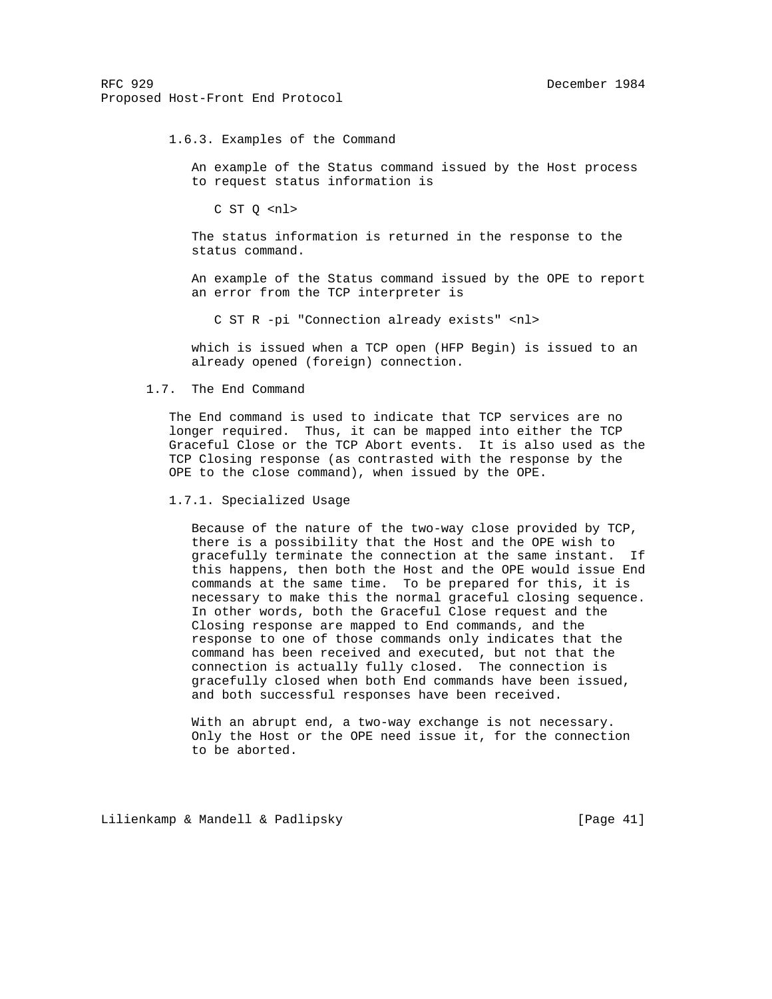1.6.3. Examples of the Command

 An example of the Status command issued by the Host process to request status information is

C ST Q <nl>

 The status information is returned in the response to the status command.

 An example of the Status command issued by the OPE to report an error from the TCP interpreter is

C ST R -pi "Connection already exists" <nl>

 which is issued when a TCP open (HFP Begin) is issued to an already opened (foreign) connection.

#### 1.7. The End Command

 The End command is used to indicate that TCP services are no longer required. Thus, it can be mapped into either the TCP Graceful Close or the TCP Abort events. It is also used as the TCP Closing response (as contrasted with the response by the OPE to the close command), when issued by the OPE.

1.7.1. Specialized Usage

 Because of the nature of the two-way close provided by TCP, there is a possibility that the Host and the OPE wish to gracefully terminate the connection at the same instant. If this happens, then both the Host and the OPE would issue End commands at the same time. To be prepared for this, it is necessary to make this the normal graceful closing sequence. In other words, both the Graceful Close request and the Closing response are mapped to End commands, and the response to one of those commands only indicates that the command has been received and executed, but not that the connection is actually fully closed. The connection is gracefully closed when both End commands have been issued, and both successful responses have been received.

With an abrupt end, a two-way exchange is not necessary. Only the Host or the OPE need issue it, for the connection to be aborted.

Lilienkamp & Mandell & Padlipsky [Page 41]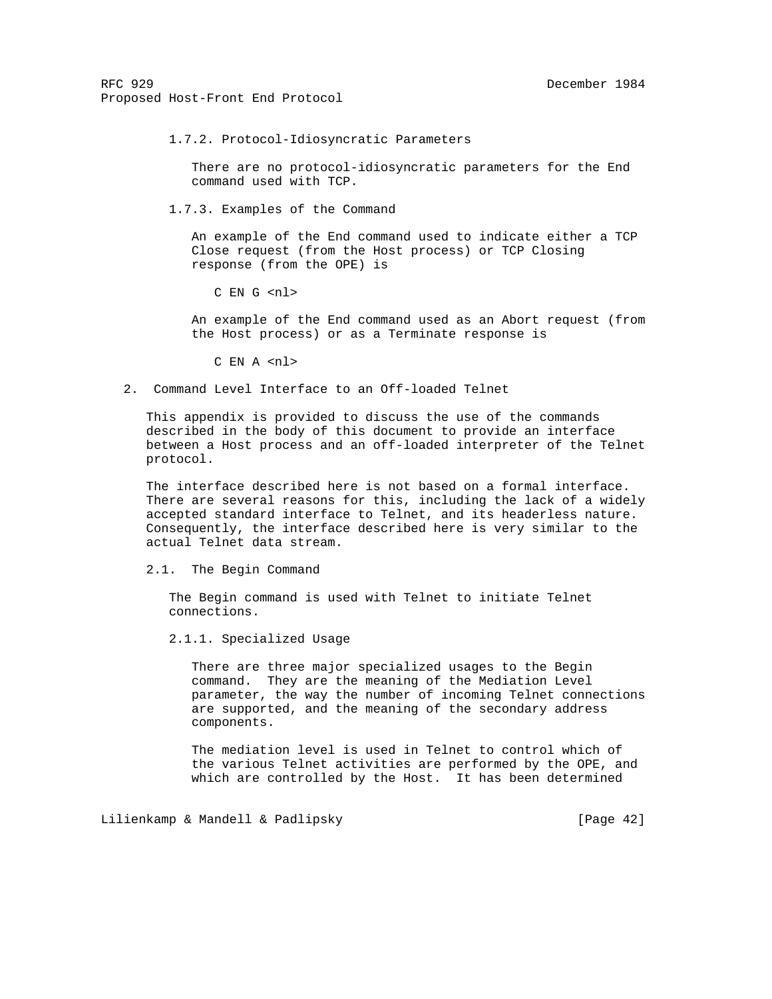1.7.2. Protocol-Idiosyncratic Parameters

 There are no protocol-idiosyncratic parameters for the End command used with TCP.

1.7.3. Examples of the Command

 An example of the End command used to indicate either a TCP Close request (from the Host process) or TCP Closing response (from the OPE) is

C EN G <nl>

 An example of the End command used as an Abort request (from the Host process) or as a Terminate response is

C EN A <nl>

2. Command Level Interface to an Off-loaded Telnet

 This appendix is provided to discuss the use of the commands described in the body of this document to provide an interface between a Host process and an off-loaded interpreter of the Telnet protocol.

 The interface described here is not based on a formal interface. There are several reasons for this, including the lack of a widely accepted standard interface to Telnet, and its headerless nature. Consequently, the interface described here is very similar to the actual Telnet data stream.

2.1. The Begin Command

 The Begin command is used with Telnet to initiate Telnet connections.

2.1.1. Specialized Usage

 There are three major specialized usages to the Begin command. They are the meaning of the Mediation Level parameter, the way the number of incoming Telnet connections are supported, and the meaning of the secondary address components.

 The mediation level is used in Telnet to control which of the various Telnet activities are performed by the OPE, and which are controlled by the Host. It has been determined

Lilienkamp & Mandell & Padlipsky [Page 42]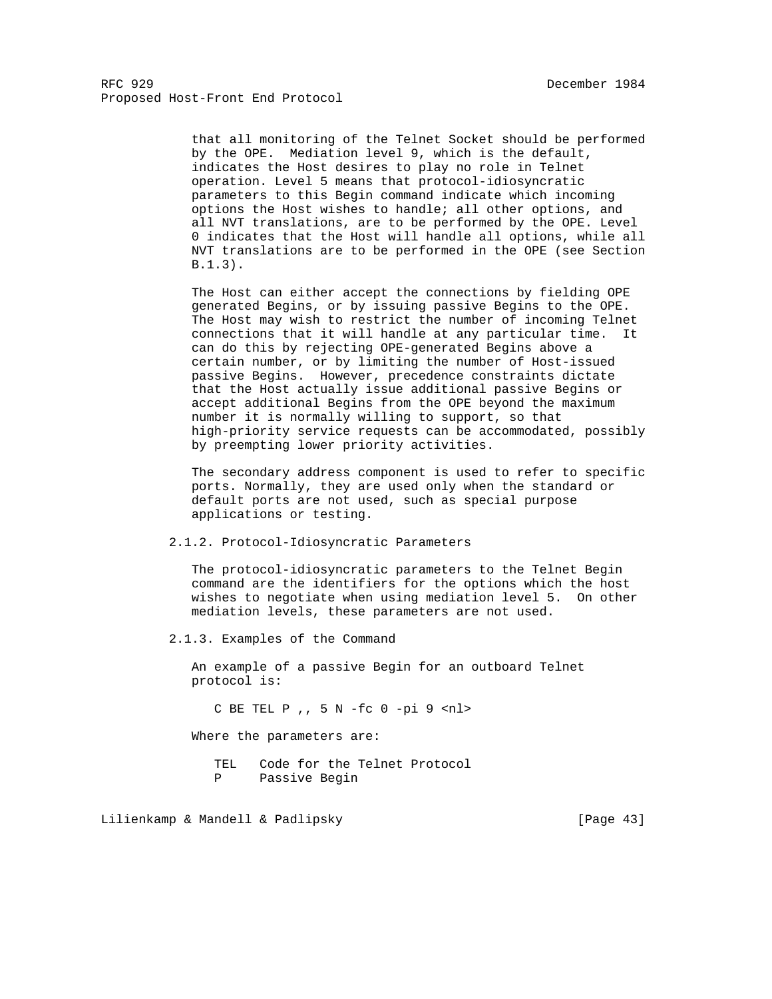that all monitoring of the Telnet Socket should be performed by the OPE. Mediation level 9, which is the default, indicates the Host desires to play no role in Telnet operation. Level 5 means that protocol-idiosyncratic parameters to this Begin command indicate which incoming options the Host wishes to handle; all other options, and all NVT translations, are to be performed by the OPE. Level 0 indicates that the Host will handle all options, while all NVT translations are to be performed in the OPE (see Section B.1.3).

 The Host can either accept the connections by fielding OPE generated Begins, or by issuing passive Begins to the OPE. The Host may wish to restrict the number of incoming Telnet connections that it will handle at any particular time. It can do this by rejecting OPE-generated Begins above a certain number, or by limiting the number of Host-issued passive Begins. However, precedence constraints dictate that the Host actually issue additional passive Begins or accept additional Begins from the OPE beyond the maximum number it is normally willing to support, so that high-priority service requests can be accommodated, possibly by preempting lower priority activities.

 The secondary address component is used to refer to specific ports. Normally, they are used only when the standard or default ports are not used, such as special purpose applications or testing.

2.1.2. Protocol-Idiosyncratic Parameters

 The protocol-idiosyncratic parameters to the Telnet Begin command are the identifiers for the options which the host wishes to negotiate when using mediation level 5. On other mediation levels, these parameters are not used.

2.1.3. Examples of the Command

 An example of a passive Begin for an outboard Telnet protocol is:

C BE TEL P ,, 5 N -fc 0 -pi 9 <nl>

Where the parameters are:

 TEL Code for the Telnet Protocol P Passive Begin

Lilienkamp & Mandell & Padlipsky [Page 43]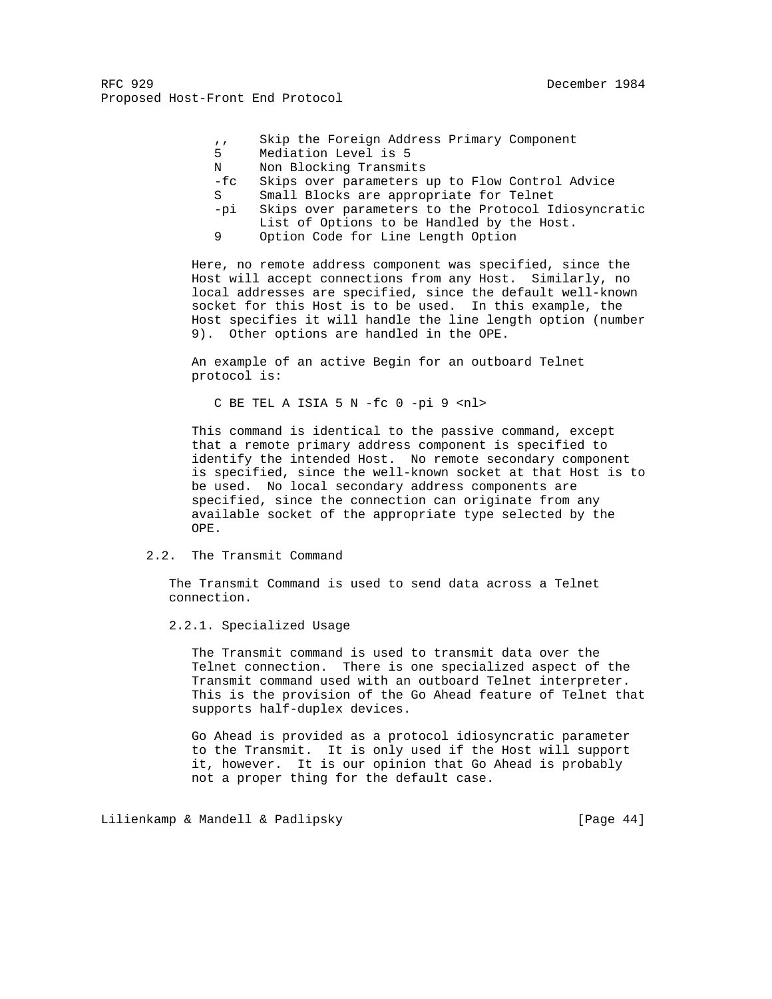- ,, Skip the Foreign Address Primary Component
- 5 Mediation Level is 5
- N Non Blocking Transmits
- -fc Skips over parameters up to Flow Control Advice
- S Small Blocks are appropriate for Telnet
- -pi Skips over parameters to the Protocol Idiosyncratic List of Options to be Handled by the Host.
- 9 Option Code for Line Length Option

 Here, no remote address component was specified, since the Host will accept connections from any Host. Similarly, no local addresses are specified, since the default well-known socket for this Host is to be used. In this example, the Host specifies it will handle the line length option (number 9). Other options are handled in the OPE.

 An example of an active Begin for an outboard Telnet protocol is:

C BE TEL A ISIA 5 N -fc 0 -pi 9 <nl>

 This command is identical to the passive command, except that a remote primary address component is specified to identify the intended Host. No remote secondary component is specified, since the well-known socket at that Host is to be used. No local secondary address components are specified, since the connection can originate from any available socket of the appropriate type selected by the OPE.

## 2.2. The Transmit Command

 The Transmit Command is used to send data across a Telnet connection.

2.2.1. Specialized Usage

 The Transmit command is used to transmit data over the Telnet connection. There is one specialized aspect of the Transmit command used with an outboard Telnet interpreter. This is the provision of the Go Ahead feature of Telnet that supports half-duplex devices.

 Go Ahead is provided as a protocol idiosyncratic parameter to the Transmit. It is only used if the Host will support it, however. It is our opinion that Go Ahead is probably not a proper thing for the default case.

Lilienkamp & Mandell & Padlipsky [Page 44]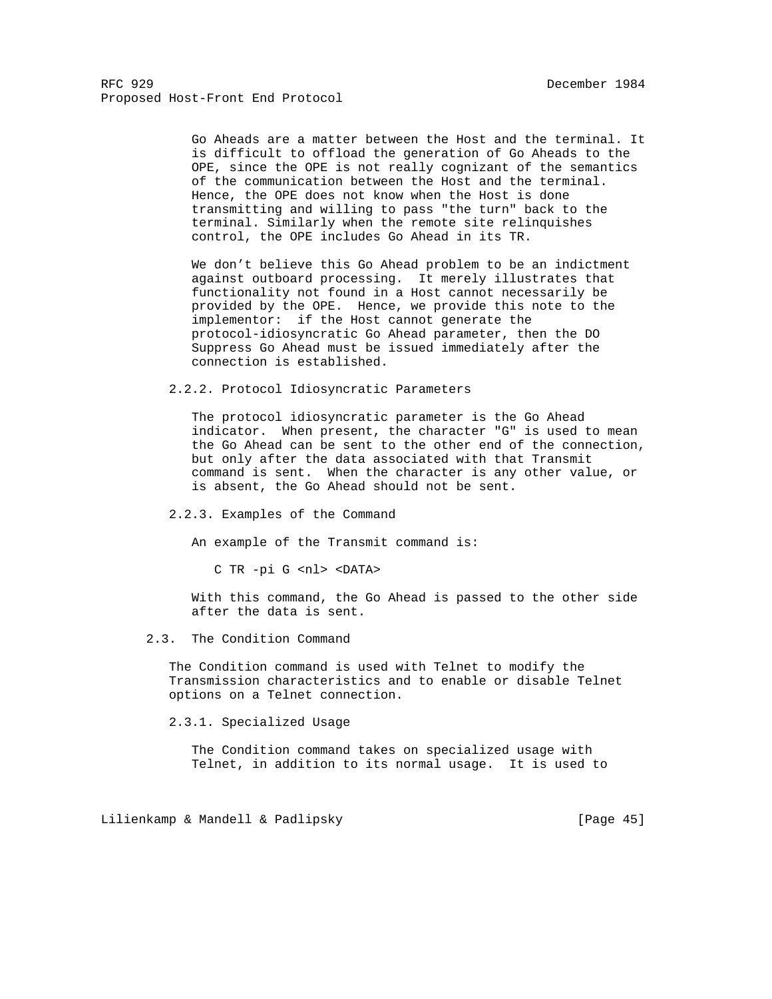Go Aheads are a matter between the Host and the terminal. It is difficult to offload the generation of Go Aheads to the OPE, since the OPE is not really cognizant of the semantics of the communication between the Host and the terminal. Hence, the OPE does not know when the Host is done transmitting and willing to pass "the turn" back to the terminal. Similarly when the remote site relinquishes control, the OPE includes Go Ahead in its TR.

 We don't believe this Go Ahead problem to be an indictment against outboard processing. It merely illustrates that functionality not found in a Host cannot necessarily be provided by the OPE. Hence, we provide this note to the implementor: if the Host cannot generate the protocol-idiosyncratic Go Ahead parameter, then the DO Suppress Go Ahead must be issued immediately after the connection is established.

2.2.2. Protocol Idiosyncratic Parameters

 The protocol idiosyncratic parameter is the Go Ahead indicator. When present, the character "G" is used to mean the Go Ahead can be sent to the other end of the connection, but only after the data associated with that Transmit command is sent. When the character is any other value, or is absent, the Go Ahead should not be sent.

# 2.2.3. Examples of the Command

An example of the Transmit command is:

C TR -pi G <nl> <DATA>

 With this command, the Go Ahead is passed to the other side after the data is sent.

#### 2.3. The Condition Command

 The Condition command is used with Telnet to modify the Transmission characteristics and to enable or disable Telnet options on a Telnet connection.

2.3.1. Specialized Usage

 The Condition command takes on specialized usage with Telnet, in addition to its normal usage. It is used to

Lilienkamp & Mandell & Padlipsky [Page 45]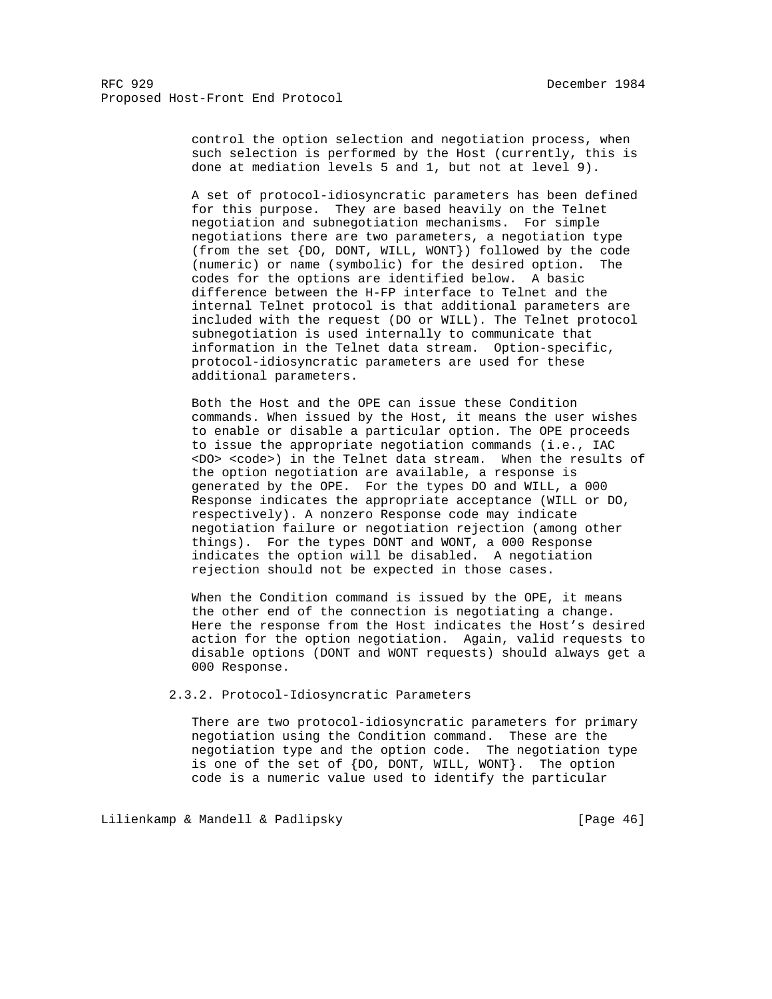control the option selection and negotiation process, when such selection is performed by the Host (currently, this is done at mediation levels 5 and 1, but not at level 9).

 A set of protocol-idiosyncratic parameters has been defined for this purpose. They are based heavily on the Telnet negotiation and subnegotiation mechanisms. For simple negotiations there are two parameters, a negotiation type (from the set {DO, DONT, WILL, WONT}) followed by the code (numeric) or name (symbolic) for the desired option. The codes for the options are identified below. A basic difference between the H-FP interface to Telnet and the internal Telnet protocol is that additional parameters are included with the request (DO or WILL). The Telnet protocol subnegotiation is used internally to communicate that information in the Telnet data stream. Option-specific, protocol-idiosyncratic parameters are used for these additional parameters.

 Both the Host and the OPE can issue these Condition commands. When issued by the Host, it means the user wishes to enable or disable a particular option. The OPE proceeds to issue the appropriate negotiation commands (i.e., IAC <DO> <code>) in the Telnet data stream. When the results of the option negotiation are available, a response is generated by the OPE. For the types DO and WILL, a 000 Response indicates the appropriate acceptance (WILL or DO, respectively). A nonzero Response code may indicate negotiation failure or negotiation rejection (among other things). For the types DONT and WONT, a 000 Response indicates the option will be disabled. A negotiation rejection should not be expected in those cases.

 When the Condition command is issued by the OPE, it means the other end of the connection is negotiating a change. Here the response from the Host indicates the Host's desired action for the option negotiation. Again, valid requests to disable options (DONT and WONT requests) should always get a 000 Response.

2.3.2. Protocol-Idiosyncratic Parameters

 There are two protocol-idiosyncratic parameters for primary negotiation using the Condition command. These are the negotiation type and the option code. The negotiation type is one of the set of {DO, DONT, WILL, WONT}. The option code is a numeric value used to identify the particular

Lilienkamp & Mandell & Padlipsky [Page 46]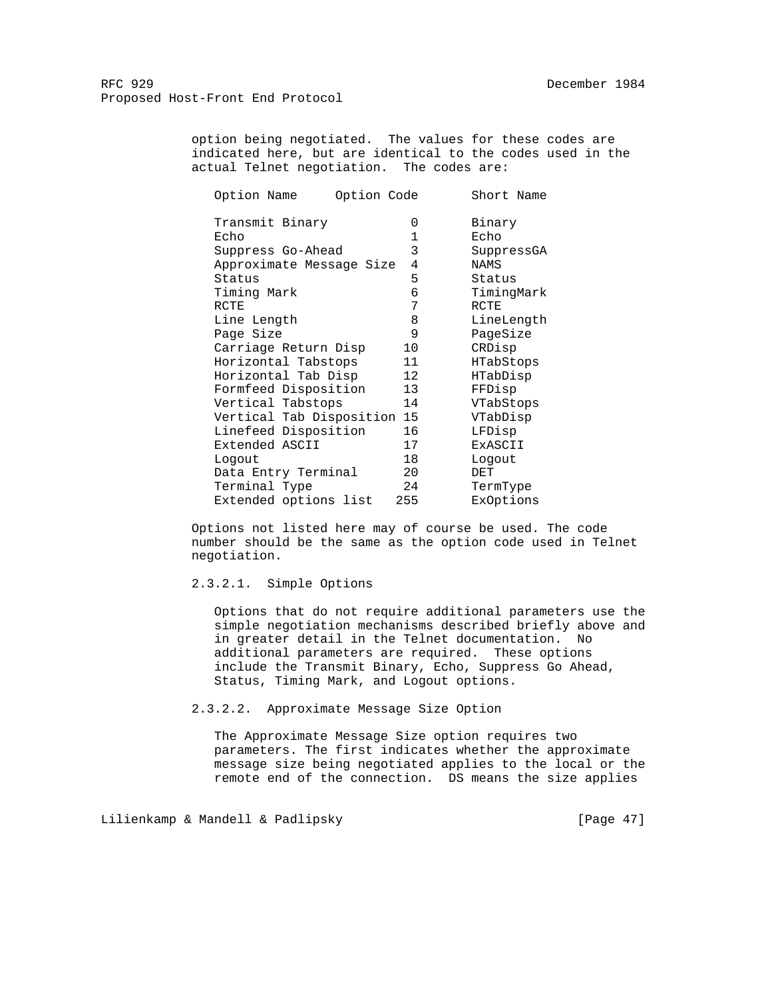> option being negotiated. The values for these codes are indicated here, but are identical to the codes used in the actual Telnet negotiation. The codes are:

| Option Name                 | Option Code |         | Short Name |
|-----------------------------|-------------|---------|------------|
| Transmit Binary             |             | 0       | Binary     |
| Echo                        |             | 1       | Echo       |
| Suppress Go-Ahead           |             | 3       | SuppressGA |
| Approximate Message Size    |             | 4       | NAMS       |
| Status                      |             | 5       | Status     |
| Timing Mark                 |             | 6       | TimingMark |
| RCTE                        |             | 7       | RCTE       |
| Line Length                 |             | 8       | LineLength |
| Page Size                   |             | 9       | PageSize   |
| Carriage Return Disp        |             | $10 \,$ | CRDisp     |
| Horizontal Tabstops         |             | 11      | HTabStops  |
| Horizontal Tab Disp         |             | 12      | HTabDisp   |
| Formfeed Disposition        |             | 13      | FFDisp     |
| Vertical Tabstops           |             | 14      | VTabStops  |
| Vertical Tab Disposition 15 |             |         | VTabDisp   |
| Linefeed Disposition        |             | 16      | LFDisp     |
| Extended ASCII              |             | 17      | ExASCII    |
| Logout                      |             | 18      | Logout     |
| Data Entry Terminal         |             | 20      | DET        |
| Terminal Type               |             | 24      | TermType   |
| Extended options list       |             | 255     | ExOptions  |

 Options not listed here may of course be used. The code number should be the same as the option code used in Telnet negotiation.

## 2.3.2.1. Simple Options

 Options that do not require additional parameters use the simple negotiation mechanisms described briefly above and in greater detail in the Telnet documentation. No additional parameters are required. These options include the Transmit Binary, Echo, Suppress Go Ahead, Status, Timing Mark, and Logout options.

2.3.2.2. Approximate Message Size Option

 The Approximate Message Size option requires two parameters. The first indicates whether the approximate message size being negotiated applies to the local or the remote end of the connection. DS means the size applies

Lilienkamp & Mandell & Padlipsky [Page 47]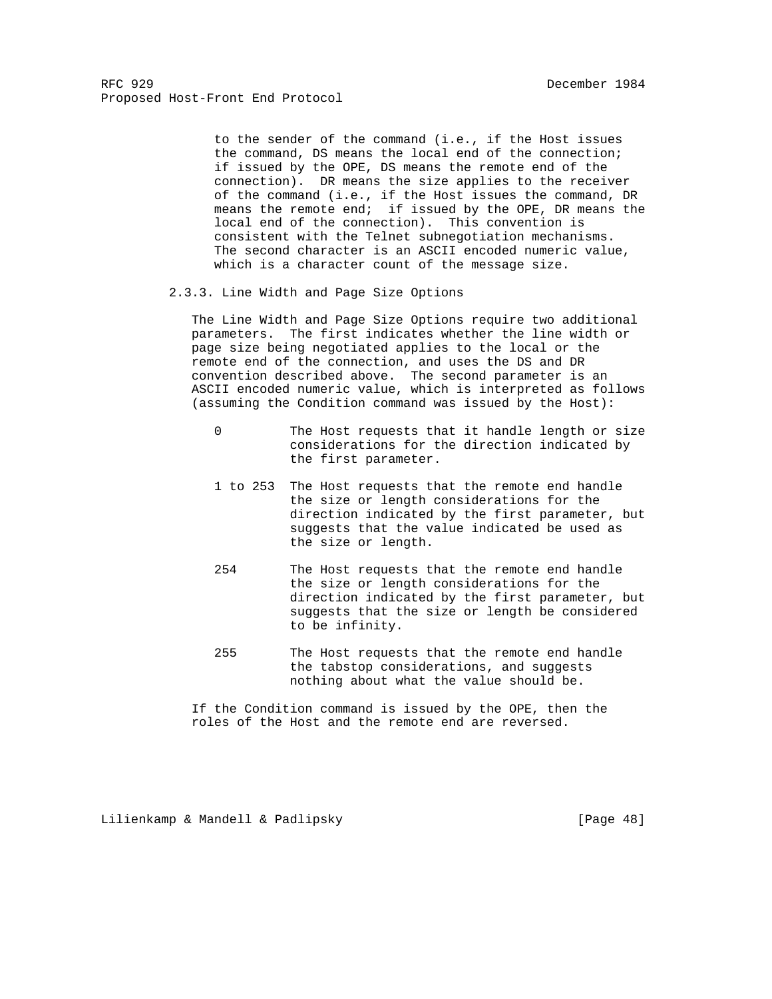to the sender of the command (i.e., if the Host issues the command, DS means the local end of the connection; if issued by the OPE, DS means the remote end of the connection). DR means the size applies to the receiver of the command (i.e., if the Host issues the command, DR means the remote end; if issued by the OPE, DR means the local end of the connection). This convention is consistent with the Telnet subnegotiation mechanisms. The second character is an ASCII encoded numeric value, which is a character count of the message size.

2.3.3. Line Width and Page Size Options

 The Line Width and Page Size Options require two additional parameters. The first indicates whether the line width or page size being negotiated applies to the local or the remote end of the connection, and uses the DS and DR convention described above. The second parameter is an ASCII encoded numeric value, which is interpreted as follows (assuming the Condition command was issued by the Host):

- 0 The Host requests that it handle length or size considerations for the direction indicated by the first parameter.
- 1 to 253 The Host requests that the remote end handle the size or length considerations for the direction indicated by the first parameter, but suggests that the value indicated be used as the size or length.
- 254 The Host requests that the remote end handle the size or length considerations for the direction indicated by the first parameter, but suggests that the size or length be considered to be infinity.
- 255 The Host requests that the remote end handle the tabstop considerations, and suggests nothing about what the value should be.

 If the Condition command is issued by the OPE, then the roles of the Host and the remote end are reversed.

Lilienkamp & Mandell & Padlipsky [Page 48]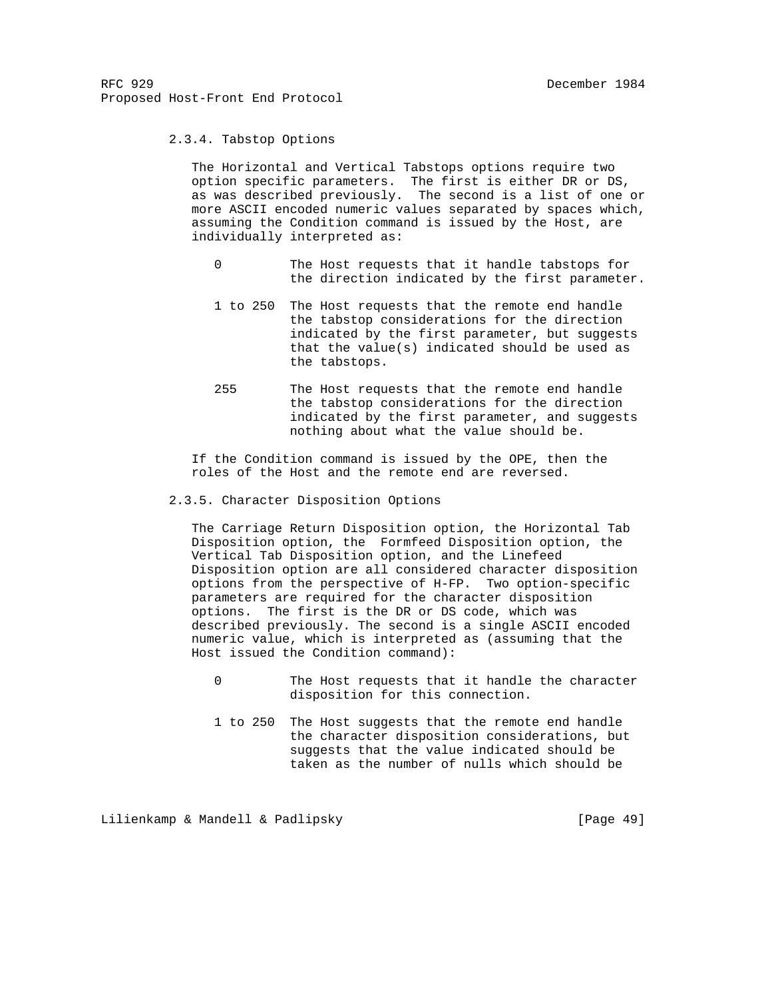2.3.4. Tabstop Options

 The Horizontal and Vertical Tabstops options require two option specific parameters. The first is either DR or DS, as was described previously. The second is a list of one or more ASCII encoded numeric values separated by spaces which, assuming the Condition command is issued by the Host, are individually interpreted as:

- 0 The Host requests that it handle tabstops for the direction indicated by the first parameter.
- 1 to 250 The Host requests that the remote end handle the tabstop considerations for the direction indicated by the first parameter, but suggests that the value(s) indicated should be used as the tabstops.
- 255 The Host requests that the remote end handle the tabstop considerations for the direction indicated by the first parameter, and suggests nothing about what the value should be.

 If the Condition command is issued by the OPE, then the roles of the Host and the remote end are reversed.

2.3.5. Character Disposition Options

 The Carriage Return Disposition option, the Horizontal Tab Disposition option, the Formfeed Disposition option, the Vertical Tab Disposition option, and the Linefeed Disposition option are all considered character disposition options from the perspective of H-FP. Two option-specific parameters are required for the character disposition options. The first is the DR or DS code, which was described previously. The second is a single ASCII encoded numeric value, which is interpreted as (assuming that the Host issued the Condition command):

- 0 The Host requests that it handle the character disposition for this connection.
- 1 to 250 The Host suggests that the remote end handle the character disposition considerations, but suggests that the value indicated should be taken as the number of nulls which should be

Lilienkamp & Mandell & Padlipsky [Page 49]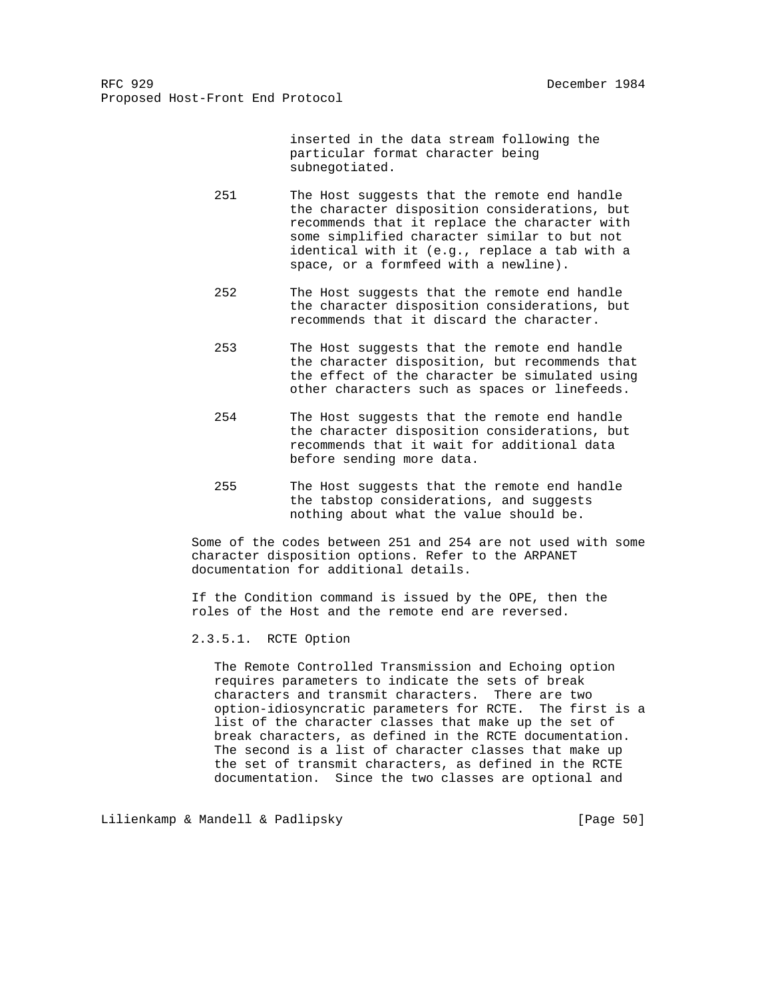inserted in the data stream following the particular format character being subnegotiated.

- 251 The Host suggests that the remote end handle the character disposition considerations, but recommends that it replace the character with some simplified character similar to but not identical with it (e.g., replace a tab with a space, or a formfeed with a newline).
- 252 The Host suggests that the remote end handle the character disposition considerations, but recommends that it discard the character.
- 253 The Host suggests that the remote end handle the character disposition, but recommends that the effect of the character be simulated using other characters such as spaces or linefeeds.
- 254 The Host suggests that the remote end handle the character disposition considerations, but recommends that it wait for additional data before sending more data.
- 255 The Host suggests that the remote end handle the tabstop considerations, and suggests nothing about what the value should be.

 Some of the codes between 251 and 254 are not used with some character disposition options. Refer to the ARPANET documentation for additional details.

 If the Condition command is issued by the OPE, then the roles of the Host and the remote end are reversed.

2.3.5.1. RCTE Option

 The Remote Controlled Transmission and Echoing option requires parameters to indicate the sets of break characters and transmit characters. There are two option-idiosyncratic parameters for RCTE. The first is a list of the character classes that make up the set of break characters, as defined in the RCTE documentation. The second is a list of character classes that make up the set of transmit characters, as defined in the RCTE documentation. Since the two classes are optional and

Lilienkamp & Mandell & Padlipsky [Page 50]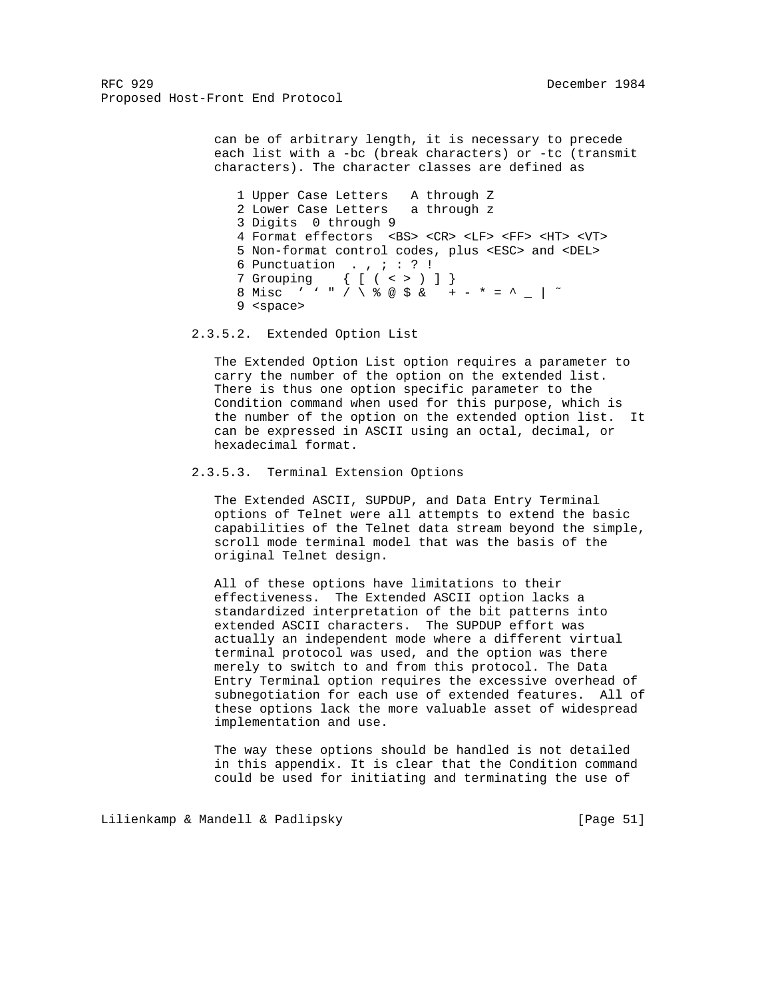> can be of arbitrary length, it is necessary to precede each list with a -bc (break characters) or -tc (transmit characters). The character classes are defined as

 1 Upper Case Letters A through Z 2 Lower Case Letters a through z 3 Digits 0 through 9 4 Format effectors <BS> <CR> <LF> <FF> <HT> <VT> 5 Non-format control codes, plus <ESC> and <DEL> 6 Punctuation . ,  $i : ? !$  7 Grouping { [ ( < > ) ] } 8 Misc ' ' " / \ % @ \$ & + - \* = ^ \_ | ˜ 9 <space>

2.3.5.2. Extended Option List

 The Extended Option List option requires a parameter to carry the number of the option on the extended list. There is thus one option specific parameter to the Condition command when used for this purpose, which is the number of the option on the extended option list. It can be expressed in ASCII using an octal, decimal, or hexadecimal format.

2.3.5.3. Terminal Extension Options

 The Extended ASCII, SUPDUP, and Data Entry Terminal options of Telnet were all attempts to extend the basic capabilities of the Telnet data stream beyond the simple, scroll mode terminal model that was the basis of the original Telnet design.

 All of these options have limitations to their effectiveness. The Extended ASCII option lacks a standardized interpretation of the bit patterns into extended ASCII characters. The SUPDUP effort was actually an independent mode where a different virtual terminal protocol was used, and the option was there merely to switch to and from this protocol. The Data Entry Terminal option requires the excessive overhead of subnegotiation for each use of extended features. All of these options lack the more valuable asset of widespread implementation and use.

 The way these options should be handled is not detailed in this appendix. It is clear that the Condition command could be used for initiating and terminating the use of

Lilienkamp & Mandell & Padlipsky [Page 51]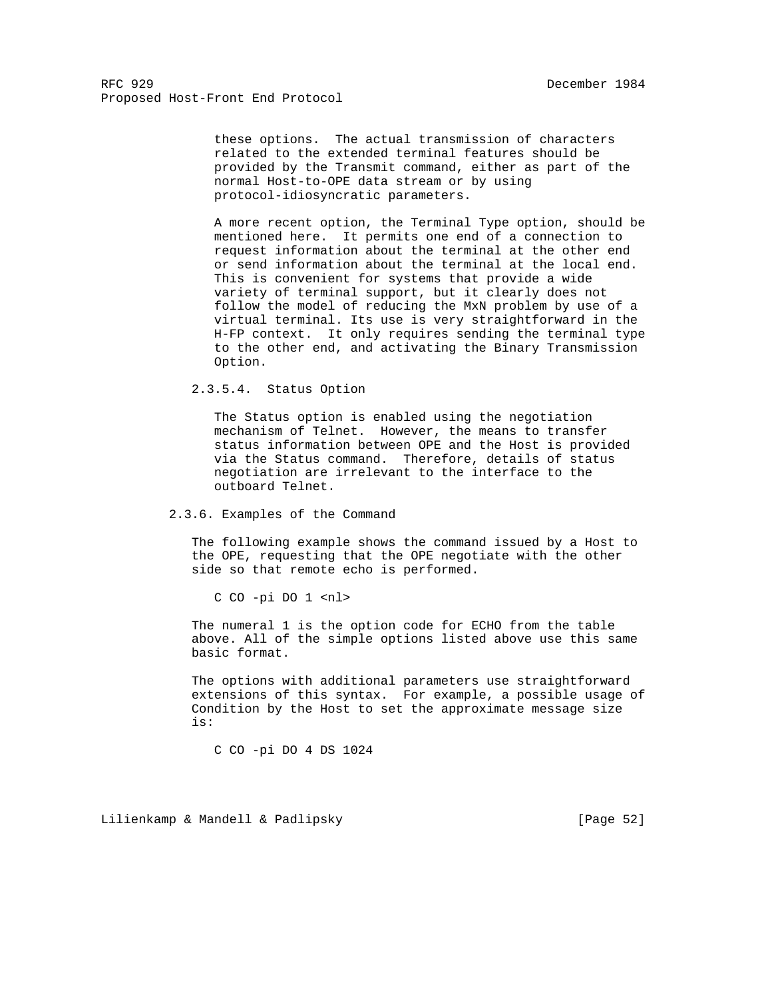> these options. The actual transmission of characters related to the extended terminal features should be provided by the Transmit command, either as part of the normal Host-to-OPE data stream or by using protocol-idiosyncratic parameters.

 A more recent option, the Terminal Type option, should be mentioned here. It permits one end of a connection to request information about the terminal at the other end or send information about the terminal at the local end. This is convenient for systems that provide a wide variety of terminal support, but it clearly does not follow the model of reducing the MxN problem by use of a virtual terminal. Its use is very straightforward in the H-FP context. It only requires sending the terminal type to the other end, and activating the Binary Transmission Option.

# 2.3.5.4. Status Option

 The Status option is enabled using the negotiation mechanism of Telnet. However, the means to transfer status information between OPE and the Host is provided via the Status command. Therefore, details of status negotiation are irrelevant to the interface to the outboard Telnet.

#### 2.3.6. Examples of the Command

 The following example shows the command issued by a Host to the OPE, requesting that the OPE negotiate with the other side so that remote echo is performed.

C CO -pi DO 1 <nl>

 The numeral 1 is the option code for ECHO from the table above. All of the simple options listed above use this same basic format.

 The options with additional parameters use straightforward extensions of this syntax. For example, a possible usage of Condition by the Host to set the approximate message size is:

C CO -pi DO 4 DS 1024

Lilienkamp & Mandell & Padlipsky [Page 52]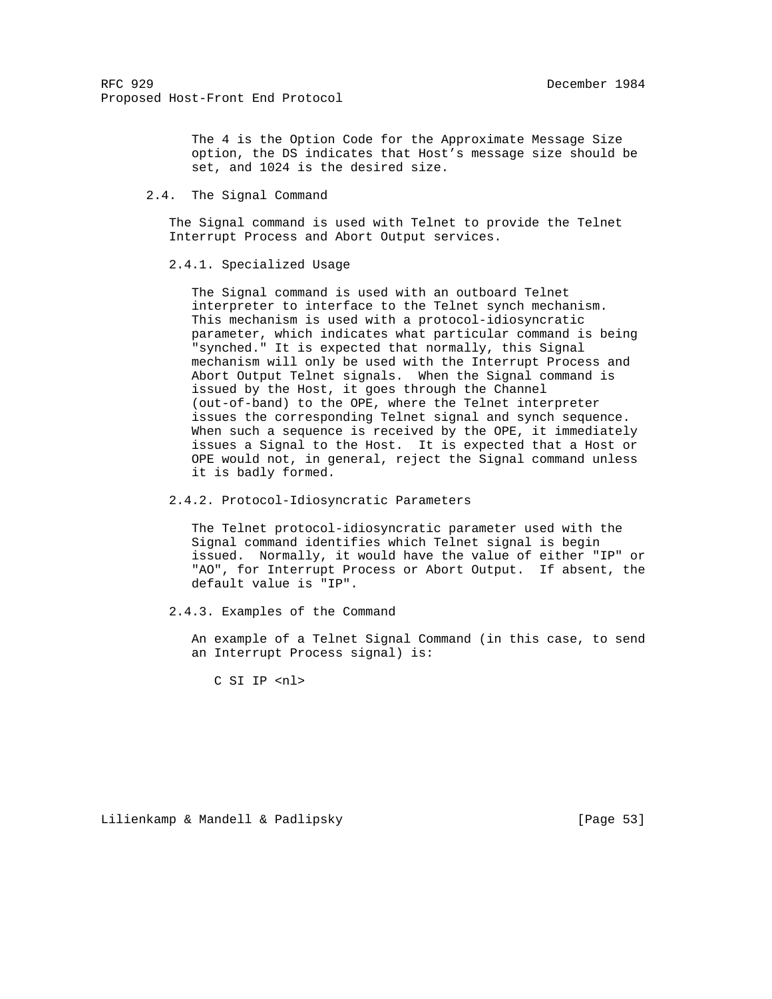The 4 is the Option Code for the Approximate Message Size option, the DS indicates that Host's message size should be set, and 1024 is the desired size.

2.4. The Signal Command

 The Signal command is used with Telnet to provide the Telnet Interrupt Process and Abort Output services.

# 2.4.1. Specialized Usage

 The Signal command is used with an outboard Telnet interpreter to interface to the Telnet synch mechanism. This mechanism is used with a protocol-idiosyncratic parameter, which indicates what particular command is being "synched." It is expected that normally, this Signal mechanism will only be used with the Interrupt Process and Abort Output Telnet signals. When the Signal command is issued by the Host, it goes through the Channel (out-of-band) to the OPE, where the Telnet interpreter issues the corresponding Telnet signal and synch sequence. When such a sequence is received by the OPE, it immediately issues a Signal to the Host. It is expected that a Host or OPE would not, in general, reject the Signal command unless it is badly formed.

2.4.2. Protocol-Idiosyncratic Parameters

 The Telnet protocol-idiosyncratic parameter used with the Signal command identifies which Telnet signal is begin issued. Normally, it would have the value of either "IP" or "AO", for Interrupt Process or Abort Output. If absent, the default value is "IP".

2.4.3. Examples of the Command

 An example of a Telnet Signal Command (in this case, to send an Interrupt Process signal) is:

C SI IP <nl>

Lilienkamp & Mandell & Padlipsky [Page 53]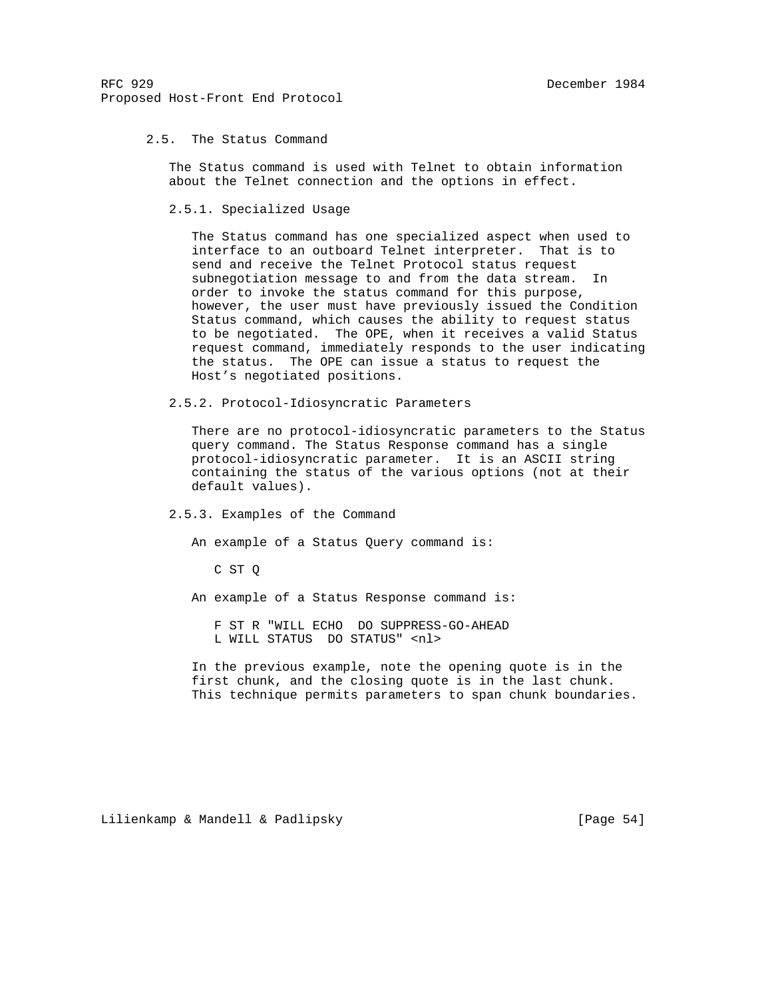## 2.5. The Status Command

 The Status command is used with Telnet to obtain information about the Telnet connection and the options in effect.

2.5.1. Specialized Usage

 The Status command has one specialized aspect when used to interface to an outboard Telnet interpreter. That is to send and receive the Telnet Protocol status request subnegotiation message to and from the data stream. In order to invoke the status command for this purpose, however, the user must have previously issued the Condition Status command, which causes the ability to request status to be negotiated. The OPE, when it receives a valid Status request command, immediately responds to the user indicating the status. The OPE can issue a status to request the Host's negotiated positions.

2.5.2. Protocol-Idiosyncratic Parameters

 There are no protocol-idiosyncratic parameters to the Status query command. The Status Response command has a single protocol-idiosyncratic parameter. It is an ASCII string containing the status of the various options (not at their default values).

#### 2.5.3. Examples of the Command

An example of a Status Query command is:

C ST Q

An example of a Status Response command is:

 F ST R "WILL ECHO DO SUPPRESS-GO-AHEAD L WILL STATUS DO STATUS" <nl>

 In the previous example, note the opening quote is in the first chunk, and the closing quote is in the last chunk. This technique permits parameters to span chunk boundaries.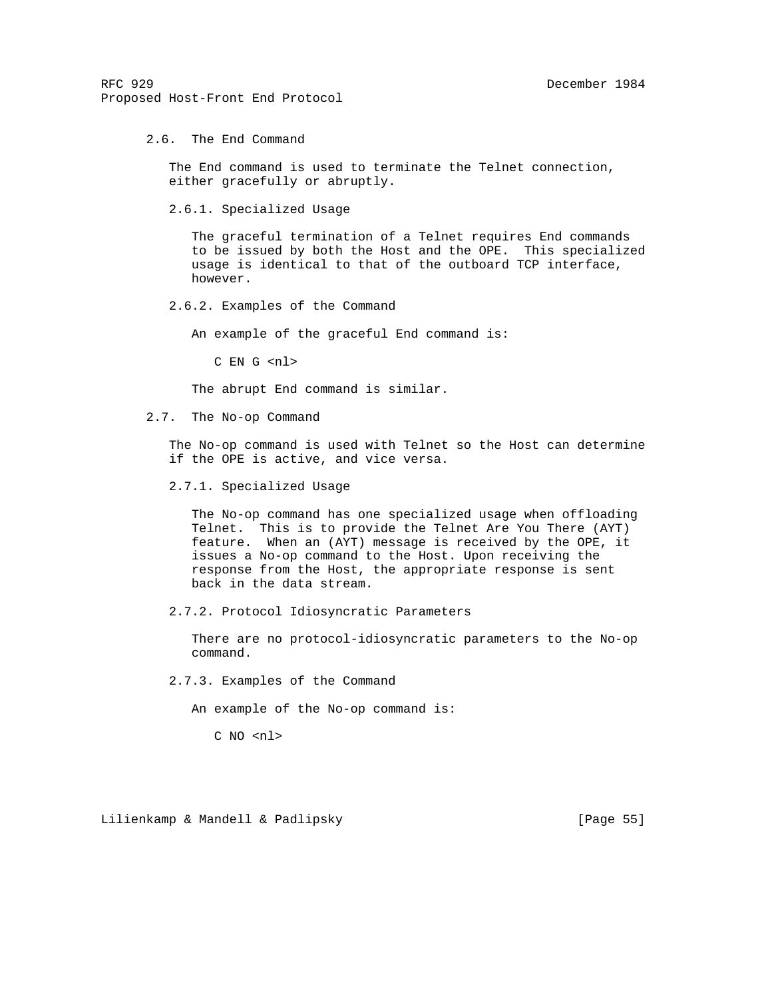2.6. The End Command

 The End command is used to terminate the Telnet connection, either gracefully or abruptly.

2.6.1. Specialized Usage

 The graceful termination of a Telnet requires End commands to be issued by both the Host and the OPE. This specialized usage is identical to that of the outboard TCP interface, however.

2.6.2. Examples of the Command

An example of the graceful End command is:

C EN G <nl>

The abrupt End command is similar.

2.7. The No-op Command

 The No-op command is used with Telnet so the Host can determine if the OPE is active, and vice versa.

2.7.1. Specialized Usage

 The No-op command has one specialized usage when offloading Telnet. This is to provide the Telnet Are You There (AYT) feature. When an (AYT) message is received by the OPE, it issues a No-op command to the Host. Upon receiving the response from the Host, the appropriate response is sent back in the data stream.

2.7.2. Protocol Idiosyncratic Parameters

 There are no protocol-idiosyncratic parameters to the No-op command.

2.7.3. Examples of the Command

An example of the No-op command is:

C NO <nl>

Lilienkamp & Mandell & Padlipsky (1989) [Page 55]